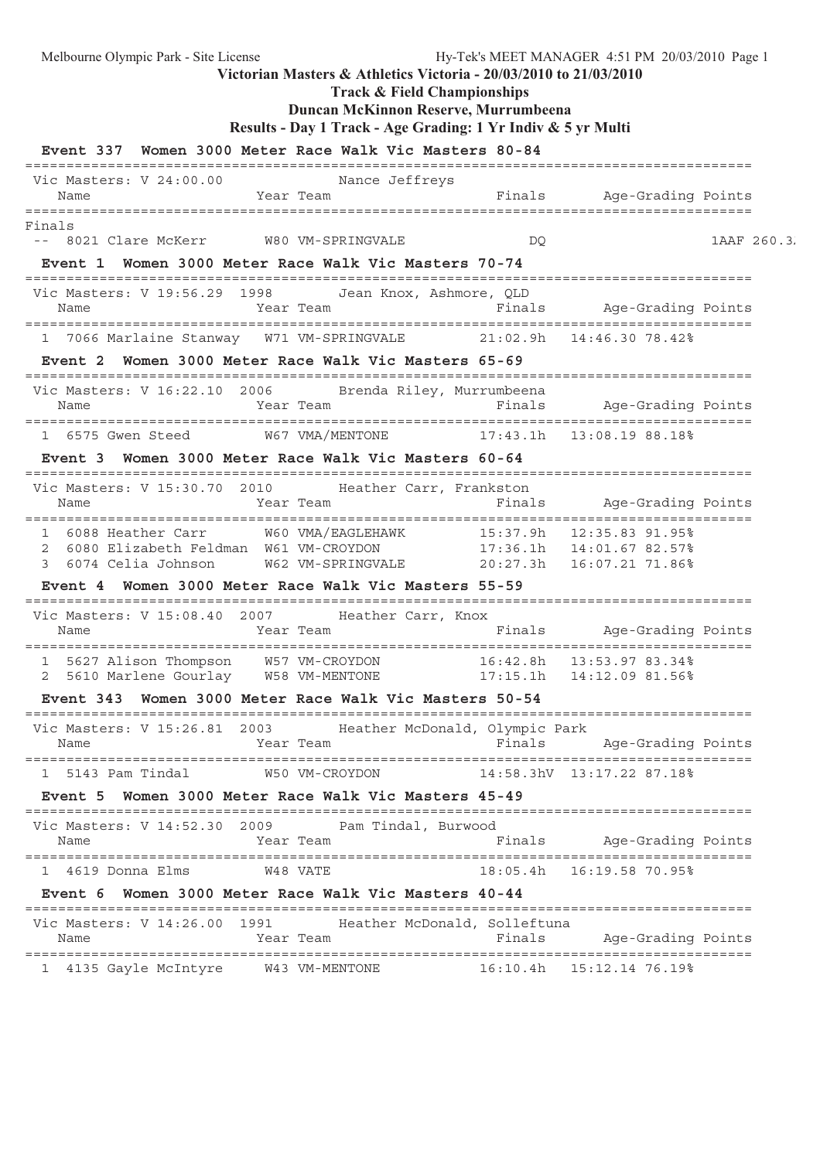**Track & Field Championships**

## **Duncan McKinnon Reserve, Murrumbeena**

**Results - Day 1 Track - Age Grading: 1 Yr Indiv & 5 yr Multi**

|                                                                                                                   | Event 337 Women 3000 Meter Race Walk Vic Masters 80-84                     |          |                                                                                     |             |
|-------------------------------------------------------------------------------------------------------------------|----------------------------------------------------------------------------|----------|-------------------------------------------------------------------------------------|-------------|
| Vic Masters: V 24:00.00<br>Name                                                                                   | Nance Jeffreys<br>Year Team<br>==============================              | Finals   | Age-Grading Points<br>======================                                        |             |
| Finals<br>-- 8021 Clare McKerr                                                                                    | W80 VM-SPRINGVALE<br>Event 1 Women 3000 Meter Race Walk Vic Masters 70-74  | DQ       |                                                                                     | 1AAF 260.3. |
| Vic Masters: V 19:56.29 1998 Jean Knox, Ashmore, QLD<br>Name                                                      | Year Team                                                                  |          | Finals Age-Grading Points                                                           |             |
|                                                                                                                   | 1 7066 Marlaine Stanway W71 VM-SPRINGVALE 21:02.9h 14:46.30 78.42%         |          |                                                                                     |             |
|                                                                                                                   | Event 2 Women 3000 Meter Race Walk Vic Masters 65-69                       |          |                                                                                     |             |
| Vic Masters: V 16:22.10 2006 Brenda Riley, Murrumbeena<br>Name                                                    | Year Team                                                                  | Finals   | Age-Grading Points                                                                  |             |
| 1 6575 Gwen Steed W67 VMA/MENTONE                                                                                 |                                                                            |          | 17:43.1h  13:08.19 88.18%                                                           |             |
|                                                                                                                   | Event 3 Women 3000 Meter Race Walk Vic Masters 60-64                       |          |                                                                                     |             |
| Vic Masters: V 15:30.70 2010 Heather Carr, Frankston<br>Name                                                      | Year Team                                                                  | Finals   | Age-Grading Points                                                                  |             |
| 6088 Heather Carr W60 VMA/EAGLEHAWK<br>1<br>6080 Elizabeth Feldman W61 VM-CROYDON<br>2<br>6074 Celia Johnson<br>3 | W62 VM-SPRINGVALE<br>Event 4  Women 3000 Meter Race Walk Vic Masters 55-59 |          | 15:37.9h  12:35.83  91.95%<br>17:36.1h  14:01.67 82.57%<br>20:27.3h 16:07.21 71.86% |             |
|                                                                                                                   |                                                                            |          |                                                                                     |             |
| Vic Masters: V 15:08.40 2007 Heather Carr, Knox<br>Name                                                           | Year Team                                                                  | Finals   | Age-Grading Points                                                                  |             |
| 2                                                                                                                 | 5627 Alison Thompson W57 VM-CROYDON                                        |          | 16:42.8h    13:53.97    83.34%                                                      |             |
|                                                                                                                   | Event 343 Women 3000 Meter Race Walk Vic Masters 50-54                     |          |                                                                                     |             |
| Vic Masters: V 15:26.81<br>2003<br>Name                                                                           | Heather McDonald, Olympic Park<br>Year Team                                | Finals   | Age-Grading Points                                                                  |             |
| 1 5143 Pam Tindal                                                                                                 | W50 VM-CROYDON                                                             |          | 14:58.3hV 13:17.22 87.18%                                                           |             |
|                                                                                                                   | Event 5 Women 3000 Meter Race Walk Vic Masters 45-49                       |          |                                                                                     |             |
| Vic Masters: V 14:52.30 2009<br>Name                                                                              | Pam Tindal, Burwood<br>Year Team                                           | Finals   | Age-Grading Points                                                                  |             |
| 1 4619 Donna Elms                                                                                                 | W48 VATE                                                                   | 18:05.4h | 16:19.58 70.95%                                                                     |             |
|                                                                                                                   | Event 6 Women 3000 Meter Race Walk Vic Masters 40-44                       |          |                                                                                     |             |
| Vic Masters: V 14:26.00 1991<br>Name                                                                              | Heather McDonald, Solleftuna<br>Year Team                                  | Finals   | Age-Grading Points                                                                  |             |
| 4135 Gayle McIntyre                                                                                               | W43 VM-MENTONE                                                             | 16:10.4h | 15:12.14 76.19%                                                                     |             |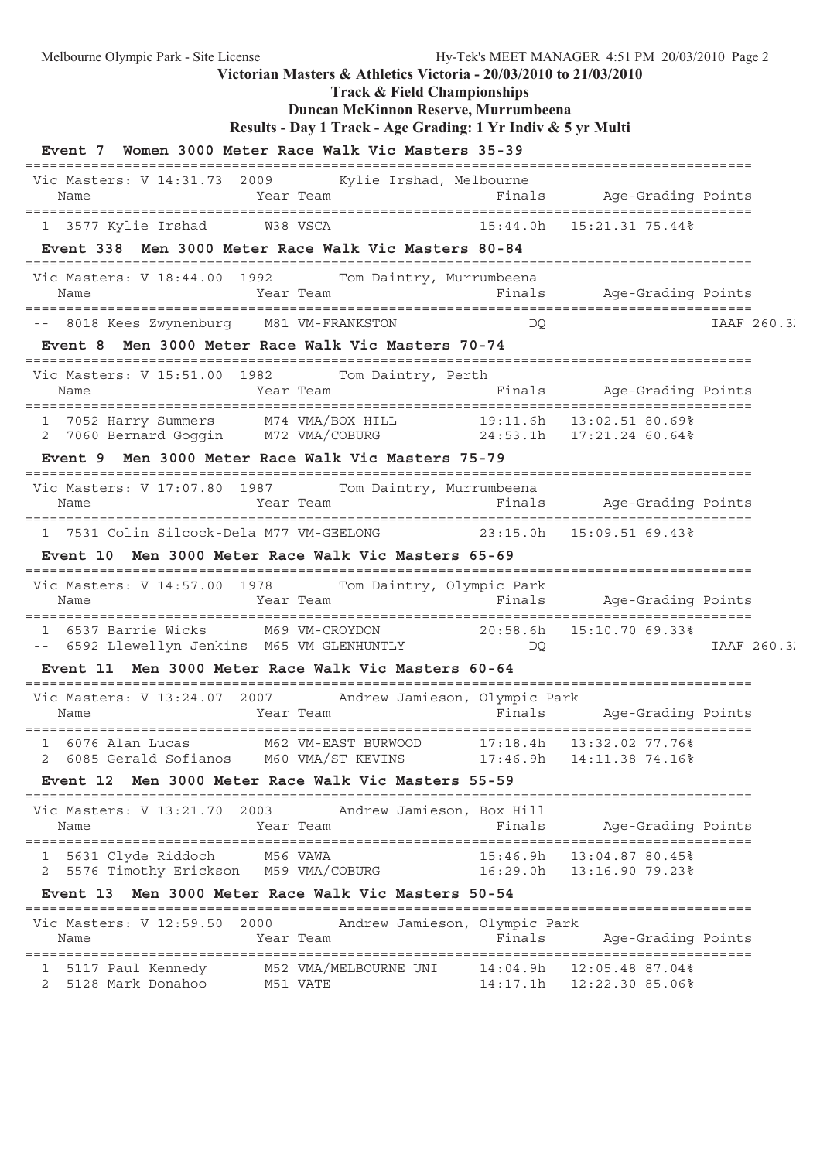**Track & Field Championships**

## **Duncan McKinnon Reserve, Murrumbeena**

**Results - Day 1 Track - Age Grading: 1 Yr Indiv & 5 yr Multi**

|                                                                                                               | Event 7 Women 3000 Meter Race Walk Vic Masters 35-39                                                              |                      |                                    |             |
|---------------------------------------------------------------------------------------------------------------|-------------------------------------------------------------------------------------------------------------------|----------------------|------------------------------------|-------------|
| Vic Masters: V 14:31.73 2009<br>Name                                                                          | Kylie Irshad, Melbourne<br>Year Team                                                                              | Finals               | Age-Grading Points                 |             |
| 1 3577 Kylie Irshad                                                                                           | W38 VSCA                                                                                                          |                      | 15:44.0h    15:21.31    75.44%     |             |
|                                                                                                               | Event 338 Men 3000 Meter Race Walk Vic Masters 80-84                                                              |                      |                                    |             |
| Vic Masters: V 18:44.00<br>1992<br>Name                                                                       | Tom Daintry, Murrumbeena<br>Year Team                                                                             |                      | Finals Mqe-Grading Points          |             |
| -- 8018 Kees Zwynenburg M81 VM-FRANKSTON                                                                      |                                                                                                                   | DO                   |                                    | IAAF 260.3. |
|                                                                                                               | Event 8 Men 3000 Meter Race Walk Vic Masters 70-74                                                                |                      |                                    |             |
| Vic Masters: V 15:51.00 1982 Tom Daintry, Perth<br>Name                                                       | Year Team                                                                                                         |                      | Finals Age-Grading Points          |             |
| 1 7052 Harry Summers M74 VMA/BOX HILL                                                                         |                                                                                                                   |                      | 19:11.6h 13:02.51 80.69%           |             |
| 2                                                                                                             | 7060 Bernard Goggin M72 VMA/COBURG 24:53.1h 17:21.24 60.64%<br>Event 9 Men 3000 Meter Race Walk Vic Masters 75-79 |                      |                                    |             |
|                                                                                                               |                                                                                                                   |                      |                                    |             |
| Vic Masters: V 17:07.80 1987 Tom Daintry, Murrumbeena<br>Name                                                 | Year Team                                                                                                         |                      | Finals Age-Grading Points          |             |
|                                                                                                               | 1 7531 Colin Silcock-Dela M77 VM-GEELONG 23:15.0h 15:09.51 69.43%                                                 |                      |                                    |             |
|                                                                                                               | Event 10 Men 3000 Meter Race Walk Vic Masters 65-69                                                               |                      |                                    |             |
| Vic Masters: V 14:57.00 1978 Tom Daintry, Olympic Park<br>Name                                                | Year Team                                                                                                         |                      | Finals Age-Grading Points          |             |
| 1 6537 Barrie Wicks M69 VM-CROYDON 20:58.6h 15:10.70 69.33%<br>-- 6592 Llewellyn Jenkins M65 VM GLENHUNTLY DQ |                                                                                                                   |                      |                                    |             |
|                                                                                                               | Event 11 Men 3000 Meter Race Walk Vic Masters 60-64                                                               |                      |                                    | IAAF 260.3. |
| Vic Masters: V 13:24.07 2007 Andrew Jamieson, Olympic Park                                                    |                                                                                                                   |                      |                                    |             |
| Name                                                                                                          | Year Team                                                                                                         |                      | Finals Aqe-Grading Points          |             |
| 1 6076 Alan Lucas                                                                                             | M62 VM-EAST BURWOOD 17:18.4h 13:32.02 77.76%                                                                      |                      |                                    |             |
| 6085 Gerald Sofianos<br><b>Event 12</b>                                                                       | M60 VMA/ST KEVINS<br>Men 3000 Meter Race Walk Vic Masters 55-59                                                   | 17:46.9h             | 14:11.38 74.16%                    |             |
|                                                                                                               |                                                                                                                   |                      |                                    |             |
| Vic Masters: V 13:21.70 2003<br>Name                                                                          | Andrew Jamieson, Box Hill<br>Year Team                                                                            | Finals               | Age-Grading Points                 |             |
| 5631 Clyde Riddoch<br>ı                                                                                       | M56 VAWA                                                                                                          | 15:46.9h             | 13:04.87 80.45%                    |             |
| 5576 Timothy Erickson<br>2                                                                                    | M59 VMA/COBURG                                                                                                    | 16:29.0h             | 13:16.90 79.23%                    |             |
|                                                                                                               | Event 13 Men 3000 Meter Race Walk Vic Masters 50-54                                                               |                      |                                    |             |
| Vic Masters: V 12:59.50<br>Name                                                                               | Andrew Jamieson, Olympic Park<br>2000<br>Year Team                                                                | Finals               | Age-Grading Points                 |             |
| 5117 Paul Kennedy<br>ı<br>5128 Mark Donahoo<br>2                                                              | M52 VMA/MELBOURNE UNI<br>M51 VATE                                                                                 | 14:04.9h<br>14:17.1h | 12:05.48 87.04%<br>12:22.30 85.06% |             |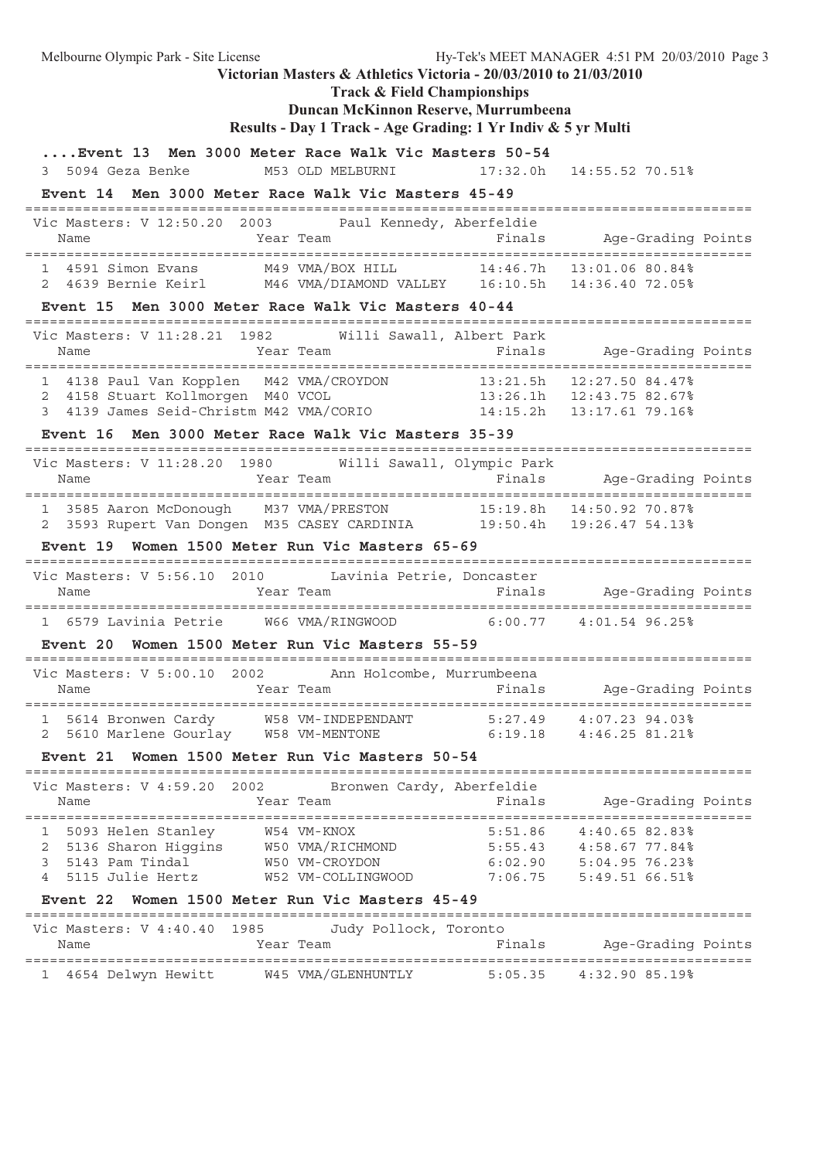Melbourne Olympic Park - Site License Hy-Tek's MEET MANAGER 4:51 PM 20/03/2010 Page 3 **Victorian Masters & Athletics Victoria - 20/03/2010 to 21/03/2010 Track & Field Championships Duncan McKinnon Reserve, Murrumbeena Results - Day 1 Track - Age Grading: 1 Yr Indiv & 5 yr Multi ....Event 13 Men 3000 Meter Race Walk Vic Masters 50-54** 3 5094 Geza Benke M53 OLD MELBURNI 17:32.0h 14:55.52 70.51% **Event 14 Men 3000 Meter Race Walk Vic Masters 45-49** ======================================================================================== Vic Masters: V 12:50.20 2003 Paul Kennedy, Aberfeldie Name Year Team Finals Age-Grading Points ======================================================================================== 1 4591 Simon Evans M49 VMA/BOX HILL 14:46.7h 13:01.06 80.84% 2 4639 Bernie Keirl M46 VMA/DIAMOND VALLEY 16:10.5h 14:36.40 72.05% **Event 15 Men 3000 Meter Race Walk Vic Masters 40-44** ======================================================================================== Vic Masters: V 11:28.21 1982 Willi Sawall, Albert Park Name Tear Team Finals Age-Grading Points ======================================================================================== 1 4138 Paul Van Kopplen M42 VMA/CROYDON 13:21.5h 12:27.50 84.47% 2 4158 Stuart Kollmorgen M40 VCOL 13:26.1h 12:43.75 82.67% 3 4139 James Seid-Christm M42 VMA/CORIO 14:15.2h 13:17.61 79.16% **Event 16 Men 3000 Meter Race Walk Vic Masters 35-39** ======================================================================================== Vic Masters: V 11:28.20 1980 Willi Sawall, Olympic Park Name Year Team Finals Age-Grading Points ======================================================================================== 1 3585 Aaron McDonough M37 VMA/PRESTON 15:19.8h 14:50.92 70.87% 2 3593 Rupert Van Dongen M35 CASEY CARDINIA 19:50.4h 19:26.47 54.13% **Event 19 Women 1500 Meter Run Vic Masters 65-69** ======================================================================================== Vic Masters: V 5:56.10 2010 Lavinia Petrie, Doncaster Name Team Team Finals Age-Grading Points ======================================================================================== 1 6579 Lavinia Petrie W66 VMA/RINGWOOD 6:00.77 4:01.54 96.25% **Event 20 Women 1500 Meter Run Vic Masters 55-59** ======================================================================================== Vic Masters: V 5:00.10 2002 Ann Holcombe, Murrumbeena Name Team Team Finals Age-Grading Points ======================================================================================== 1 5614 Bronwen Cardy W58 VM-INDEPENDANT 5:27.49 4:07.23 94.03% 2 5610 Marlene Gourlay W58 VM-MENTONE 6:19.18 4:46.25 81.21% **Event 21 Women 1500 Meter Run Vic Masters 50-54** ======================================================================================== Vic Masters: V 4:59.20 2002 Bronwen Cardy, Aberfeldie Name Team Team Finals Age-Grading Points ======================================================================================== 1 5093 Helen Stanley W54 VM-KNOX 5:51.86 4:40.65 82.83% 2 5136 Sharon Higgins W50 VMA/RICHMOND 5:55.43 4:58.67 77.84% 3 5143 Pam Tindal W50 VM-CROYDON 6:02.90 5:04.95 76.23% 4 5115 Julie Hertz W52 VM-COLLINGWOOD 7:06.75 5:49.51 66.51% **Event 22 Women 1500 Meter Run Vic Masters 45-49** ======================================================================================== Vic Masters: V 4:40.40 1985 Judy Pollock, Toronto<br>Name Year Team F: Name Year Team Finals Age-Grading Points ======================================================================================== 1 4654 Delwyn Hewitt W45 VMA/GLENHUNTLY 5:05.35 4:32.90 85.19%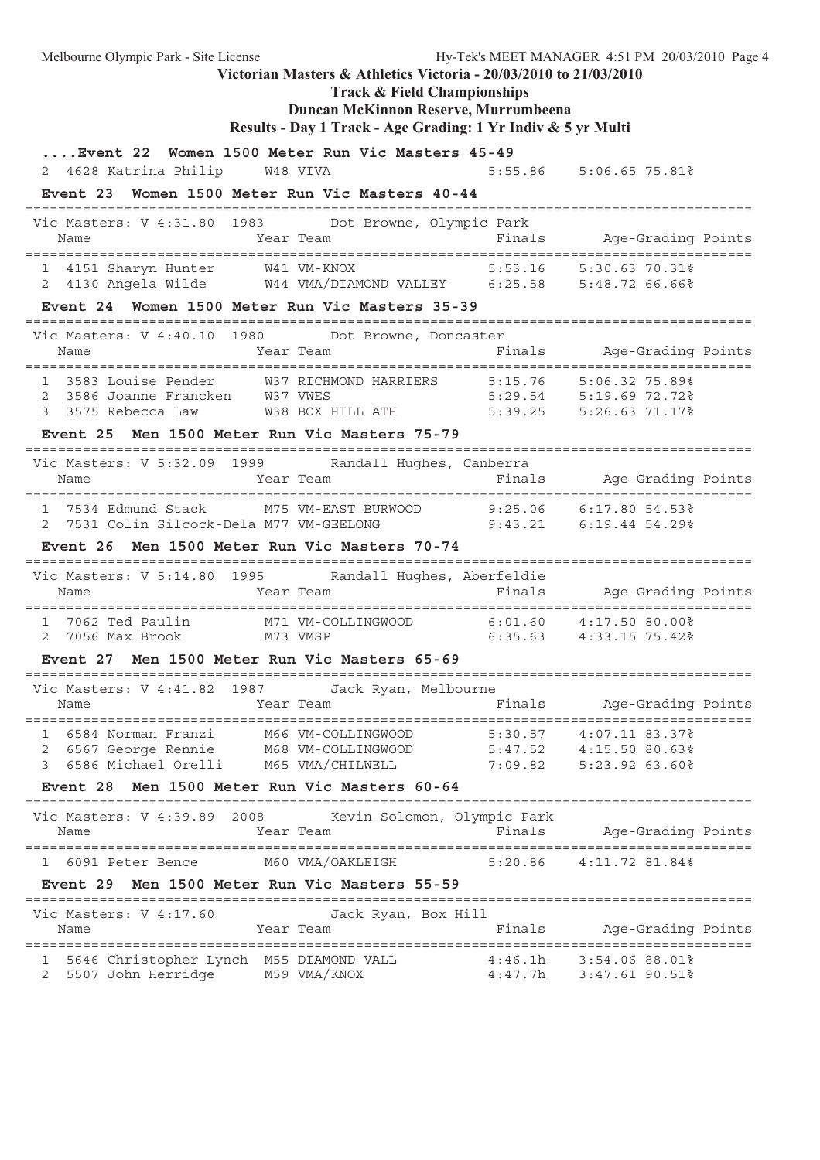Melbourne Olympic Park - Site License Hy-Tek's MEET MANAGER 4:51 PM 20/03/2010 Page 4 **Victorian Masters & Athletics Victoria - 20/03/2010 to 21/03/2010 Track & Field Championships Duncan McKinnon Reserve, Murrumbeena Results - Day 1 Track - Age Grading: 1 Yr Indiv & 5 yr Multi ....Event 22 Women 1500 Meter Run Vic Masters 45-49** 2 4628 Katrina Philip W48 VIVA 5:55.86 5:06.65 75.81% **Event 23 Women 1500 Meter Run Vic Masters 40-44** ======================================================================================== Vic Masters: V 4:31.80 1983 Dot Browne, Olympic Park Name Year Team Finals Age-Grading Points ======================================================================================== 1 4151 Sharyn Hunter W41 VM-KNOX 2 4130 Angela Wilde W44 VMA/DIAMOND VALLEY 6:25.58 5:48.72 66.66% **Event 24 Women 1500 Meter Run Vic Masters 35-39** ======================================================================================== Vic Masters: V 4:40.10 1980 Dot Browne, Doncaster<br>Name Mame Team Team Finals Age-Grading Points Name **Finally Ream Finally Points** Year Team ======================================================================================== 1 3583 Louise Pender W37 RICHMOND HARRIERS 5:15.76 5:06.32 75.89% 2 3586 Joanne Francken W37 VWES 5:29.54 5:19.69 72.72% 3 3575 Rebecca Law W38 BOX HILL ATH 5:39.25 5:26.63 71.17% **Event 25 Men 1500 Meter Run Vic Masters 75-79** ======================================================================================== Vic Masters: V 5:32.09 1999 Randall Hughes, Canberra Name Year Team Finals Age-Grading Points ======================================================================================== 1 7534 Edmund Stack M75 VM-EAST BURWOOD 9:25.06 6:17.80 54.53% 2 7531 Colin Silcock-Dela M77 VM-GEELONG 9:43.21 6:19.44 54.29% **Event 26 Men 1500 Meter Run Vic Masters 70-74** ======================================================================================== Vic Masters: V 5:14.80 1995 Randall Hughes, Aberfeldie Name Team Team Finals Age-Grading Points ======================================================================================== 1 7062 Ted Paulin M71 VM-COLLINGWOOD 6:01.60 4:17.50 80.00% 2 7056 Max Brook M73 VMSP 6:35.63 4:33.15 75.42% **Event 27 Men 1500 Meter Run Vic Masters 65-69** ======================================================================================== Vic Masters: V 4:41.82 1987 Jack Ryan, Melbourne Name Team Team Finals Age-Grading Points ======================================================================================== 1 6584 Norman Franzi M66 VM-COLLINGWOOD 5:30.57 4:07.11 83.37% 2 6567 George Rennie M68 VM-COLLINGWOOD 5:47.52 4:15.50 80.63% 3 6586 Michael Orelli M65 VMA/CHILWELL 7:09.82 5:23.92 63.60% **Event 28 Men 1500 Meter Run Vic Masters 60-64** ======================================================================================== Vic Masters: V 4:39.89 2008 Kevin Solomon, Olympic Park Name Year Team Finals Age-Grading Points ======================================================================================== 1 6091 Peter Bence M60 VMA/OAKLEIGH 5:20.86 4:11.72 81.84% **Event 29 Men 1500 Meter Run Vic Masters 55-59** ======================================================================================== Vic Masters: V 4:17.60 Jack Ryan, Box Hill Name Tear Team Finals Age-Grading Points ======================================================================================== 1 5646 Christopher Lynch M55 DIAMOND VALL 4:46.1h 3:54.06 88.01% 2 5507 John Herridge M59 VMA/KNOX 4:47.7h 3:47.61 90.51%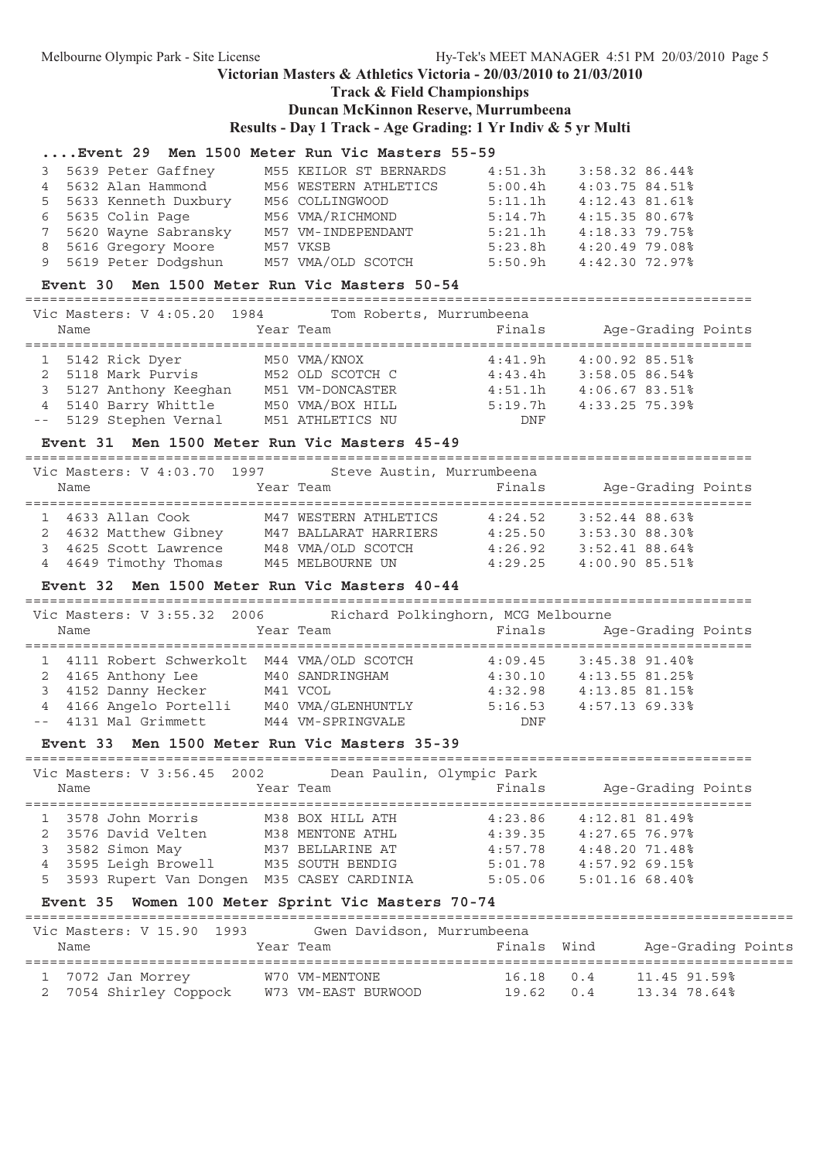### **Victorian Masters & Athletics Victoria - 20/03/2010 to 21/03/2010 Track & Field Championships**

#### **Duncan McKinnon Reserve, Murrumbeena**

**Results - Day 1 Track - Age Grading: 1 Yr Indiv & 5 yr Multi**

#### **....Event 29 Men 1500 Meter Run Vic Masters 55-59**

|  | 3 5639 Peter Gaffney   | M55 KEILOR ST BERNARDS | 4:51.3h | 3:58.32 86.44%   |  |
|--|------------------------|------------------------|---------|------------------|--|
|  | 4 5632 Alan Hammond    | M56 WESTERN ATHLETICS  | 5:00.4h | $4:03.75$ 84.51% |  |
|  | 5 5633 Kenneth Duxbury | M56 COLLINGWOOD        | 5:11.1h | $4:12.43$ 81.61% |  |
|  | 6 5635 Colin Page      | M56 VMA/RICHMOND       | 5:14.7h | 4:15.3580.67%    |  |
|  | 7 5620 Wayne Sabransky | M57 VM-INDEPENDANT     | 5:21.1h | $4:18.33$ 79.75% |  |
|  | 8 5616 Gregory Moore   | M57 VKSB               | 5:23.8h | 4:20.4979.08     |  |
|  | 9 5619 Peter Dodgshun  | M57 VMA/OLD SCOTCH     | 5:50.9h | $4:42.30$ 72.97% |  |
|  |                        |                        |         |                  |  |

#### **Event 30 Men 1500 Meter Run Vic Masters 50-54**

========================================================================================

| Vic Masters: V 4:05.20 1984 | Tom Roberts, Murrumbeena |         |                             |
|-----------------------------|--------------------------|---------|-----------------------------|
| Name                        | Year Team                | Finals  | Age-Grading Points          |
|                             |                          |         |                             |
| 1 5142 Rick Dyer            | M50 VMA/KNOX             | 4:41.9h | $4:00.92$ 85.51%            |
| 2 5118 Mark Purvis          | M52 OLD SCOTCH C         | 4:43.4h | 3:58.0586.54%               |
| 3 5127 Anthony Keeghan      | M51 VM-DONCASTER         | 4:51.1h | $4:06.6783.51$ <sup>8</sup> |
| 4 5140 Barry Whittle        | M50 VMA/BOX HILL         | 5:19.7h | $4:33.25$ 75.39%            |
| -- 5129 Stephen Vernal      | M51 ATHLETICS NU         | DNF     |                             |

#### **Event 31 Men 1500 Meter Run Vic Masters 45-49**

======================================================================================== Vic Masters: V 4:03.70 1997 Steve Austin, Murrumbeena<br>Name Mame Stear Team Finals Name Tear Team Finals Age-Grading Points ======================================================================================== 1 4633 Allan Cook M47 WESTERN ATHLETICS 4:24.52 3:52.44 88.63% 2 4632 Matthew Gibney M47 BALLARAT HARRIERS 4:25.50 3:53.30 88.30% 3 4625 Scott Lawrence M48 VMA/OLD SCOTCH 4:26.92 3:52.41 88.64% 4 4649 Timothy Thomas M45 MELBOURNE UN 4:29.25 4:00.90 85.51%

#### **Event 32 Men 1500 Meter Run Vic Masters 40-44**

======================================================================================== Vic Masters: V 3:55.32 2006 Richard Polkinghorn, MCG Melbourne Name Team Team Finals Age-Grading Points ======================================================================================== 1 4111 Robert Schwerkolt M44 VMA/OLD SCOTCH 4:09.45 3:45.38 91.40% 2 4165 Anthony Lee M40 SANDRINGHAM 4:30.10 4:13.55 81.25% 3 4152 Danny Hecker M41 VCOL 4:32.98 4:13.85 81.15% 4 4166 Angelo Portelli M40 VMA/GLENHUNTLY 5:16.53 4:57.13 69.33% -- 4131 Mal Grimmett M44 VM-SPRINGVALE DNF

#### **Event 33 Men 1500 Meter Run Vic Masters 35-39**

| Vic Masters: V 3:56.45 2002<br>Name                                  | Year Team |                                                            | Dean Paulin, Olympic Park<br>Finals | Age-Grading Points                             |
|----------------------------------------------------------------------|-----------|------------------------------------------------------------|-------------------------------------|------------------------------------------------|
| 1 3578 John Morris<br>2 3576 David Velten                            |           | M38 BOX HILL ATH<br>M38 MENTONE ATHL                       | 4:23.86<br>4:39.35                  | 4:12.81.81.49%<br>$4:27.65$ 76.97%             |
| 3 3582 Simon May<br>4 3595 Leigh Browell<br>5 3593 Rupert Van Dongen |           | M37 BELLARINE AT<br>M35 SOUTH BENDIG<br>M35 CASEY CARDINIA | 4:57.78<br>5:01.78<br>5:05.06       | 4:48.2071.48%<br>4:57.9269.15<br>5:01.1668.40% |

#### **Event 35 Women 100 Meter Sprint Vic Masters 70-74**

| Vic Masters: V 15.90 1993<br>Name           | Gwen Davidson, Murrumbeena<br>Year Team | Finals Wind                   | Age-Grading Points           |  |
|---------------------------------------------|-----------------------------------------|-------------------------------|------------------------------|--|
| 1 7072 Jan Morrey<br>2 7054 Shirley Coppock | W70 VM-MENTONE<br>W73 VM-EAST BURWOOD   | $16.18$ 0.4<br>$19.62 \t 0.4$ | 11.45 91.59%<br>13.34 78.64% |  |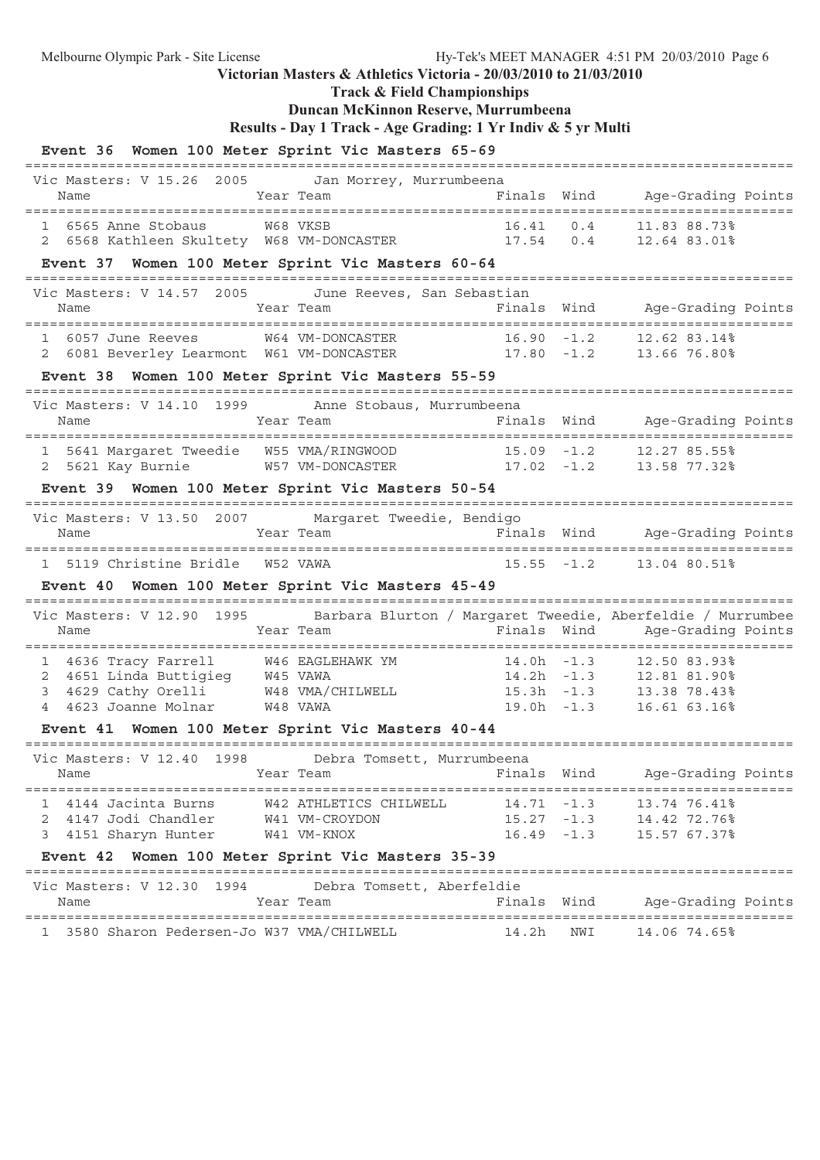**Track & Field Championships**

## **Duncan McKinnon Reserve, Murrumbeena**

```
Results - Day 1 Track - Age Grading: 1 Yr Indiv & 5 yr Multi
```
### **Event 36 Women 100 Meter Sprint Vic Masters 65-69**

| Vic Masters: V 15.26 2005 Jan Morrey, Murrumbeena                                                                                                                                                                                       |                        |                           |                                                                    |
|-----------------------------------------------------------------------------------------------------------------------------------------------------------------------------------------------------------------------------------------|------------------------|---------------------------|--------------------------------------------------------------------|
| Name                                                                                                                                                                                                                                    | Year Team              |                           | Finals Wind Age-Grading Points                                     |
|                                                                                                                                                                                                                                         |                        |                           |                                                                    |
| 1 6565 Anne Stobaus 6565 Mondo WESB 16.41 0.4 11.83 88.73%<br>2 6568 Kathleen Skultety 68 VM-DONCASTER 17.54 0.4 12.64 83.01%                                                                                                           |                        |                           |                                                                    |
| Event 37 Women 100 Meter Sprint Vic Masters 60-64                                                                                                                                                                                       |                        |                           |                                                                    |
| Vic Masters: V 14.57 2005 June Reeves, San Sebastian                                                                                                                                                                                    |                        |                           |                                                                    |
| Name                                                                                                                                                                                                                                    | Year Team              |                           | Finals Wind Age-Grading Points                                     |
|                                                                                                                                                                                                                                         |                        |                           |                                                                    |
| 1 6057 June Reeves M64 VM-DONCASTER 16.90 -1.2 12.62 83.14%<br>2 6081 Beverley Learmont W61 VM-DONCASTER 17.80 -1.2 13.66 76.80%                                                                                                        |                        |                           |                                                                    |
| Event 38 Women 100 Meter Sprint Vic Masters 55-59                                                                                                                                                                                       |                        |                           |                                                                    |
| Vic Masters: V 14.10 1999 Anne Stobaus, Murrumbeena                                                                                                                                                                                     |                        |                           |                                                                    |
|                                                                                                                                                                                                                                         |                        |                           |                                                                    |
|                                                                                                                                                                                                                                         |                        |                           |                                                                    |
| 1 5641 Margaret Tweedie   W55 VMA/RINGWOOD               15.09 -1.2     12.27 85.55%<br>2 5621 Kay Burnie         W57 VM-DONCASTER               17.02 -1.2     13.58 77.32%                                                            |                        |                           |                                                                    |
|                                                                                                                                                                                                                                         |                        |                           |                                                                    |
| Event 39 Women 100 Meter Sprint Vic Masters 50-54                                                                                                                                                                                       |                        |                           |                                                                    |
| Vic Masters: V 13.50 2007 Margaret Tweedie, Bendigo                                                                                                                                                                                     |                        |                           |                                                                    |
| Name                                                                                                                                                                                                                                    |                        |                           | Year Team                 Finals Wind   Age-Grading Points         |
| 1 5119 Christine Bridle W52 VAWA                                                                                                                                                                                                        |                        | $15.55 - 1.2$             | 13.04 80.51%                                                       |
| Event 40 Women 100 Meter Sprint Vic Masters 45-49                                                                                                                                                                                       |                        |                           |                                                                    |
| Vic Masters: V 12.90 1995 Barbara Blurton / Margaret Tweedie, Aberfeldie / Murrumbee                                                                                                                                                    |                        |                           |                                                                    |
| Name                                                                                                                                                                                                                                    | Year Team              |                           | Finals Wind Mage-Grading Points                                    |
|                                                                                                                                                                                                                                         |                        |                           |                                                                    |
| 1 4636 Tracy Farrell 466 EAGLEHAWK YM 14.0h -1.3 12.50 83.93%<br>2 4651 Linda Buttigieg 445 VAWA 14.2h -1.3 12.81 81.90%<br>3 4629 Cathy Orelli 48 VAWA 15.3h -1.3 13.38 78.43%<br>4 4623 Joanne Molnar 48 VAWA 19.0h -1.3 16.61 63.16% |                        |                           |                                                                    |
|                                                                                                                                                                                                                                         |                        |                           |                                                                    |
|                                                                                                                                                                                                                                         |                        |                           |                                                                    |
| Event 41 Women 100 Meter Sprint Vic Masters 40-44                                                                                                                                                                                       |                        |                           |                                                                    |
| Vic Masters: V 12.40 1998 Debra Tomsett, Murrumbeena                                                                                                                                                                                    |                        |                           |                                                                    |
| Name                                                                                                                                                                                                                                    |                        |                           | Year Team                       Finals Wind     Age-Grading Points |
| 1 4144 Jacinta Burns                                                                                                                                                                                                                    | W42 ATHLETICS CHILWELL | $14.71 - 1.3$             | 13.74 76.41%                                                       |
| 2 4147 Jodi Chandler W41 VM-CROYDON                                                                                                                                                                                                     |                        |                           | 15.27 -1.3 14.42 72.76%                                            |
| 3 4151 Sharyn Hunter                                                                                                                                                                                                                    | W41 VM-KNOX            |                           | 16.49 -1.3 15.57 67.37%                                            |
| Event 42 Women 100 Meter Sprint Vic Masters 35-39                                                                                                                                                                                       |                        |                           |                                                                    |
| Vic Masters: V 12.30 1994                                                                                                                                                                                                               |                        | Debra Tomsett, Aberfeldie |                                                                    |
| Name                                                                                                                                                                                                                                    | Year Team              | Finals Wind               | Age-Grading Points                                                 |
| 1 3580 Sharon Pedersen-Jo W37 VMA/CHILWELL                                                                                                                                                                                              |                        | 14.2h NWI 14.06 74.65%    |                                                                    |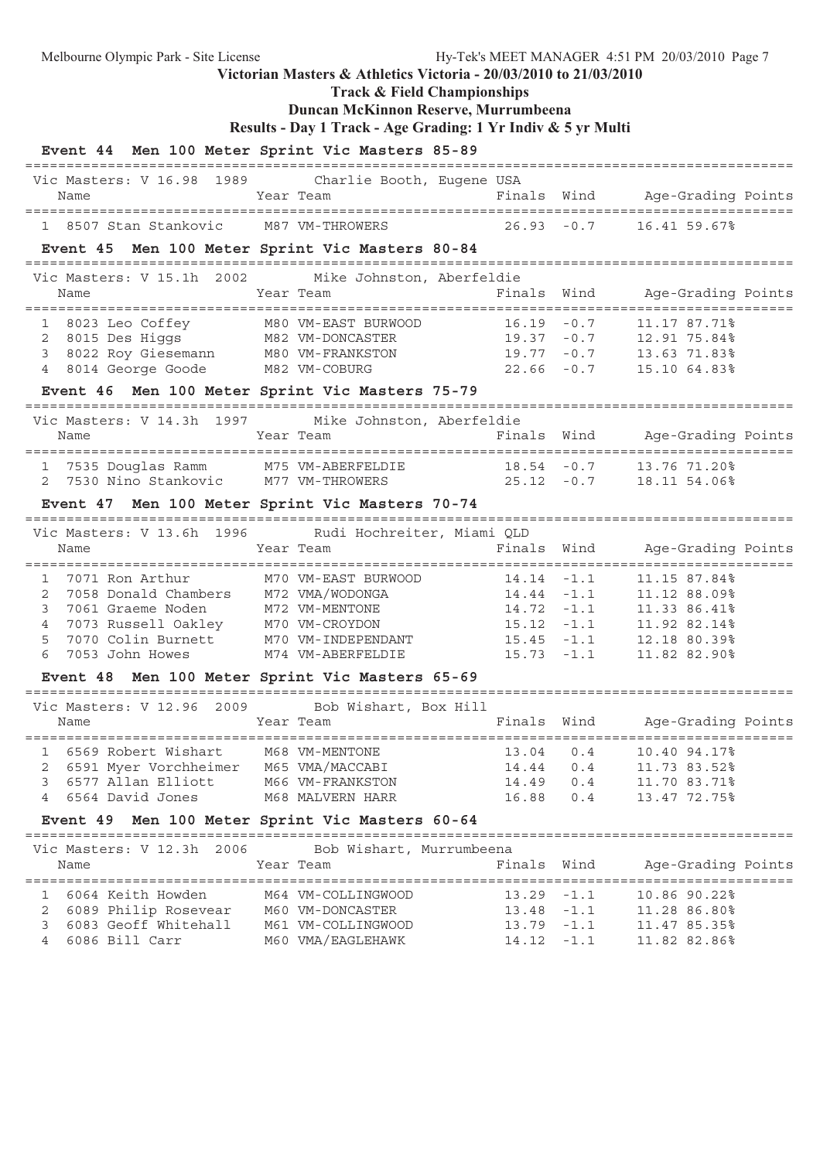**Track & Field Championships**

## **Duncan McKinnon Reserve, Murrumbeena**

```
Results - Day 1 Track - Age Grading: 1 Yr Indiv & 5 yr Multi
```

| Event 44 Men 100 Meter Sprint Vic Masters 85-89                                                                                                                                             |                          |               |        |                                |
|---------------------------------------------------------------------------------------------------------------------------------------------------------------------------------------------|--------------------------|---------------|--------|--------------------------------|
| Vic Masters: V 16.98 1989 Charlie Booth, Eugene USA<br>Name                                                                                                                                 | Year Team                | Finals Wind   |        | Age-Grading Points             |
| 1 8507 Stan Stankovic M87 VM-THROWERS                                                                                                                                                       |                          | $26.93 - 0.7$ |        | 16.41 59.67%                   |
| Event 45 Men 100 Meter Sprint Vic Masters 80-84                                                                                                                                             |                          |               |        |                                |
| Vic Masters: V 15.1h 2002 Mike Johnston, Aberfeldie                                                                                                                                         |                          |               |        |                                |
| Name                                                                                                                                                                                        | Year Team                | Finals        | Wind   | Age-Grading Points             |
| 1 8023 Leo Coffey M80 VM-EAST BURWOOD 16.19 -0.7 11.17 87.71%<br>2 8015 Des Higgs M82 VM-DONCASTER 19.37 -0.7 12.91 75.84%<br>3 8022 Roy Giesemann M80 VM-FRANKSTON 19.77 -0.7 13.63 71.83% |                          |               |        |                                |
|                                                                                                                                                                                             |                          |               |        |                                |
| 4 8014 George Goode M82 VM-COBURG                                                                                                                                                           |                          |               |        | $22.66 - 0.7$ 15.10 64.83%     |
| Event 46 Men 100 Meter Sprint Vic Masters 75-79                                                                                                                                             |                          |               |        |                                |
|                                                                                                                                                                                             |                          |               |        |                                |
| Vic Masters: V 14.3h 1997 Mike Johnston, Aberfeldie<br>Name                                                                                                                                 | Year Team                |               |        | Finals Wind Age-Grading Points |
|                                                                                                                                                                                             |                          |               |        |                                |
| 1 7535 Douglas Ramm M75 VM-ABERFELDIE 18.54 -0.7                                                                                                                                            |                          |               |        | 13.76 71.20%                   |
| 2 7530 Nino Stankovic M77 VM-THROWERS 25.12 -0.7 18.11 54.06%                                                                                                                               |                          |               |        |                                |
| Event 47 Men 100 Meter Sprint Vic Masters 70-74                                                                                                                                             |                          |               |        |                                |
| Vic Masters: V 13.6h 1996 Rudi Hochreiter, Miami QLD                                                                                                                                        |                          |               |        |                                |
| Name                                                                                                                                                                                        | Year Team                | Finals        | Wind   | Age-Grading Points             |
|                                                                                                                                                                                             |                          |               |        |                                |
| 1 7071 Ron Arthur M70 VM-EAST BURWOOD 14.14 -1.1<br>2 7058 Donald Chambers M72 VMA/WODONGA 14.44 -1.1                                                                                       |                          | $14.44 - 1.1$ |        | 11.15 87.84%<br>11.12 88.09%   |
| 3<br>7061 Graeme Noden                                                                                                                                                                      | M72 VM-MENTONE           | $14.72 - 1.1$ |        | 11.33 86.41%                   |
| 7073 Russell Oakley M70 VM-CROYDON<br>4                                                                                                                                                     |                          | $15.12 - 1.1$ |        | 11.92 82.14%                   |
| 7070 Colin Burnett M70 VM-INDEPENDANT<br>5                                                                                                                                                  |                          | $15.45 - 1.1$ |        | 12.18 80.39%                   |
| 7053 John Howes<br>6                                                                                                                                                                        | M74 VM-ABERFELDIE        | $15.73 - 1.1$ |        | 11.82 82.90%                   |
| Event 48 Men 100 Meter Sprint Vic Masters 65-69                                                                                                                                             |                          |               |        |                                |
| Vic Masters: V 12.96 2009 Bob Wishart, Box Hill                                                                                                                                             |                          |               |        |                                |
| Name                                                                                                                                                                                        | Year Team                |               |        | Finals Wind Age-Grading Points |
| 6569 Robert Wishart                                                                                                                                                                         | M68 VM-MENTONE           | 13.04 0.4     |        | 10.40 94.17%                   |
| 6591 Myer Vorchheimer<br>2                                                                                                                                                                  | M65 VMA/MACCABI          | 14.44         | 0.4    | 11.73 83.52%                   |
| 6577 Allan Elliott<br>$\mathbf{3}$                                                                                                                                                          | M66 VM-FRANKSTON         | 14.49         | 0.4    | 11.70 83.71%                   |
| 6564 David Jones<br>4                                                                                                                                                                       | M68 MALVERN HARR         | 16.88         | 0.4    | 13.47 72.75%                   |
| Event 49 Men 100 Meter Sprint Vic Masters 60-64                                                                                                                                             |                          |               |        |                                |
| Vic Masters: V 12.3h 2006                                                                                                                                                                   | Bob Wishart, Murrumbeena |               |        |                                |
| Name                                                                                                                                                                                        | Year Team                | Finals        | Wind   | Age-Grading Points             |
| 6064 Keith Howden                                                                                                                                                                           | M64 VM-COLLINGWOOD       | 13.29         | $-1.1$ | 10.86 90.22%                   |
| 6089 Philip Rosevear<br>2                                                                                                                                                                   | M60 VM-DONCASTER         | $13.48 - 1.1$ |        | 11.28 86.80%                   |
| 3 6083 Geoff Whitehall                                                                                                                                                                      | M61 VM-COLLINGWOOD       | 13.79         | $-1.1$ | 11.47 85.35%                   |
| 6086 Bill Carr<br>4                                                                                                                                                                         | M60 VMA/EAGLEHAWK        | $14.12 - 1.1$ |        | 11.82 82.86%                   |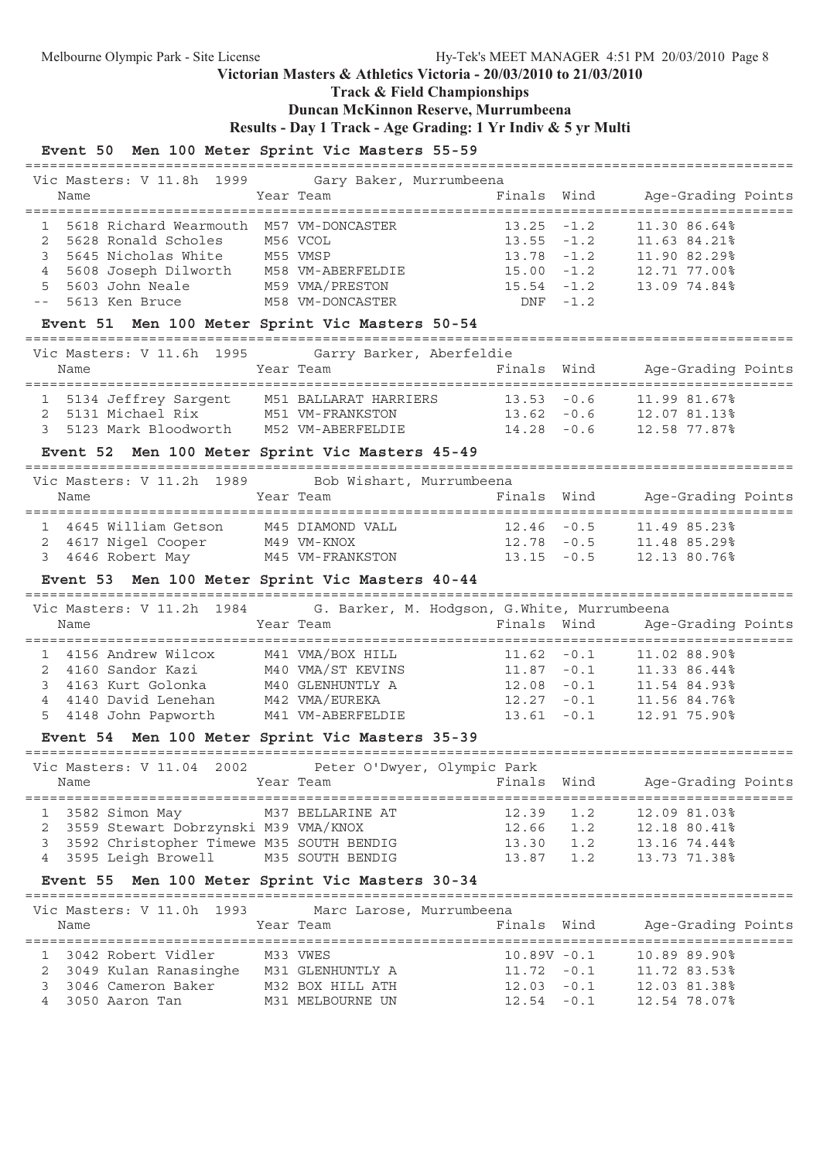**Track & Field Championships**

=============================================================================================

## **Duncan McKinnon Reserve, Murrumbeena**

**Results - Day 1 Track - Age Grading: 1 Yr Indiv & 5 yr Multi**

### **Event 50 Men 100 Meter Sprint Vic Masters 55-59**

| Vic Masters: V 11.8h 1999 Gary Baker, Murrumbeena                                               |                                       |                          |                                           |                                                         |
|-------------------------------------------------------------------------------------------------|---------------------------------------|--------------------------|-------------------------------------------|---------------------------------------------------------|
| Name                                                                                            | Year Team                             | Finals                   | Wind                                      | Age-Grading Points                                      |
|                                                                                                 |                                       |                          |                                           |                                                         |
| 5618 Richard Wearmouth M57 VM-DONCASTER<br>$\mathbf{1}$                                         |                                       | 13.25                    | $-1.2$                                    | 11.30 86.64%                                            |
| $\overline{2}$<br>5628 Ronald Scholes                                                           | M56 VCOL                              | $13.55 - 1.2$            |                                           | 11.63 84.21%                                            |
| 3                                                                                               |                                       | 13.78                    | $-1.2$                                    | 11.90 82.29%                                            |
| 5645 Nicholas White M55 VMSP<br>5608 Joseph Dilworth M58 VM-ABERFELDIE<br>$\overline{4}$        |                                       | 15.00                    | $-1.2$                                    | 12.71 77.00%                                            |
| 5603 John Neale<br>5                                                                            | M59 VMA/PRESTON                       | 15.54                    | $-1.2$                                    | 13.09 74.84%                                            |
| $- -$                                                                                           |                                       |                          |                                           |                                                         |
| 5613 Ken Bruce                                                                                  | M58 VM-DONCASTER                      | DNF                      | $-1.2$                                    |                                                         |
| Event 51 Men 100 Meter Sprint Vic Masters 50-54                                                 |                                       |                          |                                           |                                                         |
| Vic Masters: V 11.6h 1995                                                                       |                                       | Garry Barker, Aberfeldie |                                           |                                                         |
| Name                                                                                            | Year Team                             | Finals                   | Wind                                      | Age-Grading Points                                      |
|                                                                                                 |                                       |                          |                                           |                                                         |
| 5134 Jeffrey Sargent M51 BALLARAT HARRIERS                                                      |                                       | $13.53 - 0.6$            |                                           | 11.99 81.67%                                            |
| $\mathbf{2}$                                                                                    |                                       | $13.62 - 0.6$            |                                           |                                                         |
| 5131 Michael Rix M51 VM-FRANKSTON<br>5123 Mark Bloodworth M52 VM-ABERFELDIE<br>3                |                                       | $14.28 - 0.6$            |                                           | 12.07 81.13%<br>12.58 77.87%                            |
|                                                                                                 |                                       |                          |                                           |                                                         |
| Event 52 Men 100 Meter Sprint Vic Masters 45-49                                                 |                                       |                          |                                           |                                                         |
| Vic Masters: V 11.2h 1989                                                                       |                                       | Bob Wishart, Murrumbeena |                                           |                                                         |
| Name                                                                                            | Year Team                             | Finals Wind              |                                           | Age-Grading Points                                      |
|                                                                                                 |                                       |                          |                                           |                                                         |
| 1 4645 William Getson                                                                           | M45 DIAMOND VALL                      | $12.46 - 0.5$            |                                           | 11.49 85.23%                                            |
| 4617 Nigel Cooper M49 VM-KNOX<br>2                                                              |                                       | $12.78 - 0.5$            |                                           | 11.48 85.29%                                            |
| 4646 Robert May M45 VM-FRANKSTON<br>3                                                           |                                       | $13.15 - 0.5$            |                                           | 12.13 80.76%                                            |
|                                                                                                 |                                       |                          |                                           |                                                         |
| Event 53 Men 100 Meter Sprint Vic Masters 40-44                                                 |                                       |                          |                                           |                                                         |
| Vic Masters: V 11.2h 1984 G. Barker, M. Hodgson, G.White, Murrumbeena                           |                                       |                          |                                           |                                                         |
|                                                                                                 | Year Team                             | Finals Wind              |                                           |                                                         |
| Name                                                                                            |                                       |                          |                                           | Age-Grading Points                                      |
| 1 4156 Andrew Wilcox                                                                            |                                       |                          |                                           |                                                         |
|                                                                                                 | M41 VMA/BOX HILL                      | $11.62 - 0.1$            |                                           | 11.02 88.90%                                            |
| 4160 Sandor Kazi<br>2                                                                           | M40 VMA/ST KEVINS<br>M40 GLENHUNTLY A |                          |                                           | $11.87 -0.1$ $11.33 86.44\%$<br>12.08 -0.1 11.54 84.93% |
| 3<br>4163 Kurt Golonka                                                                          |                                       | $12.08 - 0.1$            |                                           | 11.54 84.93%                                            |
| 4140 David Lenehan<br>4                                                                         | M42 VMA/EUREKA                        |                          |                                           | $12.27 - 0.1$ 11.56 84.76%                              |
| 4148 John Papworth<br>5                                                                         | M41 VM-ABERFELDIE                     | $13.61 - 0.1$            |                                           | 12.91 75.90%                                            |
| Event 54 Men 100 Meter Sprint Vic Masters 35-39                                                 |                                       |                          |                                           |                                                         |
| --------------------------------------<br>Vic Masters: V 11.04 2002 Peter O'Dwyer, Olympic Park |                                       |                          |                                           |                                                         |
| Name                                                                                            | Year Team                             | Finals Wind              |                                           | Age-Grading Points                                      |
| ========================                                                                        |                                       |                          |                                           |                                                         |
| 3582 Simon May<br>1                                                                             | M37 BELLARINE AT                      | 12.39                    | 1.2                                       | 12.09 81.03%                                            |
| 3559 Stewart Dobrzynski M39 VMA/KNOX                                                            |                                       |                          |                                           |                                                         |
| 2                                                                                               |                                       | 12.66                    | 1.2                                       | 12.18 80.41%                                            |
| 3592 Christopher Timewe M35 SOUTH BENDIG<br>3                                                   |                                       | 13.30                    | $\begin{array}{c} 1.2 \\ 1.2 \end{array}$ | 13.16 74.44%                                            |
| 3595 Leigh Browell<br>4                                                                         | M35 SOUTH BENDIG                      | 13.87                    |                                           | 13.73 71.38%                                            |
| Event 55 Men 100 Meter Sprint Vic Masters 30-34                                                 |                                       |                          |                                           |                                                         |
|                                                                                                 |                                       |                          |                                           |                                                         |
| Vic Masters: V 11.0h 1993                                                                       |                                       | Marc Larose, Murrumbeena |                                           |                                                         |
| Name                                                                                            | Year Team                             | Finals                   | Wind                                      | Age-Grading Points                                      |
|                                                                                                 |                                       |                          |                                           |                                                         |
| 3042 Robert Vidler<br>1                                                                         | M33 VWES                              | $10.89V - 0.1$           |                                           | 10.89 89.90%                                            |
| 3049 Kulan Ranasinghe M31 GLENHUNTLY A<br>2                                                     |                                       | $11.72 - 0.1$            |                                           | 11.72 83.53%                                            |
| 3046 Cameron Baker<br>3                                                                         | M32 BOX HILL ATH                      | $12.03 - 0.1$            |                                           | 12.03 81.38%                                            |
| 4<br>3050 Aaron Tan                                                                             | M31 MELBOURNE UN                      |                          | $12.54 - 0.1$                             | 12.54 78.07%                                            |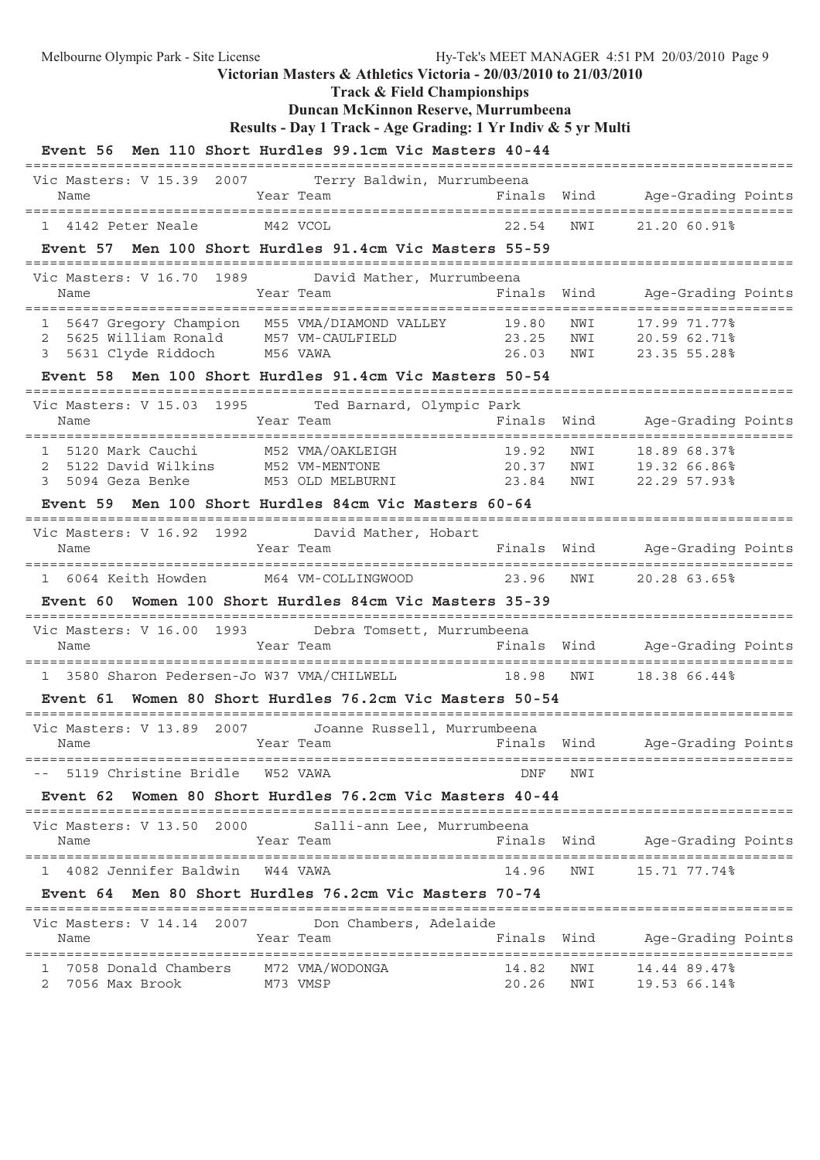**Track & Field Championships**

# **Duncan McKinnon Reserve, Murrumbeena**

|  |  | Results - Day 1 Track - Age Grading: 1 Yr Indiv & 5 yr Multi |  |  |  |
|--|--|--------------------------------------------------------------|--|--|--|
|  |  |                                                              |  |  |  |

|                                                                                                                                 | Event 56 Men 110 Short Hurdles 99.1cm Vic Masters 40-44                   |                                           |                                                                                                  |
|---------------------------------------------------------------------------------------------------------------------------------|---------------------------------------------------------------------------|-------------------------------------------|--------------------------------------------------------------------------------------------------|
| Vic Masters: V 15.39 2007<br>Name                                                                                               | Terry Baldwin, Murrumbeena<br>Year Team                                   |                                           | Finals Wind Age-Grading Points                                                                   |
| 1 4142 Peter Neale                                                                                                              | M42 VCOL                                                                  | 22.54                                     | NWI<br>21.20 60.91%                                                                              |
| Event 57                                                                                                                        | Men 100 Short Hurdles 91.4cm Vic Masters 55-59                            |                                           |                                                                                                  |
| Vic Masters: V 16.70 1989<br>Name                                                                                               | David Mather, Murrumbeena<br>Year Team                                    | Finals                                    | Wind Age-Grading Points                                                                          |
| 1 5647 Gregory Champion M55 VMA/DIAMOND VALLEY<br>5625 William Ronald M57 VM-CAULFIELD<br>2<br>5631 Clyde Riddoch M56 VAWA<br>3 |                                                                           | 19.80<br>23.25<br>26.03                   | ===========================<br>NWI<br>17.99 71.77%<br>NWI<br>20.59 62.71%<br>NWI<br>23.35 55.28% |
|                                                                                                                                 | Event 58 Men 100 Short Hurdles 91.4cm Vic Masters 50-54                   | =============                             |                                                                                                  |
| Name                                                                                                                            | Vic Masters: V 15.03 1995 Ted Barnard, Olympic Park<br>Year Team          | Finals                                    | Wind<br>Age-Grading Points                                                                       |
| 1 5120 Mark Cauchi M52 VMA/OAKLEIGH<br>2 5122 David Wilkins M52 VM-MENTONE<br>3<br>5094 Geza Benke                              | M53 OLD MELBURNI<br>Event 59 Men 100 Short Hurdles 84cm Vic Masters 60-64 | 19.92<br>20.37<br>23.84                   | NWI<br>18.89 68.37%<br>NWI 19.32 66.86%<br>22.29 57.93%<br>NWI                                   |
|                                                                                                                                 | Vic Masters: V 16.92 1992 David Mather, Hobart                            |                                           |                                                                                                  |
| Name                                                                                                                            | Year Team                                                                 | Finals Wind                               | Age-Grading Points                                                                               |
|                                                                                                                                 | 1 6064 Keith Howden M64 VM-COLLINGWOOD 23.96                              |                                           | NWI<br>20.28 63.65%                                                                              |
|                                                                                                                                 | Event 60 Women 100 Short Hurdles 84cm Vic Masters 35-39                   |                                           |                                                                                                  |
| Name                                                                                                                            | Vic Masters: V 16.00 1993 Debra Tomsett, Murrumbeena<br>Year Team         | Finals Wind                               | Age-Grading Points                                                                               |
| 3580 Sharon Pedersen-Jo W37 VMA/CHILWELL                                                                                        |                                                                           | 18.98                                     | NWI<br>18.38 66.44%                                                                              |
|                                                                                                                                 | Event 61 Women 80 Short Hurdles 76.2cm Vic Masters 50-54                  |                                           |                                                                                                  |
| Name                                                                                                                            | Vic Masters: V 13.89 2007 Joanne Russell, Murrumbeena<br>Year Team        | ==========================<br>Finals Wind | Age-Grading Points                                                                               |
| ==================<br>5119 Christine Bridle   W52 VAWA                                                                          | ======================                                                    | DNF                                       | NWI                                                                                              |
| Event 62                                                                                                                        | Women 80 Short Hurdles 76.2cm Vic Masters 40-44                           |                                           |                                                                                                  |
| =================================<br>Vic Masters: V 13.50 2000<br>Name                                                          | Salli-ann Lee, Murrumbeena<br>Year Team                                   | Finals Wind                               | Age-Grading Points                                                                               |
| 1 4082 Jennifer Baldwin                                                                                                         | W44 VAWA                                                                  | 14.96                                     | NWI<br>15.71 77.74%                                                                              |
|                                                                                                                                 | Event 64 Men 80 Short Hurdles 76.2cm Vic Masters 70-74                    |                                           |                                                                                                  |
| Vic Masters: V 14.14 2007<br>Name                                                                                               | Don Chambers, Adelaide<br>Year Team                                       | Finals Wind                               | Age-Grading Points                                                                               |
| 7058 Donald Chambers<br>ı<br>7056 Max Brook<br>2                                                                                | M72 VMA/WODONGA<br>M73 VMSP                                               | 14.82<br>20.26                            | NWI<br>14.44 89.47%<br>NWI<br>19.53 66.14%                                                       |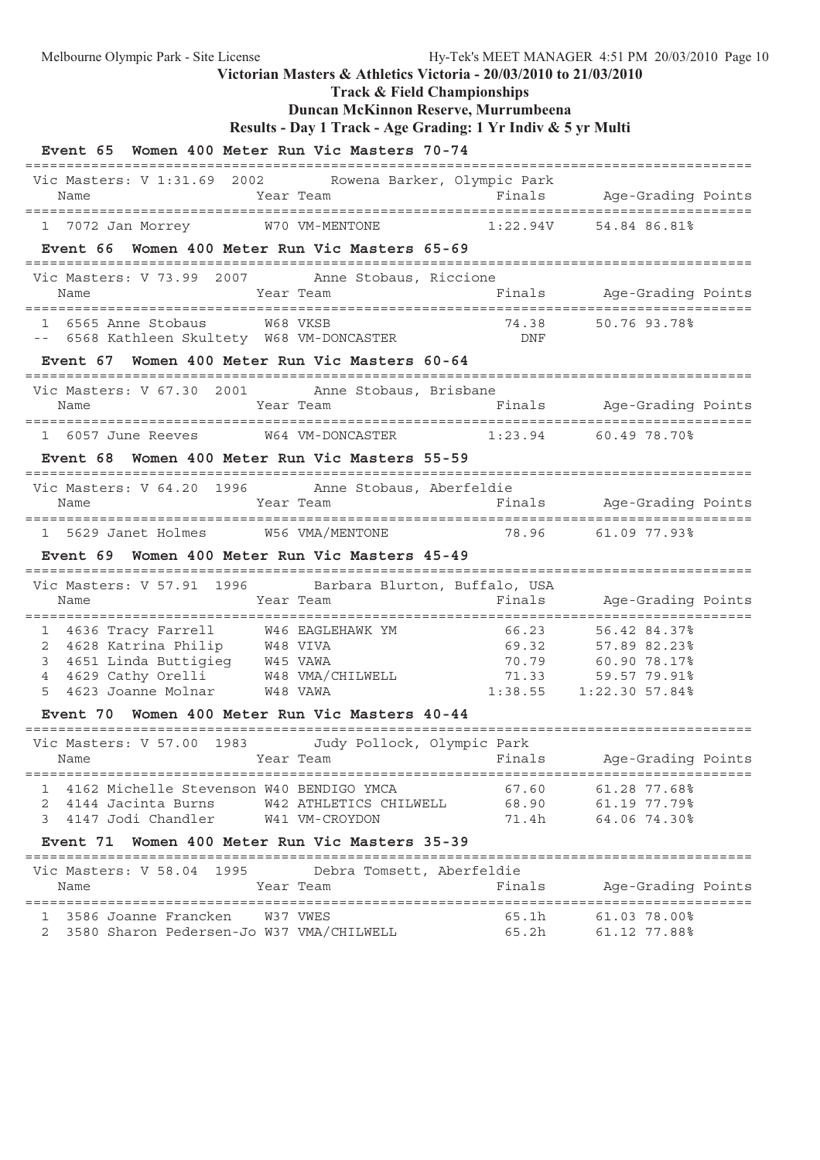**Track & Field Championships**

# **Duncan McKinnon Reserve, Murrumbeena**

```
Results - Day 1 Track - Age Grading: 1 Yr Indiv & 5 yr Multi
```

| Event 65 Women 400 Meter Run Vic Masters 70-74                                                                                                                                                                                                                                                                                     |                                                                         |        |                                                                                                                                                                                                         |
|------------------------------------------------------------------------------------------------------------------------------------------------------------------------------------------------------------------------------------------------------------------------------------------------------------------------------------|-------------------------------------------------------------------------|--------|---------------------------------------------------------------------------------------------------------------------------------------------------------------------------------------------------------|
| Vic Masters: V 1:31.69 2002 Rowena Barker, Olympic Park<br>Name                                                                                                                                                                                                                                                                    | Year Team                                                               |        | :====================================<br>Finals Age-Grading Points                                                                                                                                      |
| 1 7072 Jan Morrey W70 VM-MENTONE 1:22.94V 54.84 86.81%                                                                                                                                                                                                                                                                             |                                                                         |        |                                                                                                                                                                                                         |
| Event 66 Women 400 Meter Run Vic Masters 65-69                                                                                                                                                                                                                                                                                     |                                                                         |        |                                                                                                                                                                                                         |
| Vic Masters: V 73.99 2007 Anne Stobaus, Riccione<br>Name                                                                                                                                                                                                                                                                           | Year Team                                                               |        | Finals Age-Grading Points                                                                                                                                                                               |
| ----------<br>-- 6568 Kathleen Skultety W68 VM-DONCASTER 74.38 50.76 93.78%<br>-- Fresh CR --                                                                                                                                                                                                                                      |                                                                         |        |                                                                                                                                                                                                         |
| Event 67 Women 400 Meter Run Vic Masters 60-64                                                                                                                                                                                                                                                                                     |                                                                         |        |                                                                                                                                                                                                         |
| Vic Masters: V 67.30 2001 Anne Stobaus, Brisbane                                                                                                                                                                                                                                                                                   |                                                                         |        |                                                                                                                                                                                                         |
| 1 6057 June Reeves W64 VM-DONCASTER 1:23.94 60.49 78.70%                                                                                                                                                                                                                                                                           |                                                                         |        |                                                                                                                                                                                                         |
| Event 68 Women 400 Meter Run Vic Masters 55-59                                                                                                                                                                                                                                                                                     |                                                                         |        |                                                                                                                                                                                                         |
| Vic Masters: V 64.20 1996 Anne Stobaus, Aberfeldie                                                                                                                                                                                                                                                                                 |                                                                         |        |                                                                                                                                                                                                         |
| 1 5629 Janet Holmes W56 VMA/MENTONE 78.96 61.09 77.93%                                                                                                                                                                                                                                                                             |                                                                         |        |                                                                                                                                                                                                         |
| Event 69 Women 400 Meter Run Vic Masters 45-49                                                                                                                                                                                                                                                                                     |                                                                         |        |                                                                                                                                                                                                         |
| Vic Masters: V 57.91 1996 Barbara Blurton, Buffalo, USA                                                                                                                                                                                                                                                                            |                                                                         |        |                                                                                                                                                                                                         |
| Year Team<br>Name                                                                                                                                                                                                                                                                                                                  |                                                                         |        | Finals Age-Grading Points                                                                                                                                                                               |
| 4636 Tracy Farrell M46 EAGLEHAWK YM 66.23<br>1<br>4628 Katrina Philip M48 VIVA 69.32 57.89 82.23%<br>4651 Linda Buttigieg M45 VAWA 70.79 60.90 78.17%<br>4629 Cathy Orelli M48 VAMA 71.33 59.57 79.91%<br>4623 Joanne Molnar M48 VAWA 1:38.55 1:22.30 57.84%<br>2<br>3<br>4<br>5<br>Event 70 Women 400 Meter Run Vic Masters 40-44 |                                                                         |        | 56.42 84.37%<br>$-0.23$<br>$-0.32$<br>$-0.72$<br>$-0.72$<br>$-0.72$<br>$-0.72$<br>$-0.72$<br>$-0.72$<br>$-0.89$<br>$-0.23$<br>$-0.89$<br>$-0.23$<br>$-0.89$<br>$-0.23$<br>$-0.89$<br>$-0.23$<br>$-0.23$ |
| Vic Masters: V 57.00 1983 Judy Pollock, Olympic Park                                                                                                                                                                                                                                                                               |                                                                         |        |                                                                                                                                                                                                         |
| Name                                                                                                                                                                                                                                                                                                                               | Year Team                             Finals         Age-Grading Points |        |                                                                                                                                                                                                         |
| 1 4162 Michelle Stevenson W40 BENDIGO YMCA<br>2 4144 Jacinta Burns<br>3 4147 Jodi Chandler W41 VM-CROYDON                                                                                                                                                                                                                          | W42 ATHLETICS CHILWELL 68.90 61.19 77.79%                               |        | 67.60 61.28 77.68%<br>71.4h 64.06 74.30%                                                                                                                                                                |
| Event 71 Women 400 Meter Run Vic Masters 35-39                                                                                                                                                                                                                                                                                     |                                                                         |        |                                                                                                                                                                                                         |
| Vic Masters: V 58.04 1995<br>Name                                                                                                                                                                                                                                                                                                  | Debra Tomsett, Aberfeldie<br>Year Team                                  | Finals | Age-Grading Points                                                                                                                                                                                      |
| 1 3586 Joanne Francken W37 VWES                                                                                                                                                                                                                                                                                                    |                                                                         |        |                                                                                                                                                                                                         |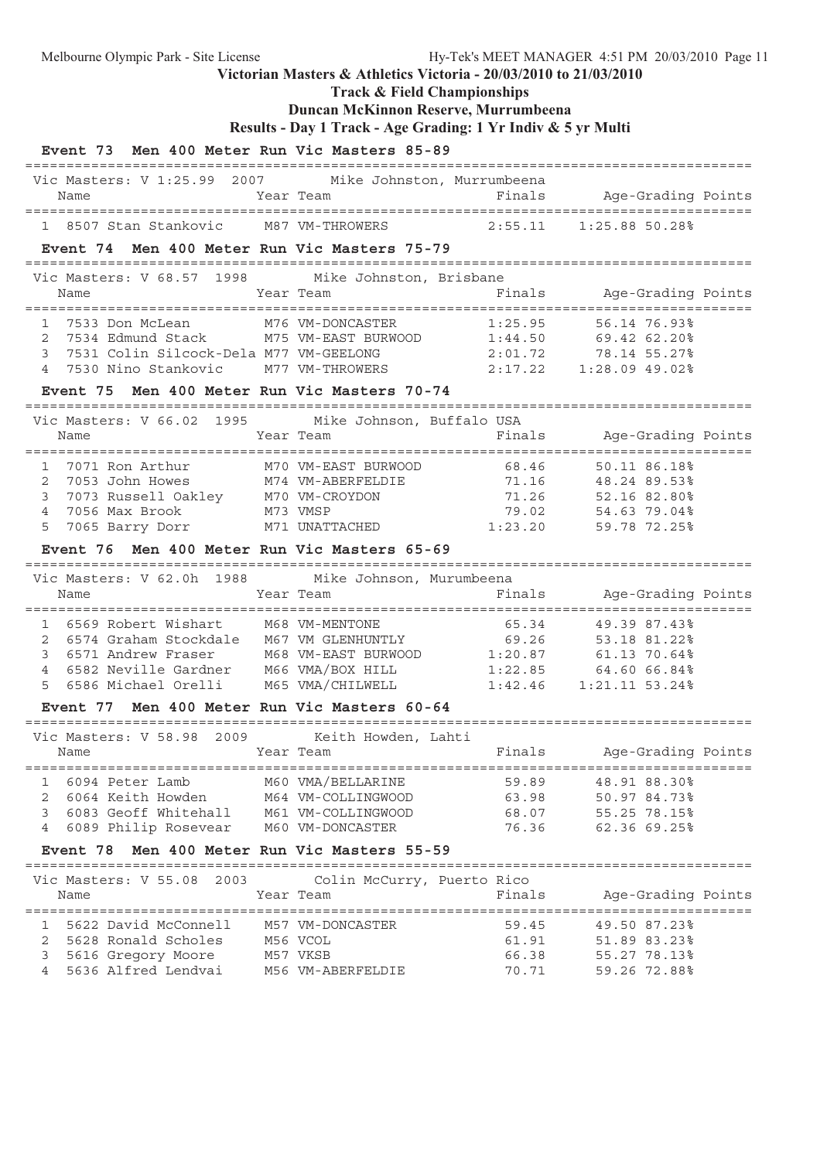**Track & Field Championships**

## **Duncan McKinnon Reserve, Murrumbeena**

**Results - Day 1 Track - Age Grading: 1 Yr Indiv & 5 yr Multi**

| Event 73 Men 400 Meter Run Vic Masters 85-89                                                                                                                                                 |                            |         |                            |  |
|----------------------------------------------------------------------------------------------------------------------------------------------------------------------------------------------|----------------------------|---------|----------------------------|--|
| Vic Masters: V 1:25.99 2007 Mike Johnston, Murrumbeena                                                                                                                                       |                            |         |                            |  |
| Name                                                                                                                                                                                         | Year Team                  |         | Finals Age-Grading Points  |  |
| 1 8507 Stan Stankovic M87 VM-THROWERS                                                                                                                                                        |                            |         | $2:55.11$ $1:25.88$ 50.28% |  |
| Event 74 Men 400 Meter Run Vic Masters 75-79                                                                                                                                                 |                            |         |                            |  |
| Vic Masters: V 68.57 1998                                                                                                                                                                    | Mike Johnston, Brisbane    |         |                            |  |
| Name                                                                                                                                                                                         | Year Team                  |         | Finals Age-Grading Points  |  |
| 7533 Don McLean M76 VM-DONCASTER<br>$\mathbf{1}$                                                                                                                                             |                            | 1:25.95 | 56.14 76.93%               |  |
| 7534 Edmund Stack M75 VM-EAST BURWOOD 1:44.50 69.42 62.20%<br>2                                                                                                                              |                            |         |                            |  |
| 7531 Colin Silcock-Dela M77 VM-GEELONG<br>3                                                                                                                                                  |                            |         | 2:01.72 78.14 55.27%       |  |
| 4 7530 Nino Stankovic M77 VM-THROWERS 2:17.22 1:28.09 49.02%                                                                                                                                 |                            |         |                            |  |
| Event 75 Men 400 Meter Run Vic Masters 70-74                                                                                                                                                 |                            |         |                            |  |
| Vic Masters: V 66.02 1995 Mike Johnson, Buffalo USA                                                                                                                                          |                            |         |                            |  |
| Name                                                                                                                                                                                         | Year Team                  | Finals  | Age-Grading Points         |  |
| $\mathbf{1}$                                                                                                                                                                                 |                            |         | 50.11 86.18%               |  |
| 2                                                                                                                                                                                            |                            | 71.16   | 48.24 89.53%               |  |
| 3                                                                                                                                                                                            |                            | 71.26   | 52.16 82.80%               |  |
| M73 VMSP<br>$\overline{4}$<br>7056 Max Brook                                                                                                                                                 |                            | 79.02   | 54.63 79.04%               |  |
| 5<br>7065 Barry Dorr                                                                                                                                                                         | M71 UNATTACHED             | 1:23.20 | 59.78 72.25%               |  |
| Event 76 Men 400 Meter Run Vic Masters 65-69                                                                                                                                                 |                            |         |                            |  |
| Vic Masters: V 62.0h 1988 Mike Johnson, Murumbeena                                                                                                                                           |                            |         |                            |  |
| Name                                                                                                                                                                                         | Year Team                  | Finals  | Age-Grading Points         |  |
| 1 6569 Robert Wishart M68 VM-MENTONE                                                                                                                                                         |                            | 65.34   | 49.39 87.43%               |  |
| 6574 Graham Stockdale M67 VM GLENHUNTLY<br>6571 Andrew Executive M67 VM GLENHUNTLY<br>2                                                                                                      |                            |         |                            |  |
| 6574 Graham Stockdale M67 VM GLENHUNTLY 69.26 53.18 81.22%<br>6571 Andrew Fraser M68 VM-EAST BURWOOD 1:20.87 61.13 70.64%<br>6582 Neville Gardner M66 VMA/BOX HILL 1:22.85 64.60 66.84%<br>3 |                            |         |                            |  |
| $\overline{4}$                                                                                                                                                                               |                            |         |                            |  |
| 6586 Michael Orelli M65 VMA/CHILWELL 1:42.46 1:21.11 53.24%<br>5                                                                                                                             |                            |         |                            |  |
| Event 77 Men 400 Meter Run Vic Masters 60-64                                                                                                                                                 |                            |         |                            |  |
| Vic Masters: V 58.98 2009 Keith Howden, Lahti                                                                                                                                                |                            |         |                            |  |
| Name                                                                                                                                                                                         | Year Team                  |         | Finals Age-Grading Points  |  |
| 1 6094 Peter Lamb                                                                                                                                                                            | M60 VMA/BELLARINE          | 59.89   | 48.91 88.30%               |  |
| 2 6064 Keith Howden M64 VM-COLLINGWOOD                                                                                                                                                       |                            | 63.98   | 50.97 84.73%               |  |
| 6083 Geoff Whitehall<br>3                                                                                                                                                                    | M61 VM-COLLINGWOOD         | 68.07   | 55.25 78.15%               |  |
| 6089 Philip Rosevear M60 VM-DONCASTER<br>4                                                                                                                                                   |                            | 76.36   | 62.36 69.25%               |  |
| Event 78 Men 400 Meter Run Vic Masters 55-59                                                                                                                                                 |                            |         |                            |  |
| Vic Masters: V 55.08 2003                                                                                                                                                                    | Colin McCurry, Puerto Rico |         |                            |  |
| Name                                                                                                                                                                                         | Year Team                  | Finals  | Age-Grading Points         |  |
|                                                                                                                                                                                              |                            |         |                            |  |
| 1 5622 David McConnell                                                                                                                                                                       | M57 VM-DONCASTER           | 59.45   | 49.50 87.23%               |  |
| 5628 Ronald Scholes<br>$\mathbf{2}$                                                                                                                                                          | M56 VCOL                   | 61.91   | 51.89 83.23%               |  |
| 3<br>5616 Gregory Moore                                                                                                                                                                      | M57 VKSB                   |         | 66.38 55.27 78.13%         |  |
| 5636 Alfred Lendvai<br>$4\overline{ }$                                                                                                                                                       | M56 VM-ABERFELDIE          |         | 70.71 59.26 72.88%         |  |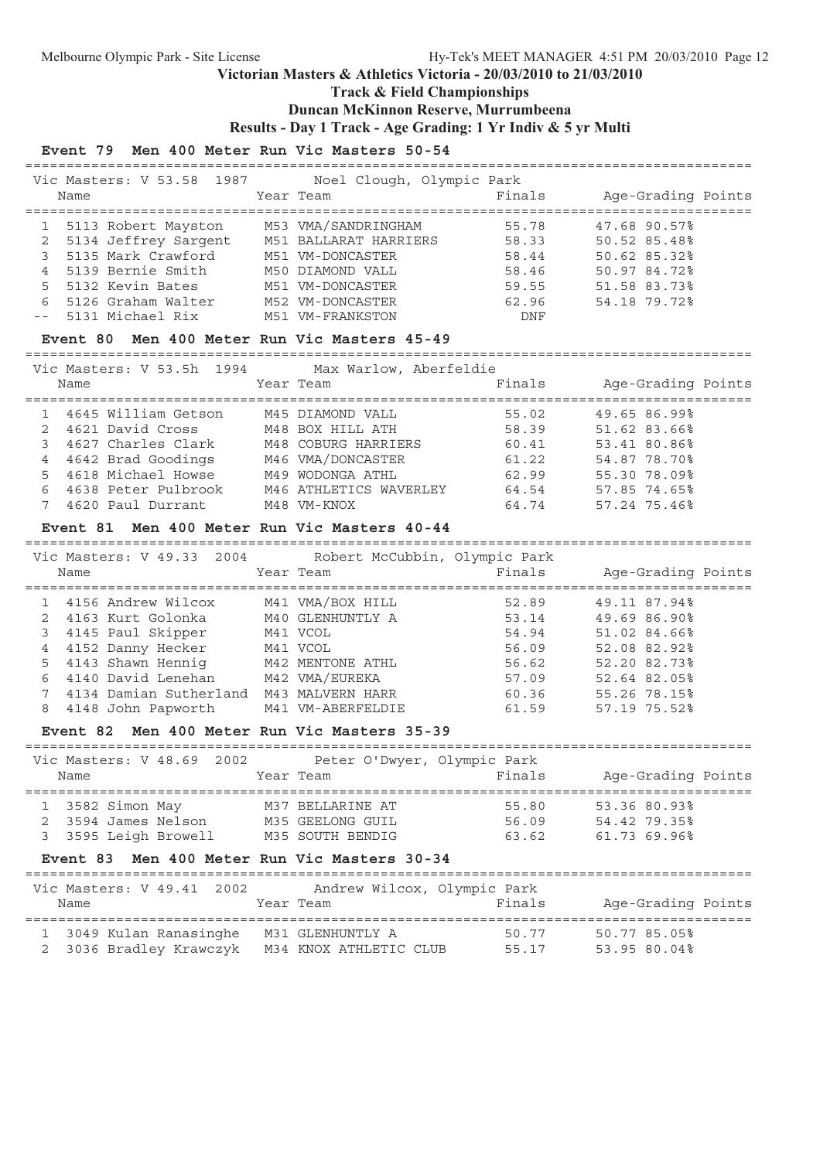## **Track & Field Championships**

### **Duncan McKinnon Reserve, Murrumbeena**

**Results - Day 1 Track - Age Grading: 1 Yr Indiv & 5 yr Multi**

### **Event 79 Men 400 Meter Run Vic Masters 50-54**

| Vic Masters: V 53.58 1987 | Noel Clough, Olympic Park |        |                    |
|---------------------------|---------------------------|--------|--------------------|
| Name                      | Year Team                 | Finals | Age-Grading Points |
|                           |                           |        |                    |
| 5113 Robert Mayston       | M53 VMA/SANDRINGHAM       | 55.78  | 47.68 90.57%       |
| 5134 Jeffrey Sargent      | M51 BALLARAT HARRIERS     | 58.33  | 50.52 85.48%       |
| 5135 Mark Crawford        | M51 VM-DONCASTER          | 58.44  | 50.62 85.32%       |
| 5139 Bernie Smith         | M50 DIAMOND VALL          | 58.46  | 50.97 84.72%       |
| 5 5132 Kevin Bates        | M51 VM-DONCASTER          | 59.55  | 51.58 83.73%       |
| 5126 Graham Walter        | M52 VM-DONCASTER          | 62.96  | 54.18 79.72%       |
| -- 5131 Michael Rix       | M51 VM-FRANKSTON          | DNF    |                    |

#### **Event 80 Men 400 Meter Run Vic Masters 45-49**

========================================================================================

|   |      | Vic Masters: V 53.5h 1994 | Max Warlow, Aberfeldie |        |                    |
|---|------|---------------------------|------------------------|--------|--------------------|
|   | Name |                           | Year Team              | Finals | Age-Grading Points |
|   |      | 4645 William Getson       | M45 DIAMOND VALL       | 55.02  | 49.65 86.99%       |
|   |      | 4621 David Cross          | M48 BOX HILL ATH       | 58.39  | 51.62 83.66%       |
|   |      | 4627 Charles Clark        | M48 COBURG HARRIERS    | 60.41  | 53.41 80.86%       |
|   |      | 4642 Brad Goodings        | M46 VMA/DONCASTER      | 61.22  | 54.87 78.70%       |
|   |      | 4618 Michael Howse        | M49 WODONGA ATHL       | 62.99  | 55.30 78.09%       |
| 6 |      | 4638 Peter Pulbrook       | M46 ATHLETICS WAVERLEY | 64.54  | 57.85 74.65%       |
|   |      | 4620 Paul Durrant         | M48 VM-KNOX            | 64.74  | 57.24 75.46%       |

#### **Event 81 Men 400 Meter Run Vic Masters 40-44**

======================================================================================== Vic Masters: V 49.33 2004 Robert McCubbin, Olympic Park

| Vic Masters: V 49.33 2004        Robert McCubbin, Olympic Park<br>Name | Year Team |                   | Finals | Age-Grading Points |  |
|------------------------------------------------------------------------|-----------|-------------------|--------|--------------------|--|
| 1 4156 Andrew Wilcox                                                   |           | M41 VMA/BOX HILL  | 52.89  | 49.11 87.94%       |  |
| 2 4163 Kurt Golonka                                                    |           | M40 GLENHUNTLY A  | 53.14  | 49.69 86.90%       |  |
| 3 4145 Paul Skipper                                                    | M41 VCOL  |                   | 54.94  | 51.02 84.66%       |  |
| 4 4152 Danny Hecker                                                    | M41 VCOL  |                   | 56.09  | 52.08 82.92%       |  |
| 5 4143 Shawn Henniq                                                    |           | M42 MENTONE ATHL  | 56.62  | 52.20 82.73%       |  |
| 6 4140 David Lenehan                                                   |           | M42 VMA/EUREKA    | 57.09  | 52.64 82.05%       |  |
| 4134 Damian Sutherland M43 MALVERN HARR                                |           |                   | 60.36  | 55.26 78.15%       |  |
| 8 4148 John Papworth                                                   |           | M41 VM-ABERFELDIE | 61.59  | 57.19 75.52%       |  |

### **Event 82 Men 400 Meter Run Vic Masters 35-39**

|   | Name           | Vic Masters: V 48.69 2002 | Peter O'Dwyer, Olympic Park<br>Year Team | Finals | Age-Grading Points |  |
|---|----------------|---------------------------|------------------------------------------|--------|--------------------|--|
|   | 3582 Simon May |                           | M37 BELLARINE AT                         | 55.80  | 53.36 80.93%       |  |
|   |                | 3594 James Nelson         | M35 GEELONG GUIL                         | 56.09  | 54.42.79.35%       |  |
| 3 |                | 3595 Leigh Browell        | M35 SOUTH BENDIG                         | 63.62  | 61.73 69.96%       |  |

#### **Event 83 Men 400 Meter Run Vic Masters 30-34**

| Vic Masters: V 49.41 2002<br>Name                  |  | Year Team                                  | Andrew Wilcox, Olympic Park<br>Finals | Age-Grading Points           |  |
|----------------------------------------------------|--|--------------------------------------------|---------------------------------------|------------------------------|--|
| 1 3049 Kulan Ranasinghe<br>2 3036 Bradley Krawczyk |  | M31 GLENHUNTLY A<br>M34 KNOX ATHLETIC CLUB | 50.77<br>55.17                        | 50.77 85.05%<br>53.95 80.04% |  |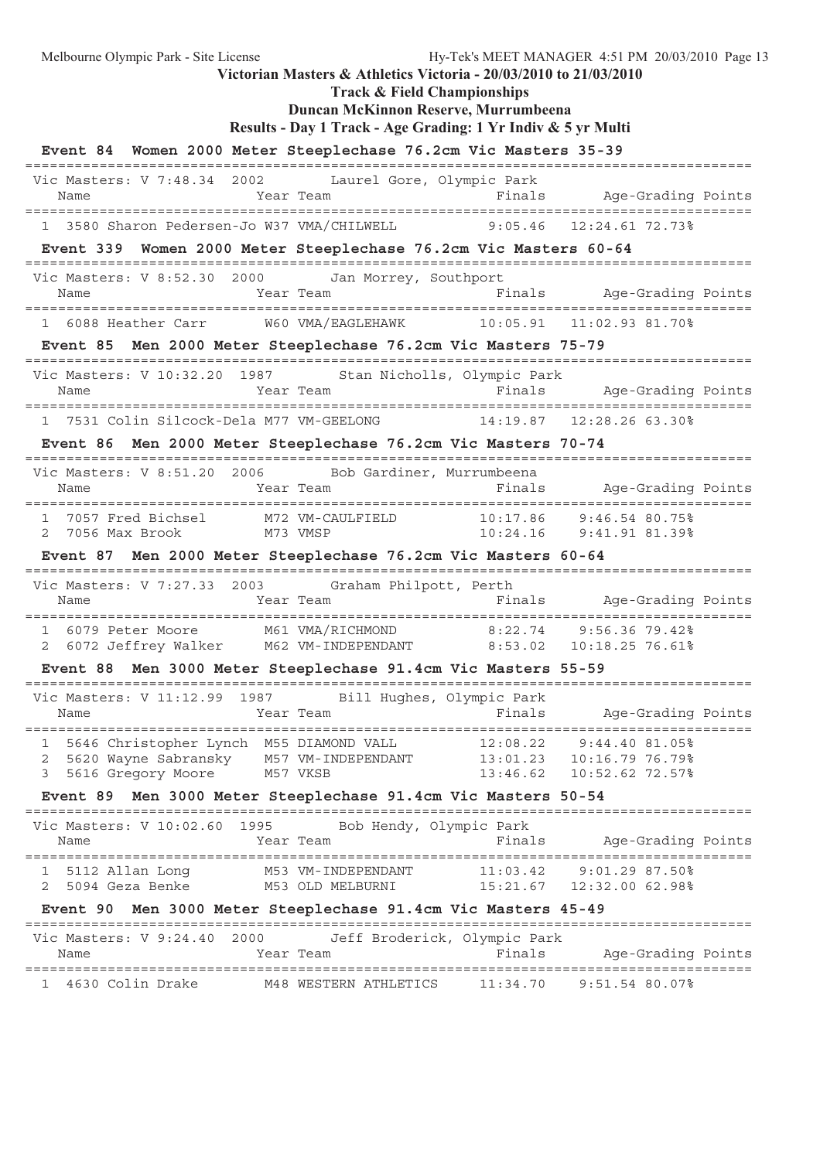**Track & Field Championships**

## **Duncan McKinnon Reserve, Murrumbeena**

```
Results - Day 1 Track - Age Grading: 1 Yr Indiv & 5 yr Multi
```

| Event 84 Women 2000 Meter Steeplechase 76.2cm Vic Masters 35-39                                                                                                 |           |                                                      |                              |                                                                                 |  |
|-----------------------------------------------------------------------------------------------------------------------------------------------------------------|-----------|------------------------------------------------------|------------------------------|---------------------------------------------------------------------------------|--|
| Vic Masters: V 7:48.34 2002 Laurel Gore, Olympic Park<br>External Year Team<br>Name                                                                             |           |                                                      |                              | Finals Age-Grading Points                                                       |  |
| 1 3580 Sharon Pedersen-Jo W37 VMA/CHILWELL 9:05.46 12:24.61 72.73%                                                                                              |           |                                                      |                              |                                                                                 |  |
| Event 339 Women 2000 Meter Steeplechase 76.2cm Vic Masters 60-64                                                                                                |           |                                                      |                              |                                                                                 |  |
| Vic Masters: V 8:52.30 2000 Jan Morrey, Southport                                                                                                               |           |                                                      |                              |                                                                                 |  |
| Year Team<br>Name                                                                                                                                               |           |                                                      |                              | Finals Age-Grading Points                                                       |  |
| 1 6088 Heather Carr W60 VMA/EAGLEHAWK 10:05.91 11:02.93 81.70%                                                                                                  |           |                                                      |                              |                                                                                 |  |
| Event 85 Men 2000 Meter Steeplechase 76.2cm Vic Masters 75-79                                                                                                   |           |                                                      |                              |                                                                                 |  |
| Vic Masters: V 10:32.20 1987 Stan Nicholls, Olympic Park<br>Name                                                                                                |           |                                                      |                              | Year Team <a>&gt; Sandar Team <a> Tinals <br/> Manus Age-Grading Points</a></a> |  |
| 1 7531 Colin Silcock-Dela M77 VM-GEELONG 14:19.87 12:28.26 63.30%                                                                                               |           |                                                      |                              |                                                                                 |  |
| Event 86 Men 2000 Meter Steeplechase 76.2cm Vic Masters 70-74                                                                                                   |           |                                                      |                              |                                                                                 |  |
| Vic Masters: V 8:51.20 2006 Bob Gardiner, Murrumbeena                                                                                                           |           |                                                      |                              |                                                                                 |  |
| Name                                                                                                                                                            |           |                                                      |                              | Year Team The Pinals Age-Grading Points                                         |  |
| 1 7057 Fred Bichsel M72 VM-CAULFIELD 10:17.86 9:46.54 80.75%<br>2 7056 Max Brook M73 VMSP 10:24.16 9:41.91 81.39%                                               |           |                                                      |                              |                                                                                 |  |
| Event 87 Men 2000 Meter Steeplechase 76.2cm Vic Masters 60-64                                                                                                   |           |                                                      |                              |                                                                                 |  |
| Vic Masters: V 7:27.33 2003 Graham Philpott, Perth                                                                                                              |           |                                                      |                              |                                                                                 |  |
|                                                                                                                                                                 |           |                                                      |                              |                                                                                 |  |
| 1 6079 Peter Moore M61 VMA/RICHMOND 8:22.74 9:56.36 79.42%<br>2 6072 Jeffrey Walker M62 VM-INDEPENDANT 8:53.02 10:18.25 76.61%                                  |           |                                                      |                              |                                                                                 |  |
| Event 88 Men 3000 Meter Steeplechase 91.4cm Vic Masters 55-59                                                                                                   |           |                                                      |                              |                                                                                 |  |
|                                                                                                                                                                 |           |                                                      |                              |                                                                                 |  |
| Vic Masters: V 11:12.99 1987 Bill Hughes, Olympic Park                                                                                                          |           |                                                      |                              |                                                                                 |  |
| 1 5646 Christopher Lynch M55 DIAMOND VALL           12:08.22    9:44.40 81.05%<br>2 5620 Wayne Sabransky   M57 VM-INDEPENDANT        13:01.23   10:16.79 76.79% |           |                                                      |                              |                                                                                 |  |
| 5616 Gregory Moore                                                                                                                                              | M57 VKSB  |                                                      | 13:46.62                     | 10:52.62 72.57%                                                                 |  |
| Event 89                                                                                                                                                        |           | Men 3000 Meter Steeplechase 91.4cm Vic Masters 50-54 |                              |                                                                                 |  |
|                                                                                                                                                                 |           |                                                      |                              |                                                                                 |  |
| Vic Masters: V 10:02.60 1995<br>Name                                                                                                                            | Year Team | Bob Hendy, Olympic Park                              | Finals                       | Age-Grading Points                                                              |  |
| 5112 Allan Long<br>ı<br>5094 Geza Benke<br>2                                                                                                                    |           | M53 VM-INDEPENDANT<br>M53 OLD MELBURNI               | 11:03.42<br>15:21.67         | $9:01.29$ 87.50%<br>12:32.00 62.98%                                             |  |
| Event 90                                                                                                                                                        |           | Men 3000 Meter Steeplechase 91.4cm Vic Masters 45-49 |                              |                                                                                 |  |
| Vic Masters: V 9:24.40<br>2000                                                                                                                                  |           |                                                      | Jeff Broderick, Olympic Park |                                                                                 |  |
| Name                                                                                                                                                            | Year Team |                                                      | Finals                       | Age-Grading Points                                                              |  |
| 4630 Colin Drake                                                                                                                                                |           | M48 WESTERN ATHLETICS                                | 11:34.70                     | $9:51.54$ 80.07%                                                                |  |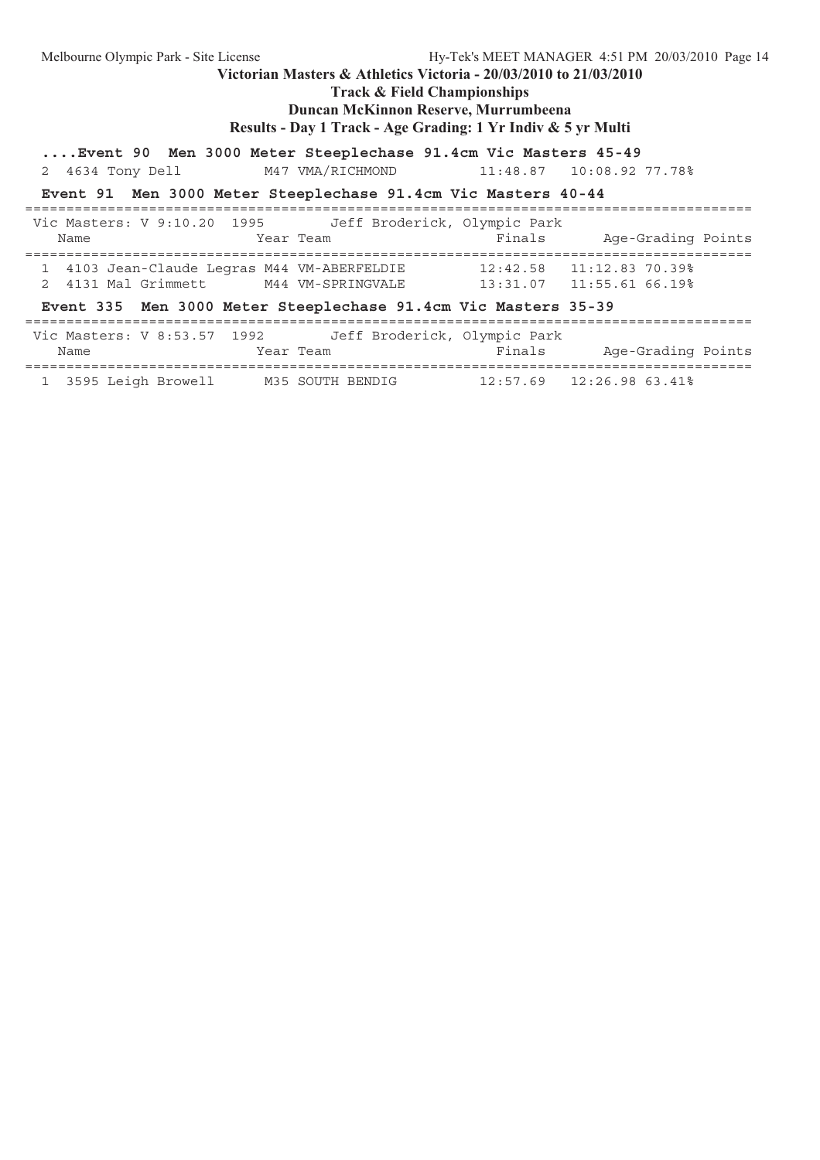| Melbourne Olympic Park - Site License                                |           |                                                                       | Hy-Tek's MEET MANAGER 4:51 PM 20/03/2010 Page 14 |  |
|----------------------------------------------------------------------|-----------|-----------------------------------------------------------------------|--------------------------------------------------|--|
|                                                                      |           | Victorian Masters & Athletics Victoria - $20/03/2010$ to $21/03/2010$ |                                                  |  |
|                                                                      |           | <b>Track &amp; Field Championships</b>                                |                                                  |  |
|                                                                      |           | Duncan McKinnon Reserve, Murrumbeena                                  |                                                  |  |
|                                                                      |           | Results - Day 1 Track - Age Grading: 1 Yr Indiv & 5 yr Multi          |                                                  |  |
| Event 90 Men 3000 Meter Steeplechase 91.4cm Vic Masters 45-49        |           |                                                                       |                                                  |  |
| 2 4634 Tony Dell                                                     |           |                                                                       | M47 VMA/RICHMOND 11:48.87 10:08.92 77.78%        |  |
| Event 91 Men 3000 Meter Steeplechase 91.4cm Vic Masters 40-44        |           |                                                                       |                                                  |  |
| Vic Masters: V 9:10.20 1995 Jeff Broderick, Olympic Park             |           |                                                                       |                                                  |  |
| Name                                                                 | Year Team |                                                                       | Finals Age-Grading Points                        |  |
| 1 4103 Jean-Claude Legras M44 VM-ABERFELDIE 12:42.58 11:12.83 70.39% |           |                                                                       |                                                  |  |
| 2 4131 Mal Grimmett M44 VM-SPRINGVALE 13:31.07 11:55.61 66.19%       |           |                                                                       |                                                  |  |
| Event 335 Men 3000 Meter Steeplechase 91.4cm Vic Masters 35-39       |           |                                                                       |                                                  |  |
| Vic Masters: V 8:53.57 1992 Jeff Broderick, Olympic Park             |           |                                                                       |                                                  |  |
| Name                                                                 | Year Team |                                                                       | Finals Age-Grading Points                        |  |
| 1 3595 Leigh Browell M35 SOUTH BENDIG 12:57.69 12:26.98 63.41%       |           |                                                                       |                                                  |  |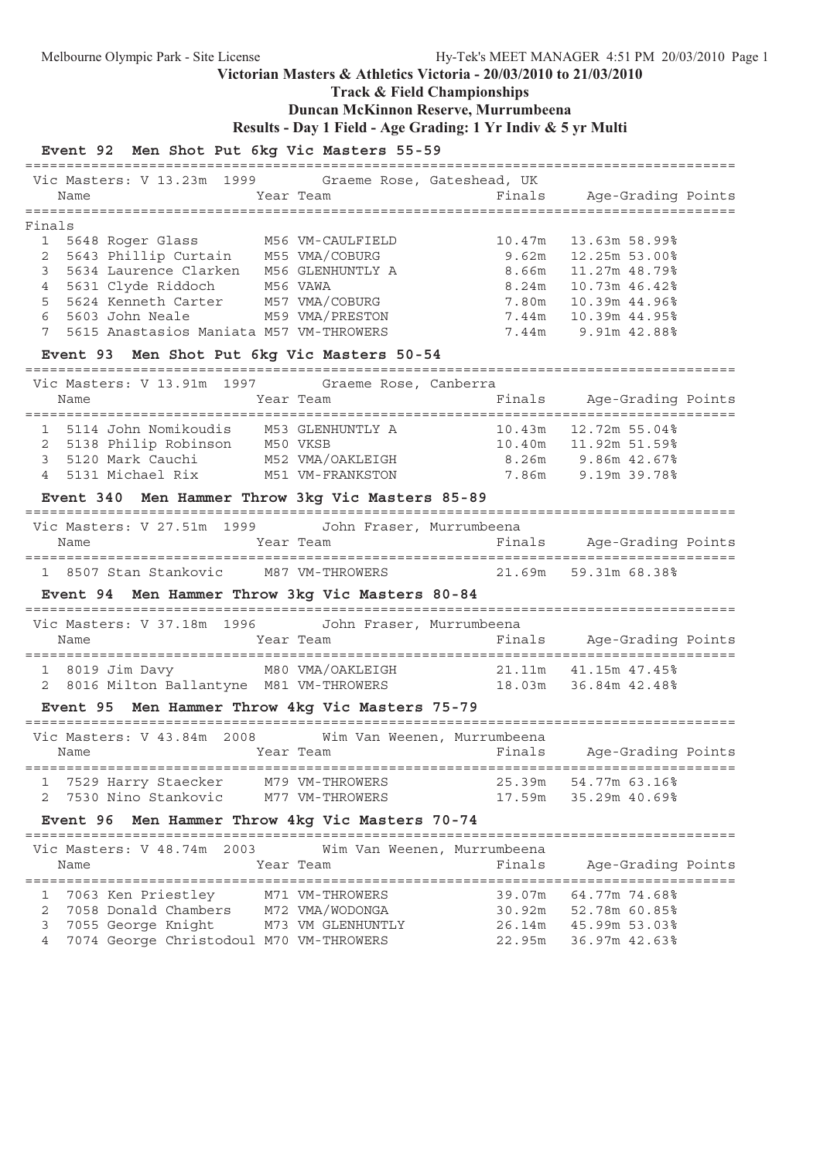# **Track & Field Championships**

## **Duncan McKinnon Reserve, Murrumbeena**

```
Results - Day 1 Field - Age Grading: 1 Yr Indiv & 5 yr Multi
```
### **Event 92 Men Shot Put 6kg Vic Masters 55-59**

| Vic Masters: V 13.23m 1999 Graeme Rose, Gateshead, UK                                                                                                                           |                   |                             |                           |  |
|---------------------------------------------------------------------------------------------------------------------------------------------------------------------------------|-------------------|-----------------------------|---------------------------|--|
| Name                                                                                                                                                                            | Year Team         | Finals Age-Grading Points   |                           |  |
| Finals                                                                                                                                                                          |                   |                             |                           |  |
| $\mathbf{1}$<br>5648 Roger Glass M56 VM-CAULFIELD                                                                                                                               |                   | 10.47m                      | 13.63m 58.99%             |  |
| $\mathbf{2}$                                                                                                                                                                    |                   | 9.62m                       | 12.25m 53.00%             |  |
| 5643 Phillip Curtain M55 VMA/COBURG<br>5634 Laurence Clarken M56 GLENHUNTLY A<br>3                                                                                              |                   | 8.66m                       | 11.27m 48.79%             |  |
| 5631 Clyde Riddoch M56 VAWA<br>$\overline{4}$                                                                                                                                   |                   | 8.24m                       | 10.73m 46.42%             |  |
| 5624 Kenneth Carter M57 VMA/COBURG<br>5                                                                                                                                         |                   | 7.80m                       | 10.39m 44.96%             |  |
| 6<br>5603 John Neale                                                                                                                                                            | M59 VMA/PRESTON   |                             | 7.44m 10.39m 44.95%       |  |
| 5615 Anastasios Maniata M57 VM-THROWERS<br>7                                                                                                                                    |                   |                             | 7.44m 9.91m 42.88%        |  |
| Event 93 Men Shot Put 6kg Vic Masters 50-54                                                                                                                                     |                   |                             |                           |  |
|                                                                                                                                                                                 |                   |                             |                           |  |
| Vic Masters: V 13.91m 1997 Graeme Rose, Canberra                                                                                                                                |                   |                             |                           |  |
| Name                                                                                                                                                                            | Year Team         |                             | Finals Age-Grading Points |  |
|                                                                                                                                                                                 |                   |                             |                           |  |
|                                                                                                                                                                                 |                   |                             |                           |  |
| 1 5114 John Nomikoudis 10.3 GLENHUNTLY A 10.43m 12.72m 55.04%<br>2 5138 Philip Robinson 150 VKSB 10.40m 11.92m 51.59%<br>3 5120 Mark Cauchi 152 VMA/OAKLEIGH 8.26m 9.86m 42.67% |                   |                             |                           |  |
| 5131 Michael Rix M51 VM-FRANKSTON 7.86m 9.19m 39.78%<br>$\overline{4}$                                                                                                          |                   |                             |                           |  |
| Event 340 Men Hammer Throw 3kg Vic Masters 85-89                                                                                                                                |                   |                             |                           |  |
|                                                                                                                                                                                 |                   |                             |                           |  |
| Vic Masters: V 27.51m 1999 John Fraser, Murrumbeena                                                                                                                             |                   |                             |                           |  |
| Name                                                                                                                                                                            | Year Team         | Finals Age-Grading Points   |                           |  |
| 1 8507 Stan Stankovic M87 VM-THROWERS 21.69m 59.31m 68.38%                                                                                                                      |                   |                             |                           |  |
| Event 94 Men Hammer Throw 3kg Vic Masters 80-84                                                                                                                                 |                   |                             |                           |  |
|                                                                                                                                                                                 |                   |                             |                           |  |
| Vic Masters: V 37.18m 1996 John Fraser, Murrumbeena                                                                                                                             |                   |                             |                           |  |
| Name                                                                                                                                                                            | Year Team         |                             | Finals Age-Grading Points |  |
|                                                                                                                                                                                 |                   |                             |                           |  |
| 1 8019 Jim Davy M80 VMA/OAKLEIGH 21.11m 41.15m 47.45%<br>2 8016 Milton Ballantyne M81 VM-THROWERS 18.03m 36.84m 42.48%                                                          |                   |                             |                           |  |
|                                                                                                                                                                                 |                   |                             |                           |  |
| Event 95 Men Hammer Throw 4kg Vic Masters 75-79                                                                                                                                 |                   |                             |                           |  |
| Vic Masters: V 43.84m 2008 Wim Van Weenen, Murrumbeena                                                                                                                          |                   |                             |                           |  |
| <b>Example 2</b> Year Team<br>Name                                                                                                                                              |                   | <b>Example 18</b> Finals    | Age-Grading Points        |  |
|                                                                                                                                                                                 |                   |                             |                           |  |
| 7529 Harry Staecker<br>1                                                                                                                                                        | M79 VM-THROWERS   | 25.39m                      | 54.77m 63.16%             |  |
| 7530 Nino Stankovic<br>2                                                                                                                                                        | M77 VM-THROWERS   | 17.59m                      | 35.29m 40.69%             |  |
| Event 96 Men Hammer Throw 4kg Vic Masters 70-74                                                                                                                                 |                   |                             |                           |  |
|                                                                                                                                                                                 |                   |                             |                           |  |
| Vic Masters: V 48.74m 2003                                                                                                                                                      |                   | Wim Van Weenen, Murrumbeena |                           |  |
| Name                                                                                                                                                                            | Year Team         | Finals                      | Age-Grading Points        |  |
|                                                                                                                                                                                 |                   |                             |                           |  |
| 7063 Ken Priestley<br>1                                                                                                                                                         | M71 VM-THROWERS   | 39.07m                      | 64.77m 74.68%             |  |
| 2<br>7058 Donald Chambers                                                                                                                                                       | M72 VMA/WODONGA   |                             | 30.92m 52.78m 60.85%      |  |
| 3<br>7055 George Knight                                                                                                                                                         | M73 VM GLENHUNTLY |                             | 26.14m 45.99m 53.03%      |  |
| 4<br>7074 George Christodoul M70 VM-THROWERS                                                                                                                                    |                   | 22.95m                      | 36.97m 42.63%             |  |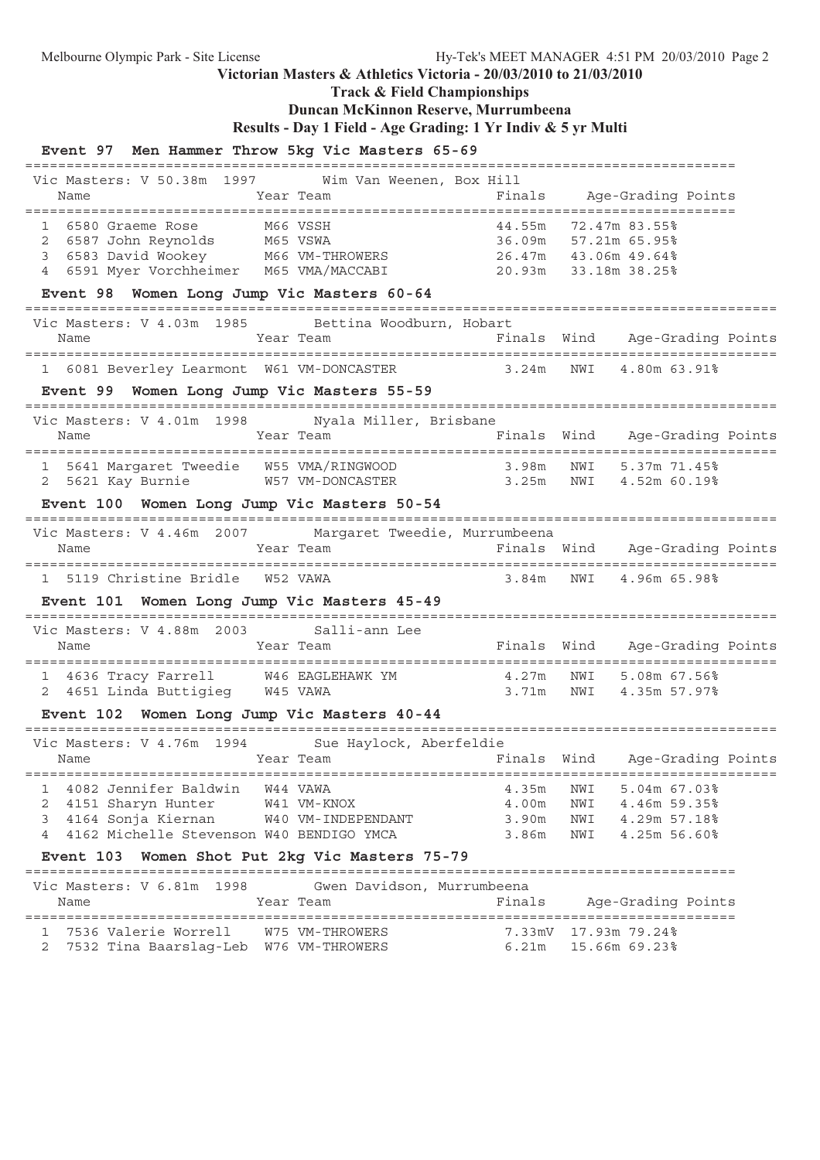**Track & Field Championships**

## **Duncan McKinnon Reserve, Murrumbeena**

**Results - Day 1 Field - Age Grading: 1 Yr Indiv & 5 yr Multi**

#### **Event 97 Men Hammer Throw 5kg Vic Masters 65-69**

====================================================================================== Vic Masters: V 50.38m 1997 Wim Van Weenen, Box Hill Name Tear Team Finals Age-Grading Points ====================================================================================== 1 6580 Graeme Rose M66 VSSH 44.55m 72.47m 83.55% 2 6587 John Reynolds M65 VSWA 36.09m 57.21m 65.95% 3 6583 David Wookey M66 VM-THROWERS 26.47m 43.06m 49.64% 4 6591 Myer Vorchheimer M65 VMA/MACCABI 20.93m 33.18m 38.25% **Event 98 Women Long Jump Vic Masters 60-64** =========================================================================================== Vic Masters: V 4.03m 1985 Bettina Woodburn, Hobart Name Year Team Finals Wind Age-Grading Points =========================================================================================== 1 6081 Beverley Learmont W61 VM-DONCASTER **Event 99 Women Long Jump Vic Masters 55-59** =========================================================================================== Vic Masters: V 4.01m 1998 Nyala Miller, Brisbane Name Tear Team Team Finals Wind Age-Grading Points =========================================================================================== 1 5641 Margaret Tweedie W55 VMA/RINGWOOD 3.98m NWI 5.37m 71.45% 2 5621 Kay Burnie W57 VM-DONCASTER 3.25m NWI 4.52m 60.19% **Event 100 Women Long Jump Vic Masters 50-54** =========================================================================================== Vic Masters: V 4.46m 2007 Margaret Tweedie, Murrumbeena Name Tear Team Team Finals Wind Age-Grading Points =========================================================================================== 1 5119 Christine Bridle W52 VAWA 3.84m NWI 4.96m 65.98% **Event 101 Women Long Jump Vic Masters 45-49** =========================================================================================== Vic Masters: V 4.88m 2003 Salli-ann Lee Name Year Team Finals Wind Age-Grading Points =========================================================================================== 1 4636 Tracy Farrell W46 EAGLEHAWK YM 4.27m NWI 5.08m 67.56% 2 4651 Linda Buttigieg W45 VAWA 3.71m NWI 4.35m 57.97% **Event 102 Women Long Jump Vic Masters 40-44** =========================================================================================== Vic Masters: V 4.76m 1994 Sue Haylock, Aberfeldie Name Year Team Finals Wind Age-Grading Points =========================================================================================== 1 4082 Jennifer Baldwin W44 VAWA 4.35m NWI 5.04m 67.03% 2 4151 Sharyn Hunter W41 VM-KNOX 4.00m NWI 4.46m 59.35% 3 4164 Sonja Kiernan W40 VM-INDEPENDANT 3.90m NWI 4.29m 57.18% 4 4162 Michelle Stevenson W40 BENDIGO YMCA 3.86m NWI 4.25m 56.60% **Event 103 Women Shot Put 2kg Vic Masters 75-79** ====================================================================================== Vic Masters: V 6.81m 1998 Gwen Davidson, Murrumbeena Name Tear Team Finals Age-Grading Points ====================================================================================== 1 7536 Valerie Worrell W75 VM-THROWERS 7.33mV 17.93m 79.24% 2 7532 Tina Baarslag-Leb W76 VM-THROWERS 6.21m 15.66m 69.23%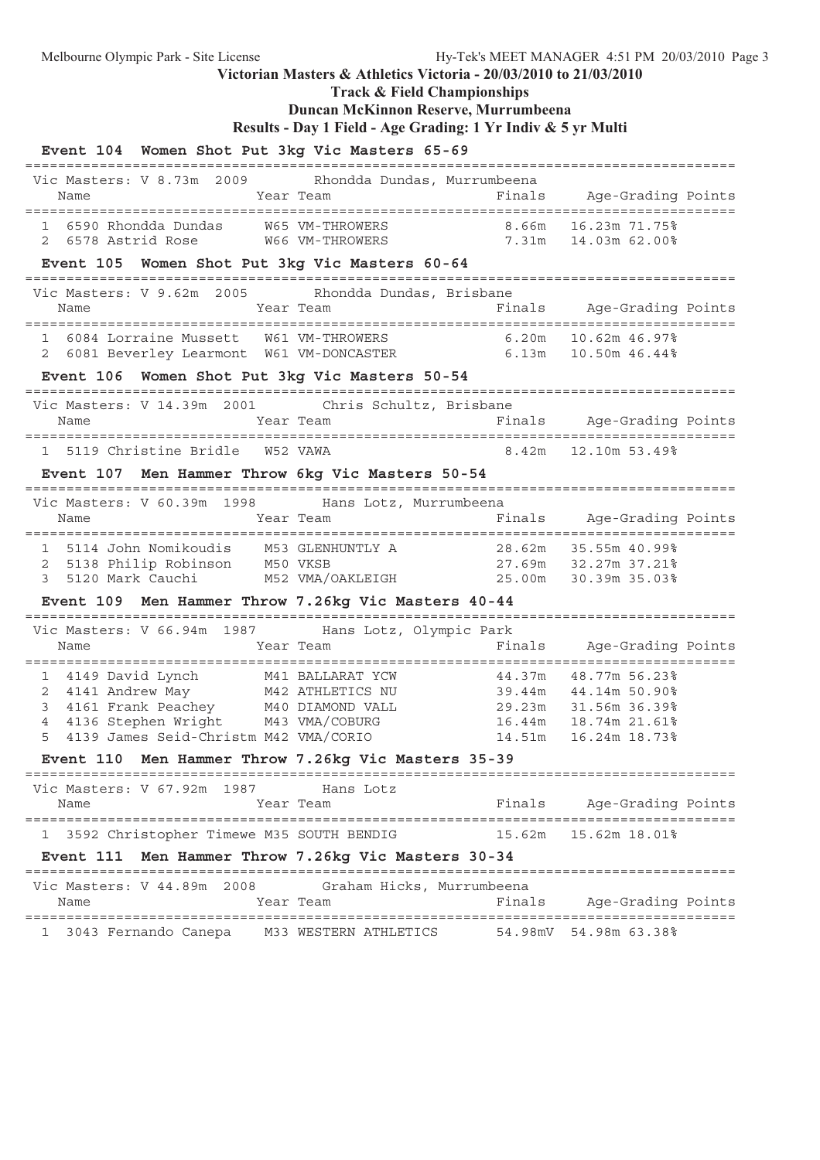**Track & Field Championships**

### **Duncan McKinnon Reserve, Murrumbeena**

**Results - Day 1 Field - Age Grading: 1 Yr Indiv & 5 yr Multi**

### **Event 104 Women Shot Put 3kg Vic Masters 65-69** ====================================================================================== Vic Masters: V 8.73m 2009 Rhondda Dundas, Murrumbeena Name Tear Team Team Finals Age-Grading Points ====================================================================================== 1 6590 Rhondda Dundas W65 VM-THROWERS 8.66m 16.23m 71.75% 2 6578 Astrid Rose W66 VM-THROWERS 7.31m 14.03m 62.00% **Event 105 Women Shot Put 3kg Vic Masters 60-64** ====================================================================================== Vic Masters: V 9.62m 2005 Rhondda Dundas, Brisbane Name Year Team Finals Age-Grading Points ====================================================================================== 1 6084 Lorraine Mussett W61 VM-THROWERS 6.20m 10.62m 46.97% 2 6081 Beverley Learmont W61 VM-DONCASTER **Event 106 Women Shot Put 3kg Vic Masters 50-54** ====================================================================================== Vic Masters: V 14.39m 2001 Chris Schultz, Brisbane Name Year Team Finals Age-Grading Points ====================================================================================== 1 5119 Christine Bridle W52 VAWA 8.42m 12.10m 53.49% **Event 107 Men Hammer Throw 6kg Vic Masters 50-54** ====================================================================================== Vic Masters: V 60.39m 1998 Hans Lotz, Murrumbeena Name Team Year Team Finals Age-Grading Points ====================================================================================== 1 5114 John Nomikoudis M53 GLENHUNTLY A 28.62m 35.55m 40.99% 2 5138 Philip Robinson M50 VKSB 27.69m 32.27m 37.21% 3 5120 Mark Cauchi M52 VMA/OAKLEIGH 25.00m 30.39m 35.03% **Event 109 Men Hammer Throw 7.26kg Vic Masters 40-44** ====================================================================================== Vic Masters: V 66.94m 1987 Hans Lotz, Olympic Park Name Year Team Finals Age-Grading Points ====================================================================================== 1 4149 David Lynch M41 BALLARAT YCW 44.37m 48.77m 56.23% 2 4141 Andrew May M42 ATHLETICS NU 39.44m 44.14m 50.90% 3 4161 Frank Peachey M40 DIAMOND VALL 29.23m 31.56m 36.39% 4 4136 Stephen Wright M43 VMA/COBURG 16.44m 18.74m 21.61% 5 4139 James Seid-Christm M42 VMA/CORIO 14.51m 16.24m 18.73% **Event 110 Men Hammer Throw 7.26kg Vic Masters 35-39** ====================================================================================== Vic Masters: V 67.92m 1987 Hans Lotz Name Team Team Finals Age-Grading Points ====================================================================================== 1 3592 Christopher Timewe M35 SOUTH BENDIG 15.62m 15.62m 18.01% **Event 111 Men Hammer Throw 7.26kg Vic Masters 30-34** ====================================================================================== Vic Masters: V 44.89m 2008 Graham Hicks, Murrumbeena Name Tear Team Constanting Points Chamber Age-Grading Points ====================================================================================== 1 3043 Fernando Canepa M33 WESTERN ATHLETICS 54.98mV 54.98m 63.38%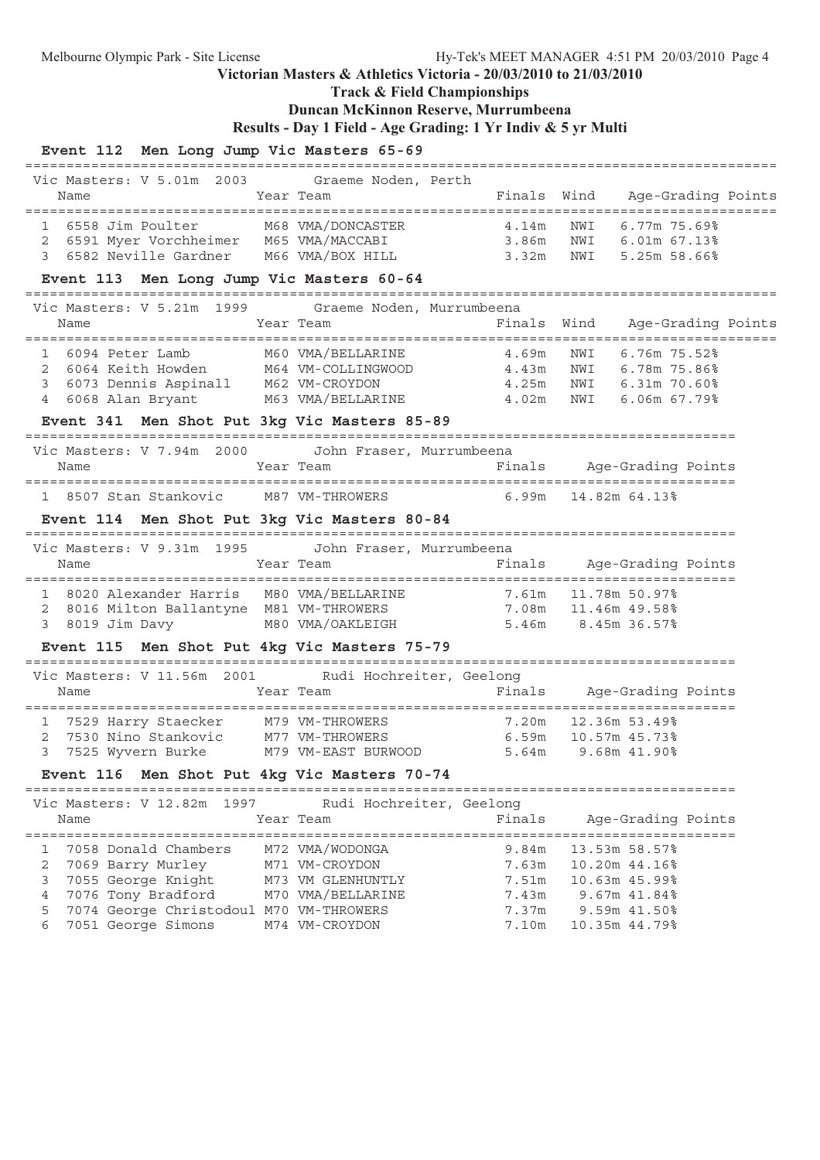**Track & Field Championships**

# **Duncan McKinnon Reserve, Murrumbeena**

**Results - Day 1 Field - Age Grading: 1 Yr Indiv & 5 yr Multi**

| Event 112 Men Long Jump Vic Masters 65-69                                                                                                                                            |                                                                             |                                                                                                            |                                                                                 |                    |
|--------------------------------------------------------------------------------------------------------------------------------------------------------------------------------------|-----------------------------------------------------------------------------|------------------------------------------------------------------------------------------------------------|---------------------------------------------------------------------------------|--------------------|
| Vic Masters: V 5.01m 2003 Graeme Noden, Perth<br>Name                                                                                                                                | Year Team                                                                   | Finals Wind                                                                                                |                                                                                 | Age-Grading Points |
| 1 6558 Jim Poulter M68 VMA/DONCASTER<br>2 6591 Myer Vorchheimer M65 VMA/MACCABI<br>3 6582 Neville Gardner M66 VMA/BOX HILL                                                           |                                                                             | ER                        4.14m      NWI        6.77m  75.69%<br>3.86m     NWI      6.01m  67.13%<br>3.32m | NWI 5.25m 58.66%                                                                |                    |
| Event 113 Men Long Jump Vic Masters 60-64<br>=================================                                                                                                       |                                                                             |                                                                                                            |                                                                                 |                    |
| Vic Masters: V 5.21m 1999 Graeme Noden, Murrumbeena<br>Year Team<br>Name                                                                                                             |                                                                             | ===========================                                                                                | Finals Wind Age-Grading Points                                                  |                    |
| 1 6094 Peter Lamb<br>6064 Keith Howden M64 VM-COLLINGWOOD 4.43m<br>$\mathbf{2}$<br>6073 Dennis Aspinall M62 VM-CROYDON<br>3<br>4 6068 Alan Bryant                                    | M60 VMA/BELLARINE                                                           | 4.69m<br>4.25m<br>M63 VMA/BELLARINE 4.02m                                                                  | NWI<br>6.76m 75.52%<br>NWI 6.78m 75.86%<br>NWI 6.31m 70.60%<br>NWI 6.06m 67.79% |                    |
| Event 341 Men Shot Put 3kg Vic Masters 85-89                                                                                                                                         |                                                                             |                                                                                                            |                                                                                 |                    |
| Vic Masters: V 7.94m 2000<br>Name                                                                                                                                                    | John Fraser, Murrumbeena<br>Year Team                                       |                                                                                                            | Finals Age-Grading Points                                                       |                    |
| 1 8507 Stan Stankovic M87 VM-THROWERS                                                                                                                                                |                                                                             |                                                                                                            | $6.99m$ 14.82m $64.13\%$                                                        |                    |
| Event 114 Men Shot Put 3kg Vic Masters 80-84                                                                                                                                         |                                                                             |                                                                                                            |                                                                                 |                    |
| Vic Masters: V 9.31m 1995<br>Name                                                                                                                                                    | John Fraser, Murrumbeena<br>Year Team                                       |                                                                                                            | Finals Age-Grading Points                                                       |                    |
| 1 8020 Alexander Harris M80 VMA/BELLARINE 7.61m 11.78m 50.97%<br>8016 Milton Ballantyne M81 VM-THROWERS 7.08m 11.46m 49.58%<br>2<br>3 8019 Jim Davy                                  |                                                                             | M80 VMA/OAKLEIGH 5.46m 8.45m 36.57%                                                                        |                                                                                 |                    |
| Event 115 Men Shot Put 4kg Vic Masters 75-79                                                                                                                                         |                                                                             |                                                                                                            |                                                                                 |                    |
| Vic Masters: V 11.56m 2001 Rudi Hochreiter, Geelong<br>Name                                                                                                                          | Year Team                                                                   |                                                                                                            | Finals Age-Grading Points                                                       |                    |
| 1 7529 Harry Staecker M79 VM-THROWERS 7.20m 12.36m 53.49%<br>2 7530 Nino Stankovic M77 VM-THROWERS 6.59m 10.57m 45.73%<br>3 7525 Wyvern Burke M79 VM-EAST BURWOOD 5.64m 9.68m 41.90% |                                                                             |                                                                                                            | 7.20m 12.36m 53.49%                                                             |                    |
| Event 116 Men Shot Put 4kg Vic Masters 70-74                                                                                                                                         |                                                                             |                                                                                                            |                                                                                 |                    |
| Vic Masters: V 12.82m<br>1997<br>Name                                                                                                                                                | Rudi Hochreiter, Geelong<br>Year Team                                       | Finals                                                                                                     | Age-Grading Points                                                              |                    |
| 7058 Donald Chambers<br>1<br>2<br>7069 Barry Murley<br>3<br>7055 George Knight<br>4<br>7076 Tony Bradford<br>5<br>7074 George Christodoul M70 VM-THROWERS                            | M72 VMA/WODONGA<br>M71 VM-CROYDON<br>M73 VM GLENHUNTLY<br>M70 VMA/BELLARINE | 9.84m<br>7.63m<br>7.51m<br>7.43m<br>7.37m                                                                  | 13.53m 58.57%<br>10.20m 44.16%<br>10.63m 45.99%<br>9.67m 41.84%<br>9.59m 41.50% |                    |
| 7051 George Simons<br>6                                                                                                                                                              | M74 VM-CROYDON                                                              | 7.10m                                                                                                      | 10.35m 44.79%                                                                   |                    |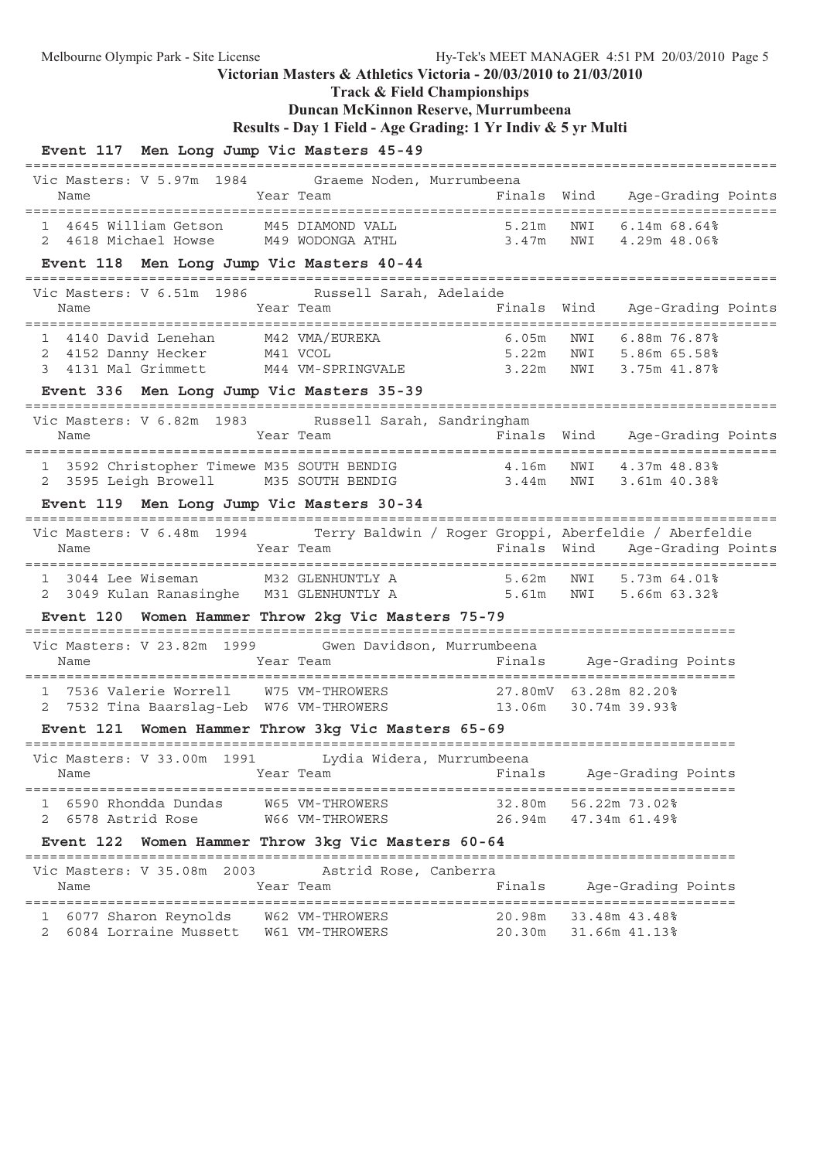**Track & Field Championships**

# **Duncan McKinnon Reserve, Murrumbeena**

**Results - Day 1 Field - Age Grading: 1 Yr Indiv & 5 yr Multi**

| Event 117 Men Long Jump Vic Masters 45-49                                                                                      |                                                             |                  |                                                          |  |
|--------------------------------------------------------------------------------------------------------------------------------|-------------------------------------------------------------|------------------|----------------------------------------------------------|--|
| Vic Masters: V 5.97m 1984 Graeme Noden, Murrumbeena<br>Name                                                                    | Year Team                                                   |                  | Finals Wind Age-Grading Points                           |  |
| 1 4645 William Getson M45 DIAMOND VALL 5.21m<br>2 4618 Michael Howse M49 WODONGA ATHL 3.47m                                    |                                                             |                  | NWI 6.14m 68.64%<br>NWI 4.29m 48.06%                     |  |
| Event 118 Men Long Jump Vic Masters 40-44                                                                                      |                                                             |                  |                                                          |  |
| Vic Masters: V 6.51m 1986 Russell Sarah, Adelaide<br>Name                                                                      | Year Team                                                   |                  | Finals Wind Age-Grading Points                           |  |
| 1 4140 David Lenehan M42 VMA/EUREKA 6.05m<br>2 4152 Danny Hecker M41 VCOL 5.22m<br>3 4131 Mal Grimmett M44 VM-SPRINGVALE 3.22m |                                                             |                  | NWI 6.88m 76.87%<br>NWI 5.86m 65.58%<br>NWI 3.75m 41.87% |  |
| Event 336 Men Long Jump Vic Masters 35-39                                                                                      |                                                             |                  |                                                          |  |
| Vic Masters: V 6.82m 1983 Russell Sarah, Sandringham<br>Name                                                                   | Year Team                                                   |                  | Finals Wind Age-Grading Points                           |  |
| 1 3592 Christopher Timewe M35 SOUTH BENDIG 4.16m<br>2 3595 Leigh Browell M35 SOUTH BENDIG 3.44m                                |                                                             |                  | NWI<br>4.37m 48.83%<br>NWI 3.61m 40.38%                  |  |
| Event 119 Men Long Jump Vic Masters 30-34                                                                                      |                                                             |                  |                                                          |  |
| Vic Masters: V 6.48m 1994 Terry Baldwin / Roger Groppi, Aberfeldie / Aberfeldie<br>Name                                        | Year Team                                                   |                  | Finals Wind Age-Grading Points                           |  |
| 1 3044 Lee Wiseman M32 GLENHUNTLY A 5.62m NWI 5.73m 64.01%<br>2 3049 Kulan Ranasinghe M31 GLENHUNTLY A 5.61m NWI 5.66m 63.32%  |                                                             |                  |                                                          |  |
| Event 120 Women Hammer Throw 2kg Vic Masters 75-79                                                                             |                                                             |                  |                                                          |  |
| Vic Masters: V 23.82m 1999 Gwen Davidson, Murrumbeena<br>Name                                                                  | Year Team                                                   |                  | Finals Age-Grading Points                                |  |
| 1 7536 Valerie Worrell W75 VM-THROWERS 27.80mV 63.28m 82.20%                                                                   | 7532 Tina Baarslag-Leb W76 VM-THROWERS 13.06m 30.74m 39.93% |                  |                                                          |  |
| Event 121 Women Hammer Throw 3kg Vic Masters 65-69                                                                             |                                                             |                  |                                                          |  |
| Vic Masters: V 33.00m 1991 Lydia Widera, Murrumbeena<br>Name                                                                   | Year Team                                                   | Finals           | Age-Grading Points                                       |  |
| 6590 Rhondda Dundas<br>6578 Astrid Rose<br>2                                                                                   | W65 VM-THROWERS<br>W66 VM-THROWERS                          | 32.80m<br>26.94m | 56.22m 73.02%<br>47.34m 61.49%                           |  |
| Event 122 Women Hammer Throw 3kg Vic Masters 60-64                                                                             |                                                             |                  |                                                          |  |
| Vic Masters: V 35.08m 2003<br>Name                                                                                             | Astrid Rose, Canberra<br>Year Team                          | Finals           | Age-Grading Points                                       |  |
| 1 6077 Sharon Reynolds W62 VM-THROWERS<br>6084 Lorraine Mussett<br>2                                                           | W61 VM-THROWERS                                             |                  | 20.98m 33.48m 43.48%<br>20.30m 31.66m 41.13%             |  |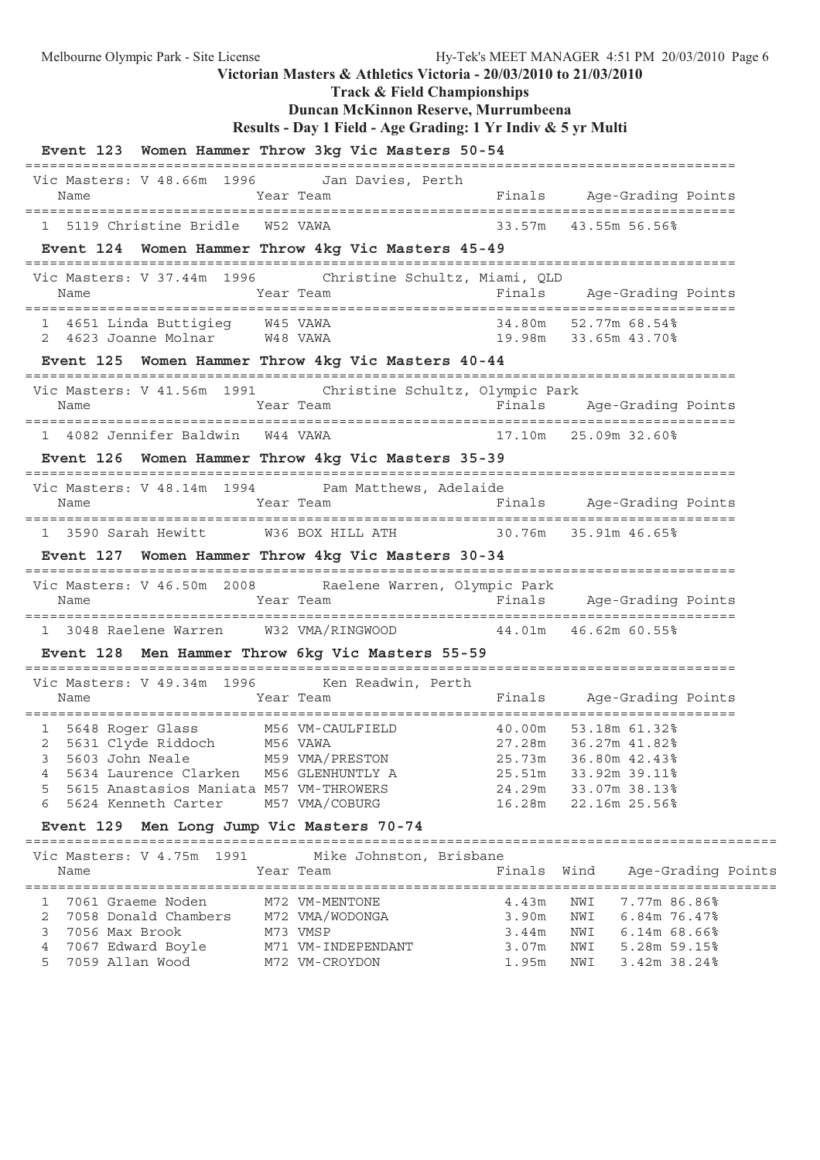Melbourne Olympic Park - Site License Hy-Tek's MEET MANAGER 4:51 PM 20/03/2010 Page 6 **Victorian Masters & Athletics Victoria - 20/03/2010 to 21/03/2010 Track & Field Championships Duncan McKinnon Reserve, Murrumbeena Results - Day 1 Field - Age Grading: 1 Yr Indiv & 5 yr Multi Event 123 Women Hammer Throw 3kg Vic Masters 50-54** ====================================================================================== Vic Masters: V 48.66m 1996 Jan Davies, Perth Name Tear Team Team Finals Age-Grading Points ====================================================================================== 1 5119 Christine Bridle W52 VAWA 33.57m 43.55m 56.56% **Event 124 Women Hammer Throw 4kg Vic Masters 45-49** ====================================================================================== Vic Masters: V 37.44m 1996 Christine Schultz, Miami, QLD Name Team Team Finals Age-Grading Points ====================================================================================== 1 4651 Linda Buttigieg W45 VAWA 34.80m 52.77m 68.54% 2 4623 Joanne Molnar W48 VAWA 19.98m 33.65m 43.70% **Event 125 Women Hammer Throw 4kg Vic Masters 40-44** ====================================================================================== Vic Masters: V 41.56m 1991 Christine Schultz, Olympic Park Name Tear Team Team Finals Age-Grading Points ====================================================================================== 1 4082 Jennifer Baldwin W44 VAWA 17.10m 25.09m 32.60% **Event 126 Women Hammer Throw 4kg Vic Masters 35-39** ====================================================================================== Vic Masters: V 48.14m 1994 Pam Matthews, Adelaide Name Team Team Finals Age-Grading Points ====================================================================================== 1 3590 Sarah Hewitt W36 BOX HILL ATH 30.76m 35.91m 46.65% **Event 127 Women Hammer Throw 4kg Vic Masters 30-34** ====================================================================================== Vic Masters: V 46.50m 2008 Raelene Warren, Olympic Park Name Year Team Finals Age-Grading Points ====================================================================================== 1 3048 Raelene Warren W32 VMA/RINGWOOD 44.01m 46.62m 60.55% **Event 128 Men Hammer Throw 6kg Vic Masters 55-59** ======================================================================================

|   |      | Vic Masters: V 49.34m 1996              | Ken Readwin, Perth |        |                      |
|---|------|-----------------------------------------|--------------------|--------|----------------------|
|   | Name |                                         | Year Team          | Finals | Age-Grading Points   |
|   |      |                                         |                    |        |                      |
|   |      | 5648 Roger Glass                        | M56 VM-CAULFIELD   | 40.00m | 53.18m 61.32%        |
| 2 |      | 5631 Clyde Riddoch                      | M56 VAWA           |        | 27.28m 36.27m 41.82% |
| 3 |      | 5603 John Neale                         | M59 VMA/PRESTON    | 25.73m | 36.80m 42.43%        |
| 4 |      | 5634 Laurence Clarken                   | M56 GLENHUNTLY A   | 25.51m | 33.92m 39.11%        |
| 5 |      | 5615 Anastasios Maniata M57 VM-THROWERS |                    | 24.29m | 33.07m 38.13%        |
| 6 |      | 5624 Kenneth Carter M57 VMA/COBURG      |                    |        | 16.28m 22.16m 25.56% |

#### **Event 129 Men Long Jump Vic Masters 70-74**

| Vic Masters: V 4.75m 1991<br>Name | Mike Johnston, Brisbane<br>Year Team | Finals Wind |     | Age-Grading Points |
|-----------------------------------|--------------------------------------|-------------|-----|--------------------|
| 1 7061 Graeme Noden               | M72 VM-MENTONE                       | 4.43m       | NWI | 7.77m 86.86%       |
| 7058 Donald Chambers              | M72 VMA/WODONGA                      | 3.90m       | NWI | 6.84m 76.47%       |
| 7056 Max Brook                    | M73 VMSP                             | 3.44m       | NWI | $6.14m68.66\%$     |
| 7067 Edward Boyle                 | M71 VM-INDEPENDANT                   | 3.07m       | NWI | 5.28m 59.15%       |
| 5 7059 Allan Wood                 | M72 VM-CROYDON                       | 1.95m       | NWI | 3.42m 38.24%       |
|                                   |                                      |             |     |                    |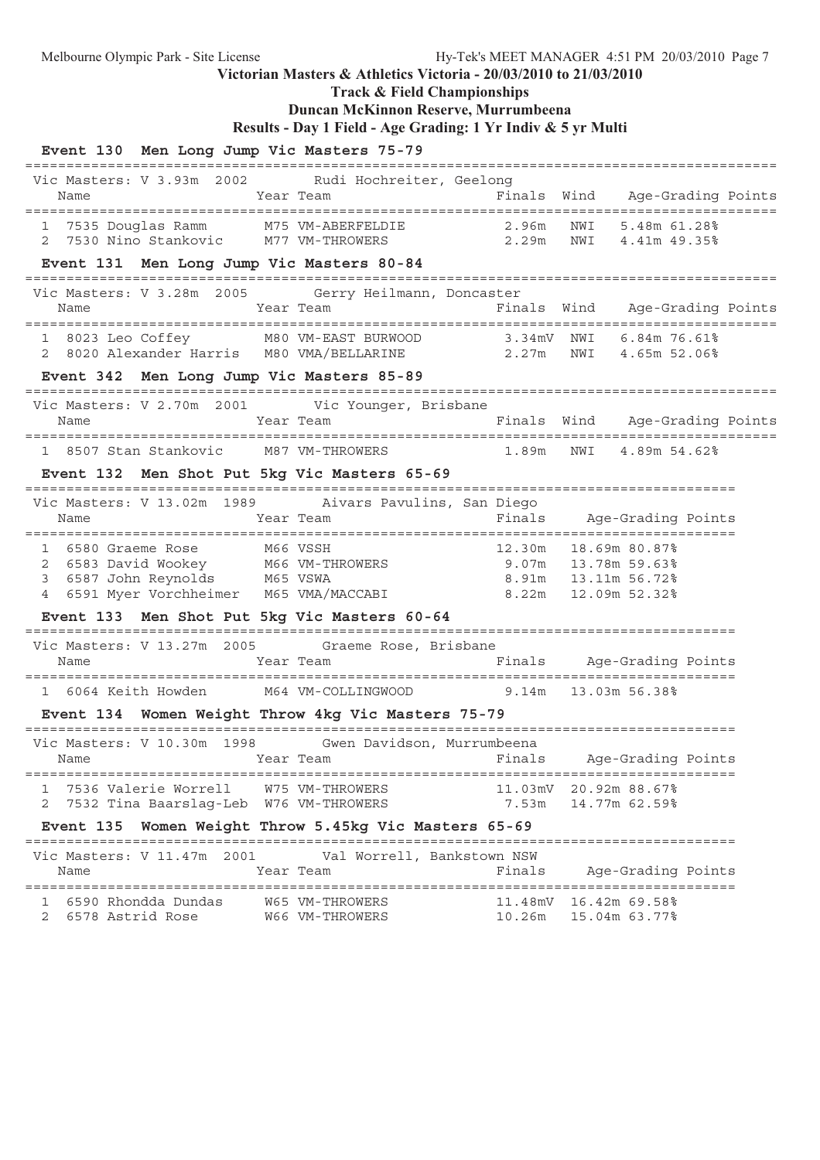**Track & Field Championships**

## **Duncan McKinnon Reserve, Murrumbeena**

**Results - Day 1 Field - Age Grading: 1 Yr Indiv & 5 yr Multi**

| Event 130 Men Long Jump Vic Masters 75-79                                                                                               |                                                              |                                                                         |
|-----------------------------------------------------------------------------------------------------------------------------------------|--------------------------------------------------------------|-------------------------------------------------------------------------|
| Vic Masters: V 3.93m 2002 Rudi Hochreiter, Geelong<br>Year Team<br>Name                                                                 |                                                              | Finals Wind Age-Grading Points                                          |
| 1 7535 Douglas Ramm M75 VM-ABERFELDIE 2.96m<br>2 7530 Nino Stankovic M77 VM-THROWERS 2.29m<br>Event 131 Men Long Jump Vic Masters 80-84 | 2.29m                                                        | NWI 5.48m 61.28%<br>NWI 4.41m 49.35%                                    |
|                                                                                                                                         |                                                              |                                                                         |
| Vic Masters: V 3.28m 2005 Gerry Heilmann, Doncaster<br>Name                                                                             | Year Team                                                    | Finals Wind Age-Grading Points                                          |
| 1 8023 Leo Coffey M80 VM-EAST BURWOOD 3.34mV NWI 6.84m 76.61%<br>2 8020 Alexander Harris M80 VMA/BELLARINE 2.27m NWI 4.65m 52.06%       |                                                              |                                                                         |
| Event 342 Men Long Jump Vic Masters 85-89                                                                                               |                                                              |                                                                         |
| Vic Masters: V 2.70m 2001 Vic Younger, Brisbane                                                                                         |                                                              |                                                                         |
| Name                                                                                                                                    | Year Team The South School of Finals Wind Age-Grading Points |                                                                         |
| 1 8507 Stan Stankovic M87 VM-THROWERS                                                                                                   |                                                              | 1.89m NWI 4.89m 54.62%                                                  |
| Event 132 Men Shot Put 5kg Vic Masters 65-69                                                                                            |                                                              |                                                                         |
| Vic Masters: V 13.02m 1989 Aivars Pavulins, San Diego                                                                                   |                                                              |                                                                         |
| Year Team<br>Name                                                                                                                       |                                                              | Finals Age-Grading Points                                               |
| 1 6580 Graeme Rose M66 VSSH<br>2 6583 David Wookey M66 VM-THROWERS 3 6587 John Reynolds M65 VSWA 8.91m 13.11m 56.72%                    | 12.30m                                                       | 18.69m 80.87%<br>8.91m    13.11m    56.72%<br>8.22m    12.09m    52.32% |
| Event 133 Men Shot Put 5kg Vic Masters 60-64                                                                                            |                                                              |                                                                         |
| Vic Masters: V 13.27m 2005 Graeme Rose, Brisbane<br>Year Team<br>Name                                                                   |                                                              | Finals Age-Grading Points                                               |
| 1 6064 Keith Howden M64 VM-COLLINGWOOD 9.14m 13.03m 56.38%                                                                              |                                                              |                                                                         |
| Event 134 Women Weight Throw 4kg Vic Masters 75-79                                                                                      |                                                              |                                                                         |
| Vic Masters: V 10.30m 1998 Gwen Davidson, Murrumbeena<br>Name                                                                           | Year Team National State of Pinals Age-Grading Points        |                                                                         |
| 1 7536 Valerie Worrell W75 VM-THROWERS<br>2 7532 Tina Baarslag-Leb W76 VM-THROWERS                                                      |                                                              | 11.03mV 20.92m 88.67%<br>7.53m 14.77m 62.59%                            |
| Event 135 Women Weight Throw 5.45kg Vic Masters 65-69                                                                                   |                                                              |                                                                         |
| Vic Masters: V 11.47m 2001 Val Worrell, Bankstown NSW<br>Year Team<br>Name                                                              | Finals                                                       | Age-Grading Points                                                      |
|                                                                                                                                         |                                                              | 11.48mV 16.42m 69.58%<br>10.26m  15.04m  63.77%                         |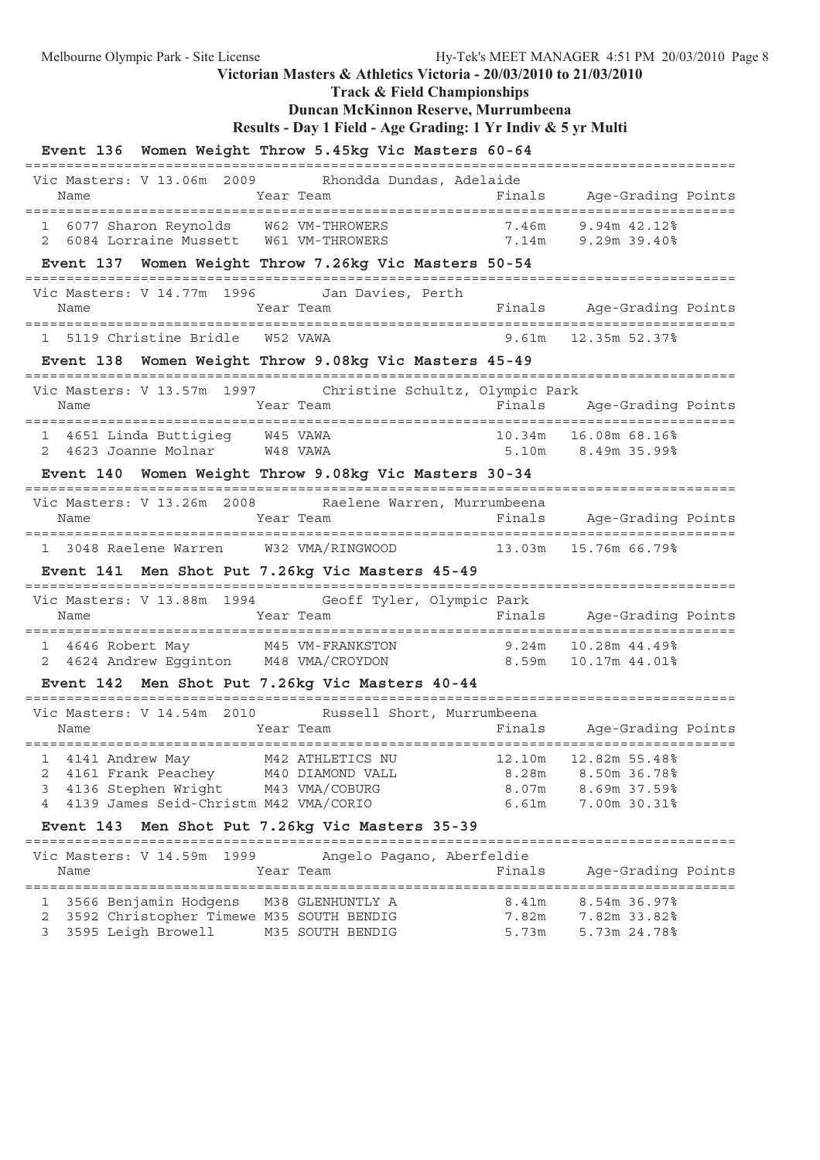**Track & Field Championships**

## **Duncan McKinnon Reserve, Murrumbeena**

```
Results - Day 1 Field - Age Grading: 1 Yr Indiv & 5 yr Multi
```

| Event 136 Women Weight Throw 5.45kg Vic Masters 60-64                                                                                                                                        |        |                                                          |  |
|----------------------------------------------------------------------------------------------------------------------------------------------------------------------------------------------|--------|----------------------------------------------------------|--|
| Vic Masters: V 13.06m 2009 Rhondda Dundas, Adelaide<br><b>Example 21 Year Team</b><br>Name                                                                                                   |        | Finals Age-Grading Points                                |  |
| 1 6077 Sharon Reynolds M62 VM-THROWERS 7.46m 9.94m 42.12%<br>2 6084 Lorraine Mussett M61 VM-THROWERS 7.14m 9.29m 39.40%                                                                      |        |                                                          |  |
| Event 137 Women Weight Throw 7.26kg Vic Masters 50-54                                                                                                                                        |        |                                                          |  |
| Vic Masters: V 14.77m 1996 Jan Davies, Perth<br>Year Team                                                                                                                                    |        |                                                          |  |
| 1 5119 Christine Bridle W52 VAWA                                                                                                                                                             |        | $9.61m$ 12.35m 52.37%                                    |  |
| Event 138 Women Weight Throw 9.08kg Vic Masters 45-49                                                                                                                                        |        |                                                          |  |
| Vic Masters: V 13.57m 1997 Christine Schultz, Olympic Park                                                                                                                                   |        |                                                          |  |
| 1 4651 Linda Buttigieg W45 VAWA<br>2 4623 Joanne Molnar M48 VAWA                                                                                                                             |        | 10.34m 16.08m 68.16%<br>5.10m 8.49m 35.99%               |  |
| Event 140 Women Weight Throw 9.08kg Vic Masters 30-34                                                                                                                                        |        |                                                          |  |
| Vic Masters: V 13.26m 2008 Raelene Warren, Murrumbeena<br>Year Team<br>Name                                                                                                                  |        | Finals Age-Grading Points                                |  |
| 1 3048 Raelene Warren W32 VMA/RINGWOOD 13.03m 15.76m 66.79%                                                                                                                                  |        |                                                          |  |
| Event 141 Men Shot Put 7.26kg Vic Masters 45-49                                                                                                                                              |        |                                                          |  |
| Vic Masters: V 13.88m 1994 Geoff Tyler, Olympic Park                                                                                                                                         |        |                                                          |  |
| 1 4646 Robert May M45 VM-FRANKSTON 9.24m 10.28m 44.49%<br>2 4624 Andrew Egginton M48 VMA/CROYDON 8.59m 10.17m 44.01%                                                                         |        |                                                          |  |
| Event 142 Men Shot Put 7.26kg Vic Masters 40-44                                                                                                                                              |        |                                                          |  |
| Vic Masters: V 14.54m 2010 Russell Short, Murrumbeena<br>Year Team<br>Name                                                                                                                   |        | Finals Age-Grading Points                                |  |
| 1 4141 Andrew May 642 ATHLETICS NU 12.10m 12.82m 55.48%<br>4161 Frank Peachey M40 DIAMOND VALL<br>2<br>4136 Stephen Wright M43 VMA/COBURG<br>3<br>4139 James Seid-Christm M42 VMA/CORIO<br>4 | 6.61m  | 8.28m 8.50m 36.78%<br>8.07m 8.69m 37.59%<br>7.00m 30.31% |  |
| Event 143 Men Shot Put 7.26kg Vic Masters 35-39                                                                                                                                              |        |                                                          |  |
| Angelo Pagano, Aberfeldie<br>Vic Masters: V 14.59m 1999<br>Year Team<br>Name                                                                                                                 | Finals | Age-Grading Points                                       |  |
| 1 3566 Benjamin Hodgens M38 GLENHUNTLY A<br>3592 Christopher Timewe M35 SOUTH BENDIG<br>2<br>3595 Leigh Browell M35 SOUTH BENDIG<br>3                                                        | 5.73m  | 8.41m 8.54m 36.97%<br>7.82m 7.82m 33.82%<br>5.73m 24.78% |  |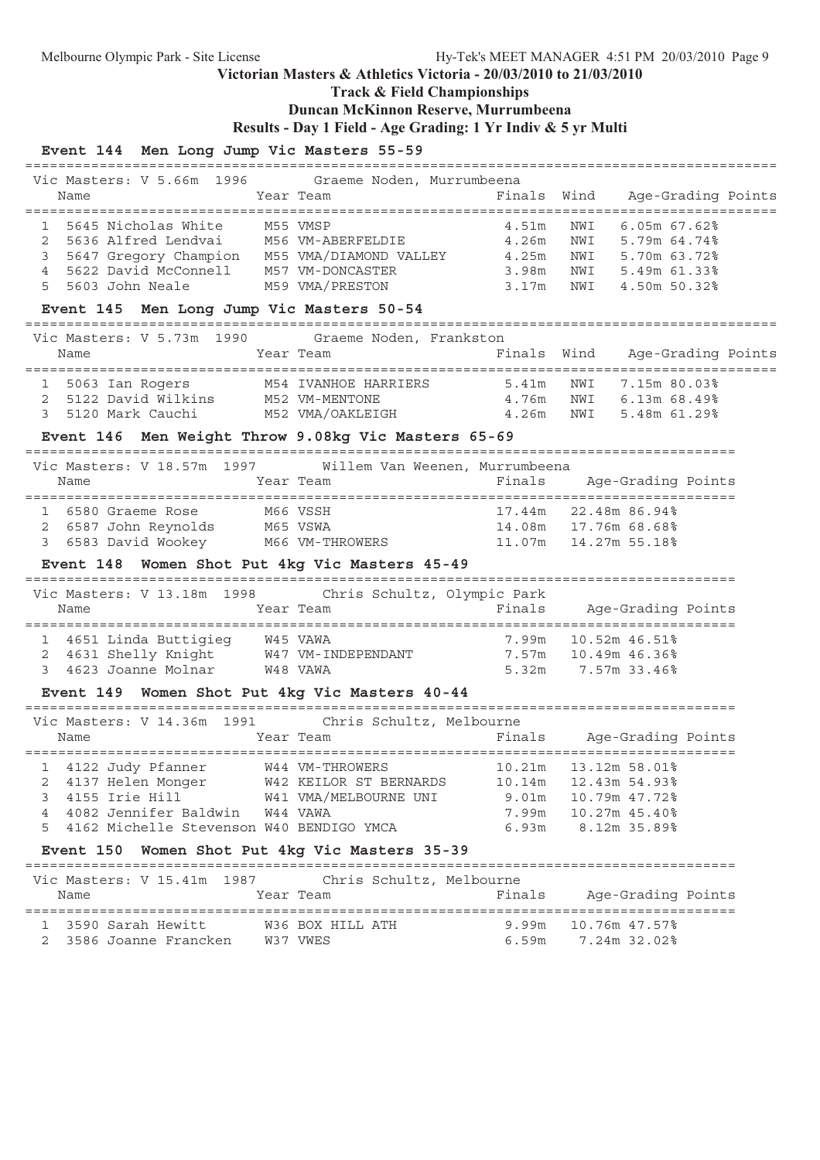**Track & Field Championships**

## **Duncan McKinnon Reserve, Murrumbeena**

**Results - Day 1 Field - Age Grading: 1 Yr Indiv & 5 yr Multi**

## **Event 144 Men Long Jump Vic Masters 55-59**

| Name                                                                           | Year Team        |                        | Finals Wind Age-Grading Points |                                |  |
|--------------------------------------------------------------------------------|------------------|------------------------|--------------------------------|--------------------------------|--|
|                                                                                |                  |                        |                                |                                |  |
| 1 5645 Nicholas White M55 VMSP                                                 |                  |                        | 4.51m                          | NWI 6.05m 67.62%               |  |
| 2 5636 Alfred Lendvai M56 VM-ABERFELDIE 4.26m                                  |                  |                        |                                | NWI 5.79m 64.74%               |  |
| 5647 Gregory Champion M55 VMA/DIAMOND VALLEY 4.25m<br>3                        |                  |                        |                                | NWI 5.70m 63.72%               |  |
| 5622 David McConnell M57 VM-DONCASTER<br>$\overline{4}$                        |                  |                        | 3.98m                          | NWI 5.49m 61.33%               |  |
| 5<br>5603 John Neale<br>M59 VMA/PRESTON                                        |                  |                        | 3.17m                          | NWI 4.50m 50.32%               |  |
| Event 145 Men Long Jump Vic Masters 50-54                                      |                  |                        |                                |                                |  |
| Vic Masters: V 5.73m 1990 Graeme Noden, Frankston                              |                  |                        |                                |                                |  |
| Name                                                                           | Year Team        |                        |                                | Finals Wind Age-Grading Points |  |
|                                                                                |                  |                        |                                |                                |  |
| 1 5063 Ian Rogers M54 IVANHOE HARRIERS 5.41m                                   |                  |                        |                                | NWI 7.15m 80.03%               |  |
| 2 5122 David Wilkins M52 VM-MENTONE                                            |                  |                        | 4.76m                          | NWI 6.13m 68.49%               |  |
| 3<br>5120 Mark Cauchi                                                          |                  |                        | M52 VMA/OAKLEIGH 4.26m         | NWI 5.48m 61.29%               |  |
| Event 146 Men Weight Throw 9.08kg Vic Masters 65-69                            |                  |                        |                                |                                |  |
| Vic Masters: V 18.57m 1997 Willem Van Weenen, Murrumbeena                      |                  |                        |                                |                                |  |
| Year Team<br>Name                                                              |                  |                        | Finals                         | Age-Grading Points             |  |
|                                                                                |                  |                        |                                |                                |  |
| 1 6580 Graeme Rose                                                             | M66 VSSH         |                        |                                | 17.44m 22.48m 86.94%           |  |
| 6587 John Reynolds        M65 VSWA<br>6583 David Wookey        M66 VM-THROWERS |                  |                        |                                | 14.08m   17.76m   68.68%       |  |
| 3                                                                              |                  |                        |                                |                                |  |
|                                                                                |                  |                        |                                |                                |  |
| Event 148 Women Shot Put 4kg Vic Masters 45-49                                 |                  |                        |                                |                                |  |
|                                                                                |                  |                        |                                |                                |  |
| Vic Masters: V 13.18m 1998 Chris Schultz, Olympic Park                         |                  |                        |                                |                                |  |
| Name                                                                           | Year Team        |                        | Finals Age-Grading Points      |                                |  |
|                                                                                |                  |                        |                                |                                |  |
| 1 4651 Linda Buttigieg W45 VAWA                                                |                  |                        | 7.99m 10.52m 46.51%            |                                |  |
| 4631 Shelly Knight W47 VM-INDEPENDANT 7.57m 10.49m 46.36%<br>2                 |                  |                        |                                |                                |  |
| 3 4623 Joanne Molnar W48 VAWA                                                  |                  |                        | 5.32m 7.57m 33.46%             |                                |  |
| Event 149 Women Shot Put 4kg Vic Masters 40-44                                 |                  |                        |                                |                                |  |
| Vic Masters: V 14.36m 1991 Chris Schultz, Melbourne                            |                  |                        |                                |                                |  |
| Name                                                                           | Year Team        |                        | Finals Age-Grading Points      |                                |  |
|                                                                                |                  |                        |                                |                                |  |
| 1 4122 Judy Pfanner W44 VM-THROWERS                                            |                  |                        | 10.21m                         | 13.12m 58.01%                  |  |
| 4137 Helen Monger<br>2                                                         |                  | W42 KEILOR ST BERNARDS | 10.14m                         | 12.43m 54.93%                  |  |
| 4155 Irie Hill<br>3                                                            |                  | W41 VMA/MELBOURNE UNI  | 9.01m                          | 10.79m 47.72%                  |  |
| 4082 Jennifer Baldwin<br>4                                                     | W44 VAWA         |                        | 7.99m                          | 10.27m 45.40%                  |  |
| 4162 Michelle Stevenson W40 BENDIGO YMCA<br>5                                  |                  |                        | 6.93m                          | 8.12m 35.89%                   |  |
| Event 150 Women Shot Put 4kg Vic Masters 35-39                                 |                  |                        |                                |                                |  |
|                                                                                |                  |                        |                                |                                |  |
| Vic Masters: V 15.41m 1987                                                     |                  |                        | Chris Schultz, Melbourne       |                                |  |
| Name                                                                           | Year Team        |                        | Finals                         | Age-Grading Points             |  |
| 3590 Sarah Hewitt<br>1                                                         | W36 BOX HILL ATH |                        | 9.99m                          | 10.76m 47.57%                  |  |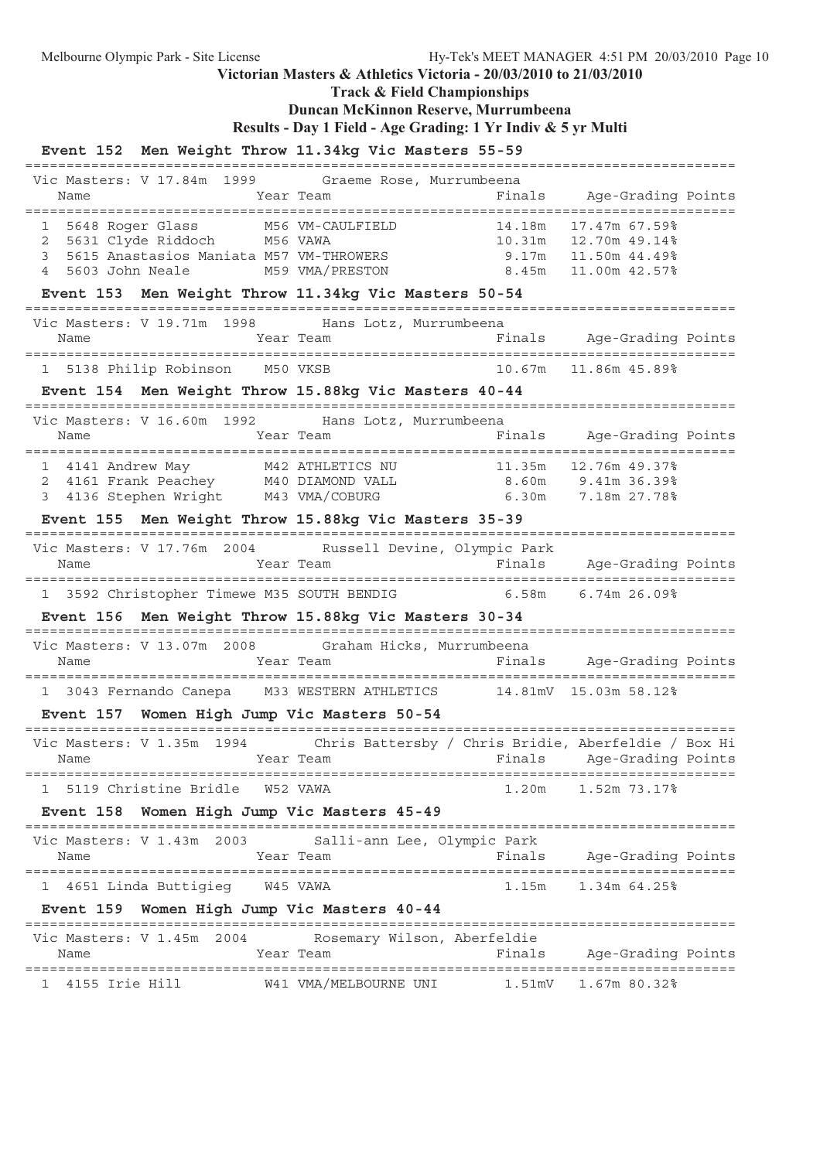**Track & Field Championships**

## **Duncan McKinnon Reserve, Murrumbeena**

**Results - Day 1 Field - Age Grading: 1 Yr Indiv & 5 yr Multi**

**Event 152 Men Weight Throw 11.34kg Vic Masters 55-59**

| Men Merghic Throm                                                                                                                                             | LI.SING VIC MASCELS SS                                        |                                                        |
|---------------------------------------------------------------------------------------------------------------------------------------------------------------|---------------------------------------------------------------|--------------------------------------------------------|
| Vic Masters: V 17.84m 1999<br>Year Team<br>Name                                                                                                               | Graeme Rose, Murrumbeena                                      | Finals Age-Grading Points                              |
| 1 5648 Roger Glass M56 VM-CAULFIELD<br>2 5631 Clyde Riddoch M56 VAWA<br>3<br>4 5603 John Neale M59 VMA/PRESTON                                                | 8.45m                                                         | 11.00m 42.57%                                          |
| Event 153 Men Weight Throw 11.34kg Vic Masters 50-54                                                                                                          |                                                               |                                                        |
| Vic Masters: V 19.71m 1998 Hans Lotz, Murrumbeena<br>Year Team<br>Name                                                                                        |                                                               | Finals Age-Grading Points                              |
| 1 5138 Philip Robinson M50 VKSB                                                                                                                               |                                                               | 10.67m   11.86m   45.89%                               |
| Event 154 Men Weight Throw 15.88kg Vic Masters 40-44                                                                                                          |                                                               |                                                        |
| Vic Masters: V 16.60m 1992 Hans Lotz, Murrumbeena<br>Year Team<br>Name                                                                                        |                                                               | Finals Age-Grading Points                              |
| 1 4141 Andrew May 11.35m 12.76m 49.37%<br>2 4161 Frank Peachey 140 DIAMOND VALL 8.60m 9.41m 36.39%<br>3 4136 Stephen Wright 143 VMA/COBURG 6.30m 7.18m 27.78% |                                                               |                                                        |
| Event 155 Men Weight Throw 15.88kg Vic Masters 35-39                                                                                                          |                                                               | ==============================                         |
| Vic Masters: V 17.76m 2004 Russell Devine, Olympic Park<br>Name                                                                                               |                                                               | Year Team Finals Age-Grading Points                    |
|                                                                                                                                                               |                                                               |                                                        |
|                                                                                                                                                               | 1 3592 Christopher Timewe M35 SOUTH BENDIG 6.58m 6.74m 26.09% |                                                        |
| Event 156 Men Weight Throw 15.88kg Vic Masters 30-34                                                                                                          |                                                               |                                                        |
| Vic Masters: V 13.07m 2008 Graham Hicks, Murrumbeena<br>Name                                                                                                  |                                                               | Year Team The Pinals Age-Grading Points                |
| 1 3043 Fernando Canepa M33 WESTERN ATHLETICS 14.81mV 15.03m 58.12%                                                                                            |                                                               |                                                        |
| Event 157 Women High Jump Vic Masters 50-54                                                                                                                   |                                                               |                                                        |
| Vic Masters: V 1.35m 1994 Chris Battersby / Chris Bridie, Aberfeldie / Box Hi<br>Year Team<br>Name                                                            |                                                               | Finals Age-Grading Points                              |
| 5119 Christine Bridle<br>W52 VAWA                                                                                                                             |                                                               | =============================<br>1.20m<br>1.52m 73.17% |
| Event 158 Women High Jump Vic Masters 45-49                                                                                                                   |                                                               |                                                        |
| ___________________________________<br>Vic Masters: V 1.43m 2003<br>Name                                                                                      | Salli-ann Lee, Olympic Park<br>Year Team                      | Age-Grading Points<br>Finals                           |
| 4651 Linda Buttigieg<br>W45 VAWA<br>ı                                                                                                                         |                                                               | ========================<br>1.15m<br>1.34m 64.25%      |
| Event 159 Women High Jump Vic Masters 40-44                                                                                                                   |                                                               |                                                        |
| Vic Masters: V 1.45m 2004<br>Name                                                                                                                             | Rosemary Wilson, Aberfeldie<br>Year Team                      | Finals<br>Age-Grading Points                           |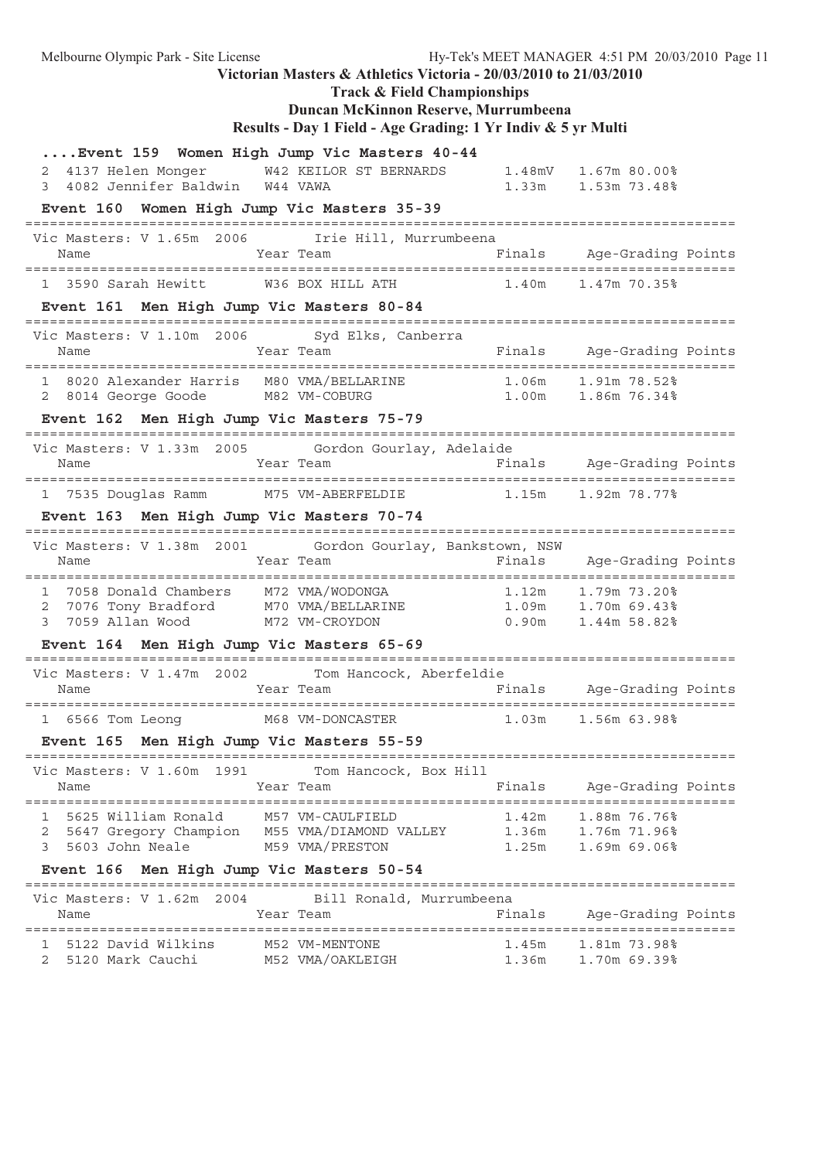Melbourne Olympic Park - Site License Hy-Tek's MEET MANAGER 4:51 PM 20/03/2010 Page 11 **Victorian Masters & Athletics Victoria - 20/03/2010 to 21/03/2010 Track & Field Championships Duncan McKinnon Reserve, Murrumbeena Results - Day 1 Field - Age Grading: 1 Yr Indiv & 5 yr Multi ....Event 159 Women High Jump Vic Masters 40-44** 2 4137 Helen Monger W42 KEILOR ST BERNARDS 1.48mV 1.67m 80.00% 3 4082 Jennifer Baldwin W44 VAWA 1.33m 1.53m 73.48% **Event 160 Women High Jump Vic Masters 35-39** ====================================================================================== Vic Masters: V 1.65m 2006 Irie Hill, Murrumbeena<br>Name Year Team Name Year Team Finals Age-Grading Points ====================================================================================== 1 3590 Sarah Hewitt W36 BOX HILL ATH 1.40m 1.47m 70.35% **Event 161 Men High Jump Vic Masters 80-84** ====================================================================================== Vic Masters: V 1.10m 2006 Syd Elks, Canberra Name Tear Team Team Finals Age-Grading Points ====================================================================================== 1 8020 Alexander Harris M80 VMA/BELLARINE 1.06m 1.91m 78.52% 2 8014 George Goode M82 VM-COBURG 1.00m 1.86m 76.34% **Event 162 Men High Jump Vic Masters 75-79** ====================================================================================== Vic Masters: V 1.33m 2005 Gordon Gourlay, Adelaide Name Year Team Finals Age-Grading Points ====================================================================================== 1 7535 Douglas Ramm M75 VM-ABERFELDIE 1.15m 1.92m 78.77% **Event 163 Men High Jump Vic Masters 70-74** ====================================================================================== Vic Masters: V 1.38m 2001 Gordon Gourlay, Bankstown, NSW Name Team Team Finals Age-Grading Points ====================================================================================== 1 7058 Donald Chambers M72 VMA/WODONGA 1.12m 1.79m 73.20% 2 7076 Tony Bradford M70 VMA/BELLARINE 1.09m 1.70m 69.43% 3 7059 Allan Wood M72 VM-CROYDON 0.90m 1.44m 58.82% **Event 164 Men High Jump Vic Masters 65-69** ====================================================================================== Vic Masters: V 1.47m 2002 Tom Hancock, Aberfeldie Name Tear Team Finals Age-Grading Points ====================================================================================== 1 6566 Tom Leong M68 VM-DONCASTER 1.03m 1.56m 63.98% **Event 165 Men High Jump Vic Masters 55-59** ====================================================================================== Vic Masters: V 1.60m 1991 Tom Hancock, Box Hill Name Tear Team Team Finals Age-Grading Points ====================================================================================== 1 5625 William Ronald M57 VM-CAULFIELD 1.42m 1.88m 76.76% 2 5647 Gregory Champion M55 VMA/DIAMOND VALLEY 1.36m 1.76m 71.96% 3 5603 John Neale M59 VMA/PRESTON 1.25m 1.69m 69.06% **Event 166 Men High Jump Vic Masters 50-54** ====================================================================================== Vic Masters: V 1.62m 2004 Bill Ronald, Murrumbeena<br>Name Fir Name Team Team Finals Age-Grading Points ====================================================================================== 1 5122 David Wilkins M52 VM-MENTONE 1.45m 1.81m 73.98% 2 5120 Mark Cauchi M52 VMA/OAKLEIGH 1.36m 1.70m 69.39%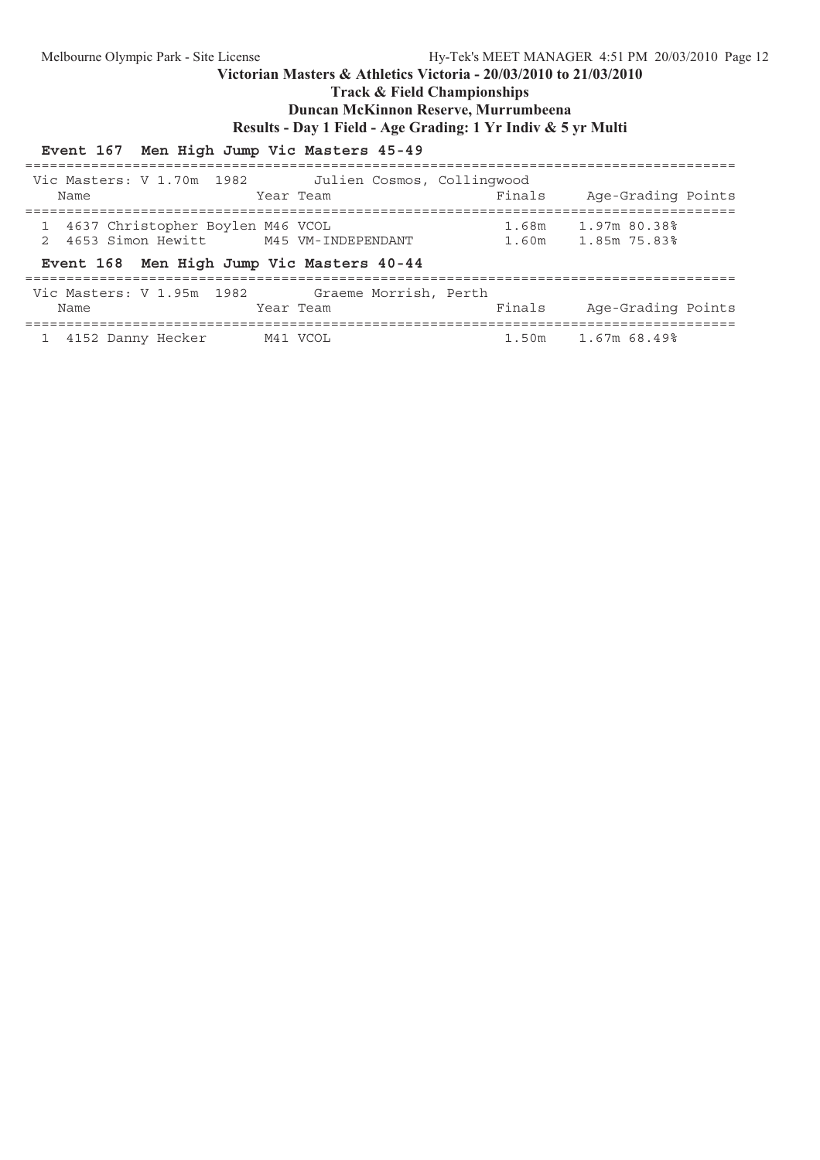**Track & Field Championships**

## **Duncan McKinnon Reserve, Murrumbeena**

**Results - Day 1 Field - Age Grading: 1 Yr Indiv & 5 yr Multi**

## **Event 167 Men High Jump Vic Masters 45-49**

| Vic Masters: V 1.70m 1982<br>Name                                                                                                      |          | Julien Cosmos, Collingwood<br>Year Team | Finals         | Age-Grading Points           |
|----------------------------------------------------------------------------------------------------------------------------------------|----------|-----------------------------------------|----------------|------------------------------|
| 4637 Christopher Boylen M46 VCOL<br>4653 Simon Hewitt M45 VM-INDEPENDANT<br>$\mathcal{D}$<br>Event 168 Men High Jump Vic Masters 40-44 |          |                                         | 1.68m<br>1.60m | 1.97m 80.38%<br>1.85m 75.83% |
| Vic Masters: V 1.95m 1982 Graeme Morrish, Perth<br>Name                                                                                |          | Year Team                               | Finals         | Age-Grading Points           |
| 4152 Danny Hecker                                                                                                                      | M41 VCOL |                                         |                | 1.50m 1.67m 68.49%           |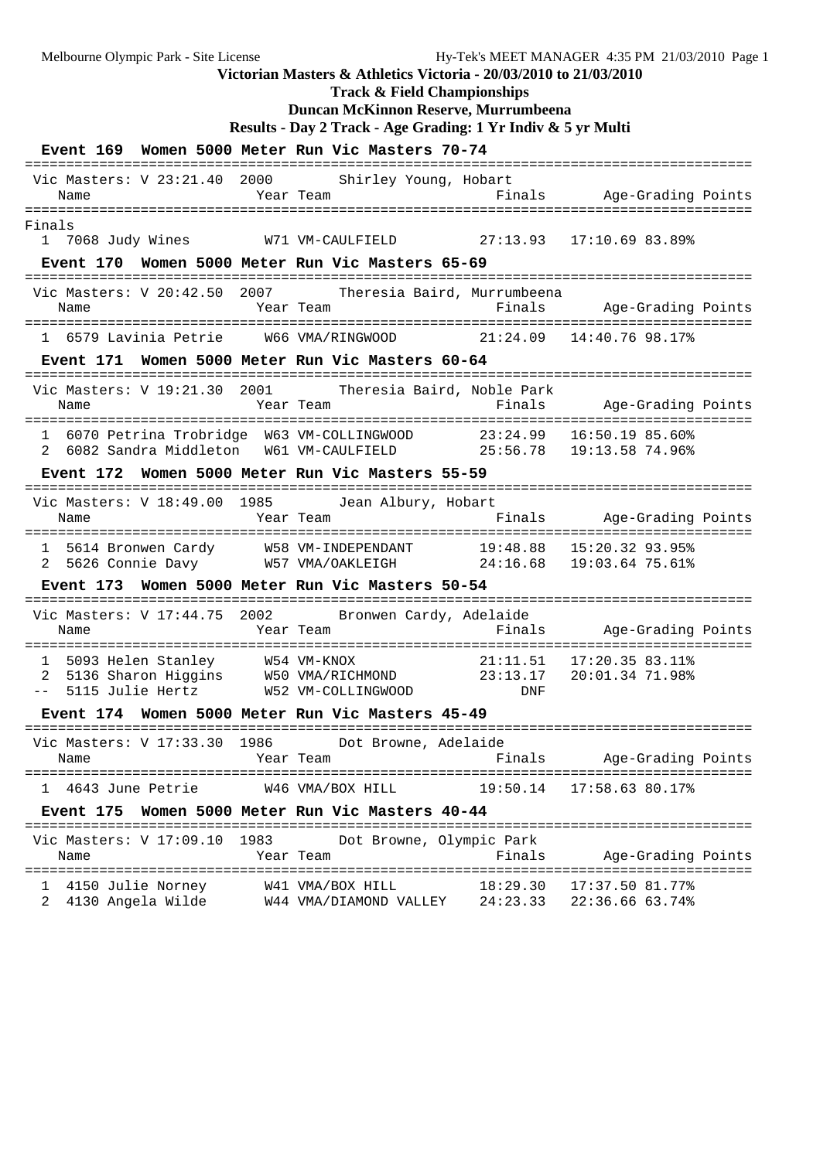**Track & Field Championships**

## **Duncan McKinnon Reserve, Murrumbeena**

**Results - Day 2 Track - Age Grading: 1 Yr Indiv & 5 yr Multi**

|                                                                  | Event 169 Women 5000 Meter Run Vic Masters 70-74                                                                                          |      |                                                     |                          |                 |                                      |                    |  |
|------------------------------------------------------------------|-------------------------------------------------------------------------------------------------------------------------------------------|------|-----------------------------------------------------|--------------------------|-----------------|--------------------------------------|--------------------|--|
| Vic Masters: V 23:21.40 2000 Shirley Young, Hobart<br>Name       |                                                                                                                                           |      | Year Team                                           |                          |                 | Finals Age-Grading Points            |                    |  |
| Finals<br>1 7068 Judy Wines                                      |                                                                                                                                           |      | W71 VM-CAULFIELD 27:13.93                           |                          |                 | 17:10.69 83.89%                      |                    |  |
|                                                                  | Event 170 Women 5000 Meter Run Vic Masters 65-69                                                                                          |      |                                                     |                          |                 |                                      |                    |  |
| Vic Masters: V 20:42.50 2007 Theresia Baird, Murrumbeena<br>Name |                                                                                                                                           |      | Year Team                                           |                          |                 | Finals Age-Grading Points            |                    |  |
|                                                                  | 1 6579 Lavinia Petrie W66 VMA/RINGWOOD 21:24.09 14:40.76 98.17%                                                                           |      |                                                     |                          |                 |                                      |                    |  |
|                                                                  | Event 171 Women 5000 Meter Run Vic Masters 60-64                                                                                          |      |                                                     |                          |                 |                                      |                    |  |
| Vic Masters: V 19:21.30 2001 Theresia Baird, Noble Park<br>Name  |                                                                                                                                           |      | Year Team                                           |                          |                 | Finals Age-Grading Points            |                    |  |
|                                                                  | 1 6070 Petrina Trobridge W63 VM-COLLINGWOOD 23:24.99 16:50.19 85.60%<br>2 6082 Sandra Middleton W61 VM-CAULFIELD 25:56.78 19:13.58 74.96% |      |                                                     |                          |                 |                                      |                    |  |
|                                                                  | Event 172 Women 5000 Meter Run Vic Masters 55-59                                                                                          |      |                                                     |                          |                 |                                      |                    |  |
| Vic Masters: V 18:49.00 1985 Jean Albury, Hobart                 |                                                                                                                                           |      |                                                     |                          |                 |                                      |                    |  |
|                                                                  | 1 5614 Bronwen Cardy M58 VM-INDEPENDANT 19:48.88 15:20.32 93.95%<br>2 5626 Connie Davy W57 VMA/OAKLEIGH 24:16.68 19:03.64 75.61%          |      |                                                     |                          |                 |                                      |                    |  |
|                                                                  | Event 173 Women 5000 Meter Run Vic Masters 50-54                                                                                          |      |                                                     |                          |                 |                                      |                    |  |
| Vic Masters: V 17:44.75 2002 Bronwen Cardy, Adelaide<br>Name     |                                                                                                                                           |      | Year Team                                           |                          |                 | Finals Age-Grading Points            |                    |  |
| $\mathbf{1}$<br>2<br>$- -$                                       | 5093 Helen Stanley M54 VM-KNOX<br>5136 Sharon Higgins W50 VMA/RICHMOND 23:13.17<br>5115 Julie Hertz W52 VM-COLLINGWOOD                    |      |                                                     |                          | 21:11.51<br>DNF | 17:20.35 83.11%<br>20:01.34 71.98%   |                    |  |
|                                                                  | Event 174 Women 5000 Meter Run Vic Masters 45-49                                                                                          |      |                                                     |                          |                 |                                      |                    |  |
| Vic Masters: V 17:33.30 1986 Dot Browne, Adelaide<br>Name        |                                                                                                                                           |      | Year Team                                           |                          |                 | Finals Age-Grading Points            |                    |  |
| 4643 June Petrie<br>$\mathbf{1}$                                 |                                                                                                                                           |      | W46 VMA/BOX HILL                                    |                          | 19:50.14        | 17:58.63 80.17%                      |                    |  |
| <b>Event 175</b>                                                 | Women 5000 Meter Run Vic Masters 40-44                                                                                                    |      |                                                     |                          |                 |                                      |                    |  |
| Vic Masters: V 17:09.10<br>Name                                  |                                                                                                                                           | 1983 | Year Team                                           | Dot Browne, Olympic Park | Finals          |                                      | Age-Grading Points |  |
| ı<br>2                                                           | 4150 Julie Norney<br>4130 Angela Wilde                                                                                                    |      | W41 VMA/BOX HILL<br>W44 VMA/DIAMOND VALLEY 24:23.33 |                          | 18:29.30        | $17:37.50$ 81.77%<br>22:36.66 63.74% |                    |  |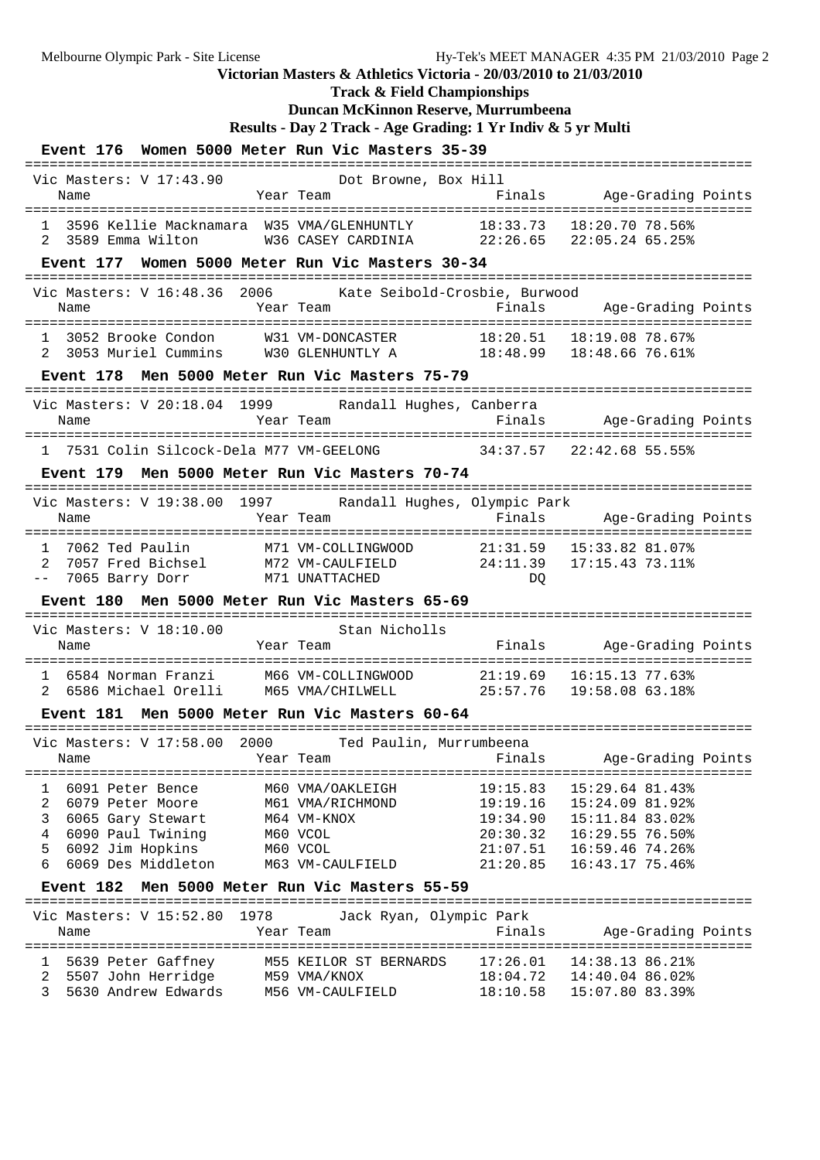### **Victorian Masters & Athletics Victoria - 20/03/2010 to 21/03/2010 Track & Field Championships Duncan McKinnon Reserve, Murrumbeena Results - Day 2 Track - Age Grading: 1 Yr Indiv & 5 yr Multi Event 176 Women 5000 Meter Run Vic Masters 35-39** ======================================================================================== Vic Masters: V 17:43.90 Dot Browne, Box Hill Name Team Team Finals Age-Grading Points ======================================================================================== 1 3596 Kellie Macknamara W35 VMA/GLENHUNTLY 18:33.73 18:20.70 78.56% 2 3589 Emma Wilton W36 CASEY CARDINIA 22:26.65 22:05.24 65.25% **Event 177 Women 5000 Meter Run Vic Masters 30-34** ======================================================================================== Vic Masters: V 16:48.36 2006 Kate Seibold-Crosbie, Burwood Name Tear Team Finals Age-Grading Points ======================================================================================== 1 3052 Brooke Condon W31 VM-DONCASTER 18:20.51 18:19.08 78.67% 2 3053 Muriel Cummins W30 GLENHUNTLY A 18:48.99 18:48.66 76.61% **Event 178 Men 5000 Meter Run Vic Masters 75-79** ======================================================================================== Vic Masters: V 20:18.04 1999 Randall Hughes, Canberra Name Year Team Finals Age-Grading Points ======================================================================================== 1 7531 Colin Silcock-Dela M77 VM-GEELONG 34:37.57 22:42.68 55.55% **Event 179 Men 5000 Meter Run Vic Masters 70-74** ======================================================================================== Vic Masters: V 19:38.00 1997 Randall Hughes, Olympic Park Name Year Team Finals Age-Grading Points ======================================================================================== 1 7062 Ted Paulin M71 VM-COLLINGWOOD 21:31.59 15:33.82 81.07% 2 7057 Fred Bichsel M72 VM-CAULFIELD 24:11.39 17:15.43 73.11% -- 7065 Barry Dorr M71 UNATTACHED DQ **Event 180 Men 5000 Meter Run Vic Masters 65-69** ======================================================================================== Vic Masters: V 18:10.00 Stan Nicholls Name Year Team Finals Age-Grading Points ======================================================================================== 1 6584 Norman Franzi M66 VM-COLLINGWOOD 21:19.69 16:15.13 77.63% 2 6586 Michael Orelli M65 VMA/CHILWELL 25:57.76 19:58.08 63.18% **Event 181 Men 5000 Meter Run Vic Masters 60-64** ======================================================================================== Vic Masters: V 17:58.00 2000 Ted Paulin, Murrumbeena Name Year Team Finals Age-Grading Points ======================================================================================== 1 6091 Peter Bence M60 VMA/OAKLEIGH 19:15.83 15:29.64 81.43% 2 6079 Peter Moore M61 VMA/RICHMOND 19:19.16 15:24.09 81.92% 3 6065 Gary Stewart M64 VM-KNOX 19:34.90 15:11.84 83.02% 4 6090 Paul Twining M60 VCOL 20:30.32 16:29.55 76.50% 5 6092 Jim Hopkins M60 VCOL 21:07.51 16:59.46 74.26% 6 6069 Des Middleton M63 VM-CAULFIELD 21:20.85 16:43.17 75.46% **Event 182 Men 5000 Meter Run Vic Masters 55-59** ======================================================================================== Vic Masters: V 15:52.80 1978 Jack Ryan, Olympic Park Name Year Team Finals Age-Grading Points ======================================================================================== 1 5639 Peter Gaffney M55 KEILOR ST BERNARDS 17:26.01 14:38.13 86.21% 2 5507 John Herridge M59 VMA/KNOX 18:04.72 14:40.04 86.02% 3 5630 Andrew Edwards M56 VM-CAULFIELD 18:10.58 15:07.80 83.39%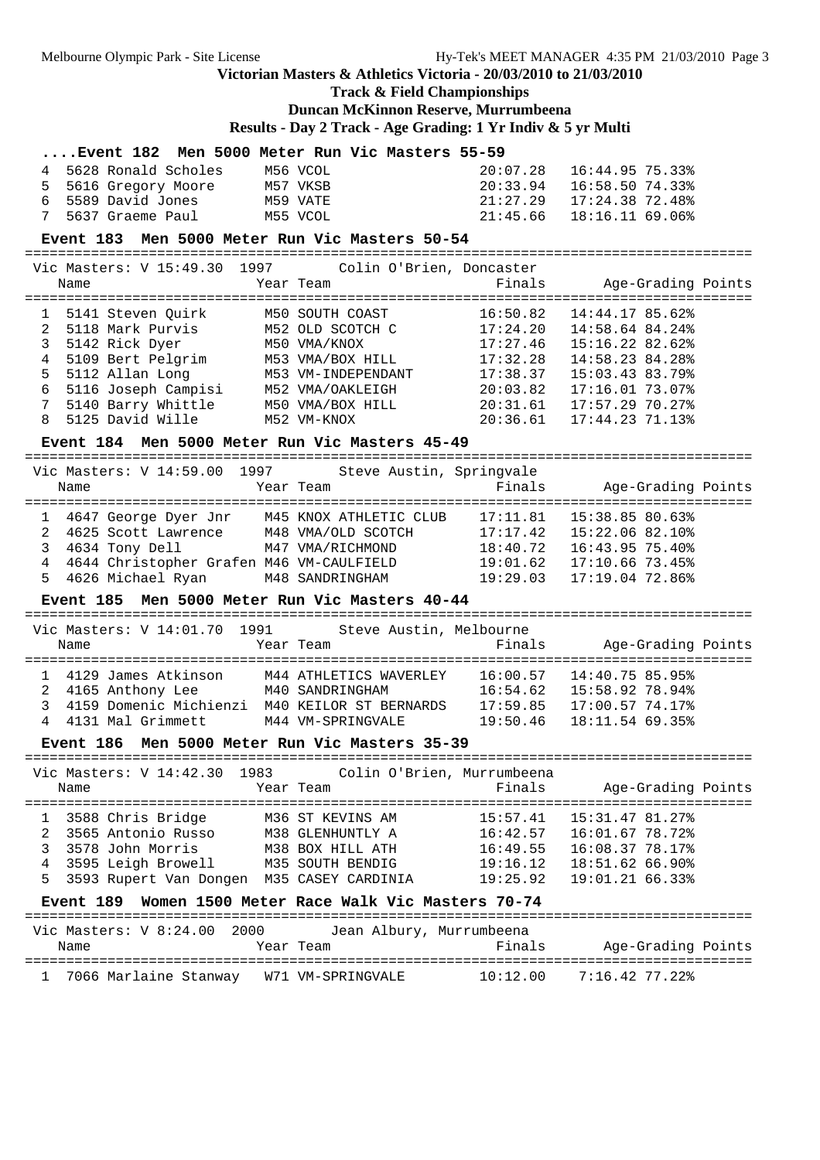# **Track & Field Championships**

## **Duncan McKinnon Reserve, Murrumbeena**

**Results - Day 2 Track - Age Grading: 1 Yr Indiv & 5 yr Multi**

|        |                                                        |                      | Event 182 Men 5000 Meter Run Vic Masters 55-59       |          |                    |  |
|--------|--------------------------------------------------------|----------------------|------------------------------------------------------|----------|--------------------|--|
| 4      | 5628 Ronald Scholes                                    |                      | M56 VCOL                                             | 20:07.28 | 16:44.95 75.33%    |  |
| 5      | 5616 Gregory Moore                                     | M57 VKSB<br>מכן אימי |                                                      | 20:33.94 | 16:58.50 74.33%    |  |
| 6      | 5589 David Jones                                       | M59 VATE             |                                                      | 21:27.29 | 17:24.3872.48      |  |
| 7      | 5637 Graeme Paul                                       |                      | M55 VCOL                                             | 21:45.66 | 18:16.11 69.06%    |  |
|        | Event 183 Men 5000 Meter Run Vic Masters 50-54         |                      |                                                      |          |                    |  |
|        |                                                        |                      |                                                      |          |                    |  |
|        | Vic Masters: V 15:49.30 1997                           |                      | Colin O'Brien, Doncaster                             |          |                    |  |
|        | Name                                                   |                      | Year Team                                            | Finals   | Age-Grading Points |  |
|        |                                                        |                      |                                                      |          |                    |  |
| 1      | 5141 Steven Quirk                                      |                      | M50 SOUTH COAST                                      | 16:50.82 | 14:44.17 85.62%    |  |
| 2      | 5118 Mark Purvis                                       |                      | M52 OLD SCOTCH C                                     | 17:24.20 | 14:58.64 84.24%    |  |
| 3      | 5142 Rick Dyer                                         |                      | M50 VMA/KNOX<br>M53 VMA/ROX HILL<br>M53 VMA/BOX HILL | 17:27.46 | 15:16.22 82.62%    |  |
| 4      | 5109 Bert Pelgrim                                      |                      |                                                      | 17:32.28 | 14:58.23 84.28%    |  |
| 5      | 5112 Allan Long                                        |                      | M53 VM-INDEPENDANT                                   | 17:38.37 | 15:03.43 83.79%    |  |
| 6<br>7 | 5116 Joseph Campisi M52 VMA/OAKLEIGH                   |                      |                                                      | 20:03.82 | 17:16.01 73.07%    |  |
| 8      | 5140 Barry Whittle<br>5125 David Wille                 |                      | M50 VMA/BOX HILL                                     | 20:31.61 | 17:57.29 70.27%    |  |
|        |                                                        |                      | M52 VM-KNOX                                          | 20:36.61 | 17:44.23 71.13%    |  |
|        | Event 184 Men 5000 Meter Run Vic Masters 45-49         |                      |                                                      |          |                    |  |
|        | Vic Masters: V 14:59.00 1997                           |                      | Steve Austin, Springvale                             |          |                    |  |
|        | Name                                                   |                      | Year Team                                            | Finals   | Age-Grading Points |  |
|        |                                                        |                      |                                                      |          |                    |  |
| 1      | 4647 George Dyer Jnr M45 KNOX ATHLETIC CLUB            |                      |                                                      | 17:11.81 | 15:38.85 80.63%    |  |
| 2      | 4625 Scott Lawrence M48 VMA/OLD SCOTCH                 |                      |                                                      | 17:17.42 | 15:22.06 82.10%    |  |
| 3      | 4634 Tony Dell                                         |                      | M47 VMA/RICHMOND                                     | 18:40.72 | 16:43.95 75.40%    |  |
| 4      | 4644 Christopher Grafen M46 VM-CAULFIELD               |                      |                                                      | 19:01.62 | 17:10.66 73.45%    |  |
| 5      | 4626 Michael Ryan                                      |                      | M48 SANDRINGHAM                                      | 19:29.03 | 17:19.0472.86      |  |
|        | Event 185 Men 5000 Meter Run Vic Masters 40-44         |                      |                                                      |          |                    |  |
|        |                                                        |                      |                                                      |          |                    |  |
|        |                                                        |                      |                                                      |          |                    |  |
|        | Vic Masters: V 14:01.70 1991 Steve Austin, Melbourne   |                      |                                                      |          |                    |  |
|        | Name                                                   |                      | Year Team                                            | Finals   | Age-Grading Points |  |
|        |                                                        |                      |                                                      |          |                    |  |
|        | 1 4129 James Atkinson M44 ATHLETICS WAVERLEY 16:00.57  |                      |                                                      |          | 14:40.75 85.95%    |  |
| 2<br>3 | 4165 Anthony Lee                                       |                      | M40 SANDRINGHAM                                      | 16:54.62 | 15:58.92 78.94%    |  |
| 4      | 4159 Domenic Michienzi M40 KEILOR ST BERNARDS 17:59.85 |                      |                                                      |          | 17:00.57 74.17%    |  |
|        | 4131 Mal Grimmett                                      |                      | M44 VM-SPRINGVALE                                    | 19:50.46 | 18:11.54 69.35%    |  |
|        | Event 186 Men 5000 Meter Run Vic Masters 35-39         |                      |                                                      |          |                    |  |
|        | Vic Masters: V 14:42.30                                | 1983 — 1983          | Colin O'Brien, Murrumbeena                           |          |                    |  |
|        | Name                                                   |                      | Year Team                                            | Finals   | Age-Grading Points |  |
|        | =====================                                  |                      |                                                      |          |                    |  |
| 1      | 3588 Chris Bridge                                      |                      | M36 ST KEVINS AM                                     | 15:57.41 | 15:31.47 81.27%    |  |
| 2      | 3565 Antonio Russo                                     |                      | M38 GLENHUNTLY A                                     | 16:42.57 | 16:01.67 78.72%    |  |
| 3      | 3578 John Morris                                       |                      | M38 BOX HILL ATH                                     | 16:49.55 | 16:08.37 78.17%    |  |
| 4      | 3595 Leigh Browell                                     |                      | M35 SOUTH BENDIG                                     | 19:16.12 | 18:51.62 66.90%    |  |
| 5      | 3593 Rupert Van Dongen M35 CASEY CARDINIA              |                      |                                                      | 19:25.92 | 19:01.21 66.33%    |  |
|        | Event 189 Women 1500 Meter Race Walk Vic Masters 70-74 |                      |                                                      |          |                    |  |
|        |                                                        |                      |                                                      |          |                    |  |
|        | Vic Masters: V 8:24.00 2000                            |                      | Jean Albury, Murrumbeena                             |          |                    |  |
|        | Name                                                   |                      | Year Team                                            | Finals   | Age-Grading Points |  |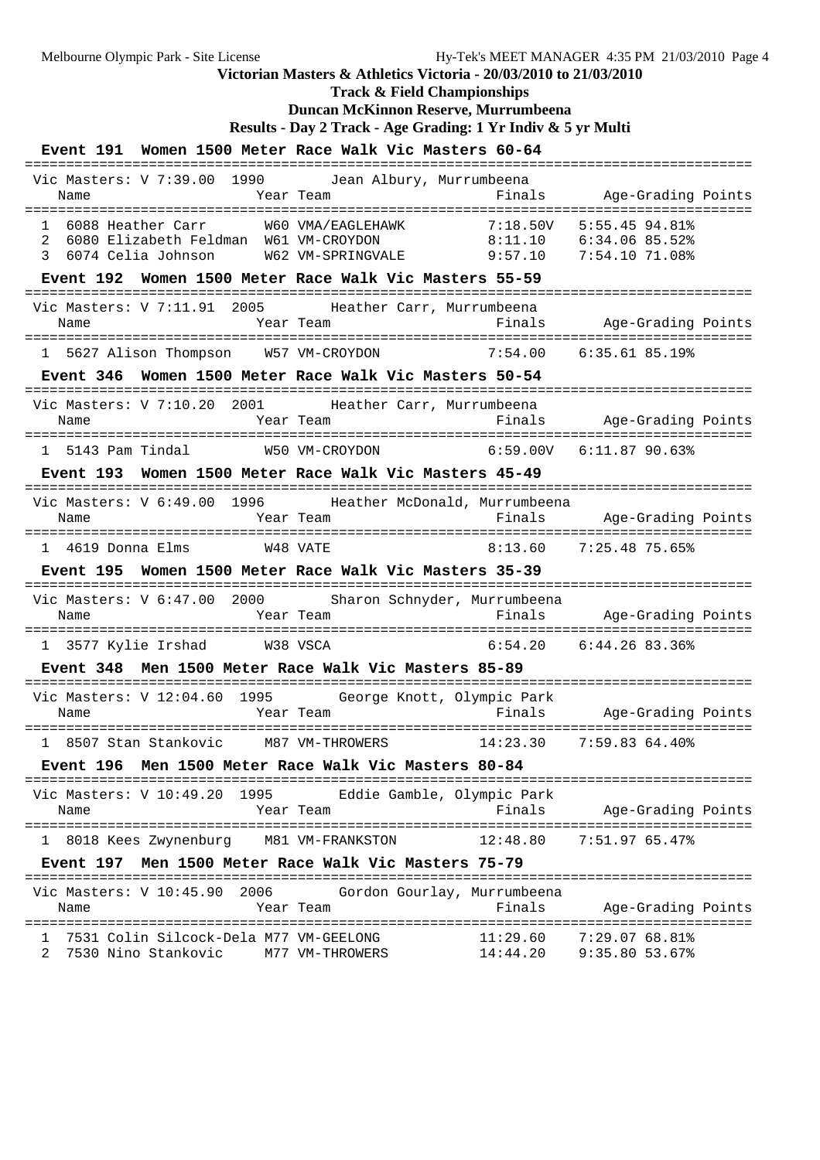### Melbourne Olympic Park - Site License Hy-Tek's MEET MANAGER 4:35 PM 21/03/2010 Page 4 **Victorian Masters & Athletics Victoria - 20/03/2010 to 21/03/2010 Track & Field Championships Duncan McKinnon Reserve, Murrumbeena Results - Day 2 Track - Age Grading: 1 Yr Indiv & 5 yr Multi Event 191 Women 1500 Meter Race Walk Vic Masters 60-64** ======================================================================================== Vic Masters: V 7:39.00 1990 Jean Albury, Murrumbeena Name Tear Team Finals Age-Grading Points ======================================================================================== 1 6088 Heather Carr W60 VMA/EAGLEHAWK 7:18.50V 5:55.45 94.81% 2 6080 Elizabeth Feldman W61 VM-CROYDON 8:11.10 6:34.06 85.52%<br>3 6074 Celia Johnson W62 VM-SPRINGVALE 9:57.10 7:54.10 71.08% 3 6074 Celia Johnson W62 VM-SPRINGVALE 9:57.10 **Event 192 Women 1500 Meter Race Walk Vic Masters 55-59** ======================================================================================== Vic Masters: V 7:11.91 2005 Heather Carr, Murrumbeena Name Year Team Finals Age-Grading Points ======================================================================================== 1 5627 Alison Thompson W57 VM-CROYDON 7:54.00 6:35.61 85.19% **Event 346 Women 1500 Meter Race Walk Vic Masters 50-54** ======================================================================================== Vic Masters: V 7:10.20 2001 Heather Carr, Murrumbeena Name Year Team Finals Age-Grading Points ======================================================================================== 1 5143 Pam Tindal W50 VM-CROYDON 6:59.00V 6:11.87 90.63% **Event 193 Women 1500 Meter Race Walk Vic Masters 45-49** ======================================================================================== Vic Masters: V 6:49.00 1996 Heather McDonald, Murrumbeena Name Year Team Finals Age-Grading Points ======================================================================================== 1 4619 Donna Elms W48 VATE 8:13.60 7:25.48 75.65% **Event 195 Women 1500 Meter Race Walk Vic Masters 35-39** ======================================================================================== Vic Masters: V 6:47.00 2000 Sharon Schnyder, Murrumbeena Name Year Team Finals Age-Grading Points ======================================================================================== 1 3577 Kylie Irshad W38 VSCA 6:54.20 6:44.26 83.36% **Event 348 Men 1500 Meter Race Walk Vic Masters 85-89** ======================================================================================== Vic Masters: V 12:04.60 1995 George Knott, Olympic Park Name Year Team Finals Age-Grading Points ======================================================================================== 1 8507 Stan Stankovic M87 VM-THROWERS 14:23.30 7:59.83 64.40% **Event 196 Men 1500 Meter Race Walk Vic Masters 80-84** ======================================================================================== Vic Masters: V 10:49.20 1995 Eddie Gamble, Olympic Park Name Year Team Finals Age-Grading Points ======================================================================================== 1 8018 Kees Zwynenburg M81 VM-FRANKSTON 12:48.80 7:51.97 65.47% **Event 197 Men 1500 Meter Race Walk Vic Masters 75-79** ======================================================================================== Vic Masters: V 10:45.90 2006 Gordon Gourlay, Murrumbeena Name Team Team Finals Age-Grading Points ======================================================================================== ---------------<br>1 7531 Colin Silcock-Dela M77 VM-GEELONG 11:29.60 7:29.07 68.81%<br>2 7588 11:44 20 9:35 80 53.67% 2 7530 Nino Stankovic M77 VM-THROWERS 14:44.20 9:35.80 53.67%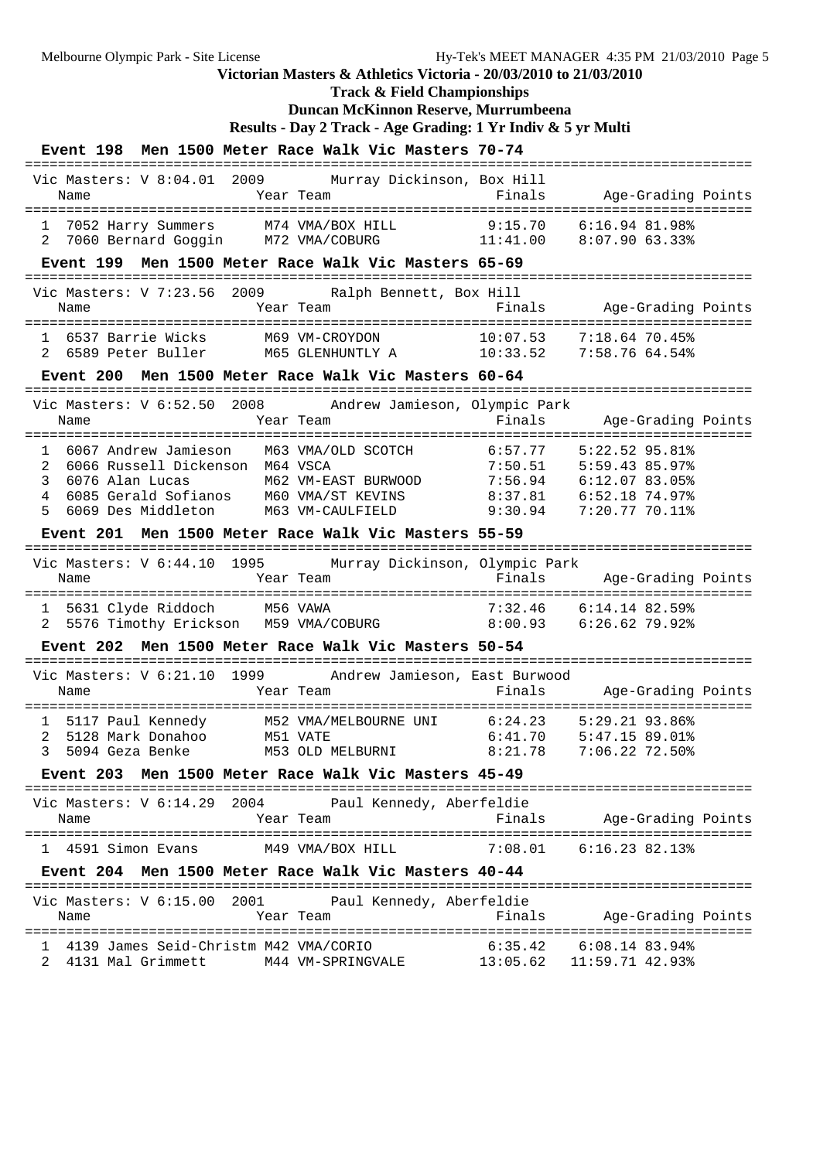**Track & Field Championships**

## **Duncan McKinnon Reserve, Murrumbeena**

**Results - Day 2 Track - Age Grading: 1 Yr Indiv & 5 yr Multi**

|                                                                     | Event 198 Men 1500 Meter Race Walk Vic Masters 70-74                                                    |                                                                                                                                                                                                                                                           |  |
|---------------------------------------------------------------------|---------------------------------------------------------------------------------------------------------|-----------------------------------------------------------------------------------------------------------------------------------------------------------------------------------------------------------------------------------------------------------|--|
| Vic Masters: V 8:04.01 2009<br>Name                                 | Murray Dickinson, Box Hill<br>Year Team                                                                 | Finals<br>Age-Grading Points                                                                                                                                                                                                                              |  |
| 7052 Harry Summers M74 VMA/BOX HILL<br>2                            | 7060 Bernard Goggin M72 VMA/COBURG 11:41.00                                                             | 9:15.70<br>6:16.94.81.98%<br>8:07.90 63.33%                                                                                                                                                                                                               |  |
| ====================================                                | Event 199 Men 1500 Meter Race Walk Vic Masters 65-69                                                    |                                                                                                                                                                                                                                                           |  |
| Vic Masters: V 7:23.56<br>Name                                      | 2009<br>Ralph Bennett, Box Hill<br>Year Team                                                            | Finals<br>Age-Grading Points                                                                                                                                                                                                                              |  |
| 1 6537 Barrie Wicks<br>2 6589 Peter Buller                          | M69 VM-CROYDON<br>M65 GLENHUNTLY A 10:33.52                                                             | 10:07.53<br>$7:18.64$ 70.45%<br>7:58.76 64.54%                                                                                                                                                                                                            |  |
| Event 200                                                           | Men 1500 Meter Race Walk Vic Masters 60-64                                                              |                                                                                                                                                                                                                                                           |  |
| Name                                                                | Vic Masters: V 6:52.50 2008 Andrew Jamieson, Olympic Park<br>Year Team                                  | =================================<br>Finals<br>Age-Grading Points                                                                                                                                                                                         |  |
| $\mathbf{1}$<br>6066 Russell Dickenson M64 VSCA<br>2<br>3<br>4<br>5 | 6067 Andrew Jamieson M63 VMA/OLD SCOTCH 6:57.77<br>Event 201 Men 1500 Meter Race Walk Vic Masters 55-59 | $5:22.52$ 95.81%<br>$7:50.51$ $5:59.43$ $85.97$ <sup>2</sup><br>6076 Alan Lucas M62 VM-EAST BURWOOD 7:56.94 6:12.07 83.05%<br>6085 Gerald Sofianos M60 VMA/ST KEVINS 8:37.81 6:52.18 74.97%<br>6069 Des Middleton M63 VM-CAULFIELD 9:30.94 7:20.77 70.11% |  |
|                                                                     |                                                                                                         | ========================                                                                                                                                                                                                                                  |  |
| Name                                                                | Vic Masters: V 6:44.10 1995 Murray Dickinson, Olympic Park<br>Year Team                                 | Finals<br>Age-Grading Points                                                                                                                                                                                                                              |  |
| 1 5631 Clyde Riddoch M56 VAWA<br>2                                  |                                                                                                         | $7:32.46$ $6:14.14$ 82.59%<br>5576 Timothy Erickson M59 VMA/COBURG 8:00.93 6:26.62 79.92%                                                                                                                                                                 |  |
|                                                                     | Event 202 Men 1500 Meter Race Walk Vic Masters 50-54                                                    |                                                                                                                                                                                                                                                           |  |
| Name                                                                | Vic Masters: V 6:21.10 1999 Andrew Jamieson, East Burwood<br>Year Team                                  | Age-Grading Points<br>Finals                                                                                                                                                                                                                              |  |
| 5117 Paul Kennedy<br>1<br>2<br>5128 Mark Donahoo                    | M52 VMA/MELBOURNE UNI 6:24.23<br>M51 VATE                                                               | 5:29.21 93.86%<br>6:41.70<br>$5:47.15$ 89.01%<br>3 5094 Geza Benke M53 OLD MELBURNI 8:21.78 7:06.22 72.50%                                                                                                                                                |  |
|                                                                     | Event 203 Men 1500 Meter Race Walk Vic Masters 45-49                                                    |                                                                                                                                                                                                                                                           |  |
| Name                                                                | Vic Masters: V 6:14.29 2004 Paul Kennedy, Aberfeldie<br>Year Team                                       | Finals<br>Age-Grading Points                                                                                                                                                                                                                              |  |
| 1 4591 Simon Evans M49 VMA/BOX HILL                                 |                                                                                                         | $7:08.01$ $6:16.23$ $82.13$ <sup>2</sup>                                                                                                                                                                                                                  |  |
|                                                                     | Event 204 Men 1500 Meter Race Walk Vic Masters 40-44                                                    |                                                                                                                                                                                                                                                           |  |
| Name                                                                | Vic Masters: V 6:15.00 2001 Paul Kennedy, Aberfeldie<br>Year Team                                       | Finals<br>Age-Grading Points                                                                                                                                                                                                                              |  |
|                                                                     |                                                                                                         |                                                                                                                                                                                                                                                           |  |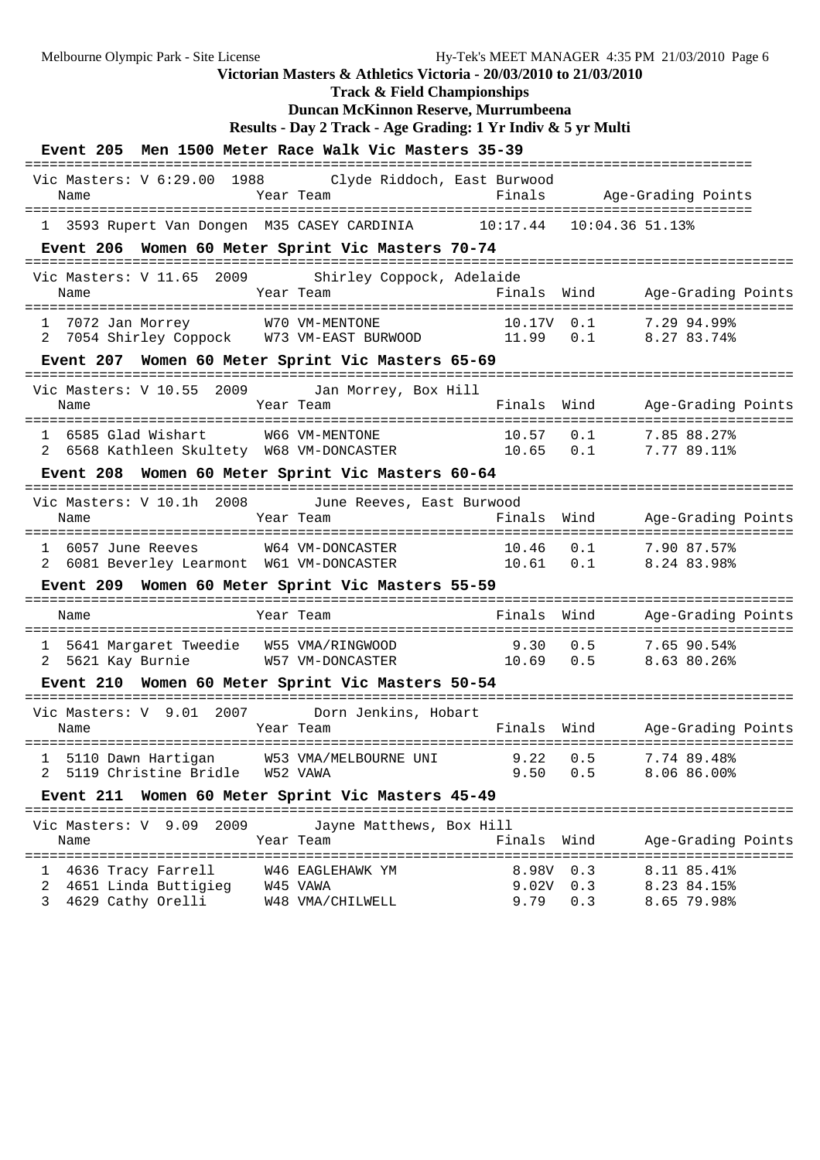Melbourne Olympic Park - Site License Hy-Tek's MEET MANAGER 4:35 PM 21/03/2010 Page 6

# **Victorian Masters & Athletics Victoria - 20/03/2010 to 21/03/2010**

**Track & Field Championships**

### **Duncan McKinnon Reserve, Murrumbeena Results - Day 2 Track - Age Grading: 1 Yr Indiv & 5 yr Multi**

| Results - Day 2 Track - Age Grading: T Yr Indiv & 5 yr Mult |
|-------------------------------------------------------------|
|-------------------------------------------------------------|

| Event 205 Men 1500 Meter Race Walk Vic Masters 35-39                                                                        |                                                  |                                       |                                   |                                                      |
|-----------------------------------------------------------------------------------------------------------------------------|--------------------------------------------------|---------------------------------------|-----------------------------------|------------------------------------------------------|
| Vic Masters: V 6:29.00 1988 Clyde Riddoch, East Burwood<br>Name                                                             | Year Team                                        | Finals                                |                                   | Age-Grading Points<br>------------------------------ |
| 1 3593 Rupert Van Dongen M35 CASEY CARDINIA 10:17.44 10:04.36 51.13%                                                        |                                                  |                                       |                                   |                                                      |
| Event 206 Women 60 Meter Sprint Vic Masters 70-74                                                                           |                                                  |                                       |                                   |                                                      |
| Vic Masters: V 11.65 2009 Shirley Coppock, Adelaide                                                                         |                                                  |                                       |                                   |                                                      |
| 1 7072 Jan Morrey 170 VM-MENTONE 10.17V 0.1 7.29 94.99%<br>2 7054 Shirley Coppock 173 VM-EAST BURWOOD 11.99 0.1 8.27 83.74% |                                                  |                                       |                                   |                                                      |
| Event 207 Women 60 Meter Sprint Vic Masters 65-69                                                                           |                                                  | ---------------------                 |                                   |                                                      |
| Vic Masters: V 10.55 2009 Jan Morrey, Box Hill<br>Name                                                                      | Year Team                                        |                                       | Finals Wind<br>================== | Age-Grading Points<br>=========                      |
| 6585 Glad Wishart<br>2 6568 Kathleen Skultety W68 VM-DONCASTER 10.65 0.1 7.77 89.11%                                        | W66 VM-MENTONE                                   | 10.57                                 | 0.1                               | 7.85 88.27%                                          |
| Event 208 Women 60 Meter Sprint Vic Masters 60-64                                                                           |                                                  | ===================================== |                                   |                                                      |
| Vic Masters: V 10.1h 2008<br>Name                                                                                           | June Reeves, East Burwood<br>Year Team           | Finals                                | Wind                              | Age-Grading Points                                   |
| 1 6057 June Reeves 664 VM-DONCASTER 10.46 0.1 7.90 87.57%<br>2 6081 Beverley Learmont 61 VM-DONCASTER 10.61 0.1 8.24 83.98% |                                                  |                                       |                                   |                                                      |
| Event 209 Women 60 Meter Sprint Vic Masters 55-59                                                                           |                                                  |                                       |                                   |                                                      |
| Name                                                                                                                        | Year Team                                        |                                       |                                   | Finals Wind Age-Grading Points                       |
|                                                                                                                             |                                                  |                                       |                                   |                                                      |
| Event 210 Women 60 Meter Sprint Vic Masters 50-54                                                                           |                                                  |                                       |                                   |                                                      |
| Vic Masters: V 9.01 2007 Dorn Jenkins, Hobart<br>Name                                                                       | Year Team                                        |                                       | ==========                        | Finals Wind Age-Grading Points                       |
| 1 5110 Dawn Hartigan M53 VMA/MELBOURNE UNI 9.22 0.5 7.74 89.48%<br>5119 Christine Bridle                                    | W52 VAWA                                         | 9.50                                  | 0.5                               | 8.06 86.00%                                          |
| Event 211 Women 60 Meter Sprint Vic Masters 45-49<br>===================================                                    |                                                  |                                       |                                   |                                                      |
| Vic Masters: V 9.09<br>2009<br>Name<br>=============                                                                        | Jayne Matthews, Box Hill<br>Year Team            | Finals                                | Wind                              | Age-Grading Points                                   |
| 4636 Tracy Farrell<br>$\mathbf{1}$<br>4651 Linda Buttigieg<br>2<br>4629 Cathy Orelli<br>3                                   | W46 EAGLEHAWK YM<br>W45 VAWA<br>W48 VMA/CHILWELL | 8.98V<br>$9.02V$ 0.3<br>9.79          | 0.3<br>0.3                        | 8.11 85.41%<br>8.23 84.15%<br>8.65 79.98%            |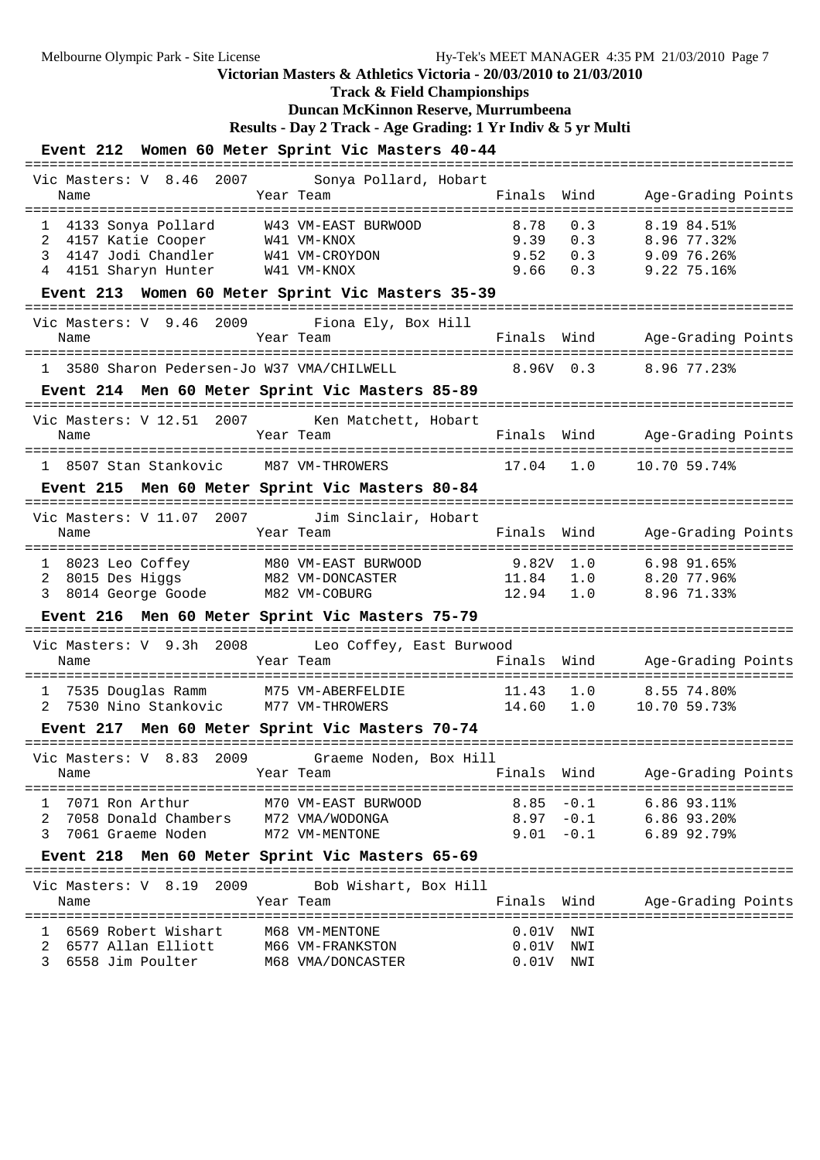**Track & Field Championships**

## **Duncan McKinnon Reserve, Murrumbeena**

**Results - Day 2 Track - Age Grading: 1 Yr Indiv & 5 yr Multi**

## **Event 212 Women 60 Meter Sprint Vic Masters 40-44**

| Name                                                                                                                                                                                                         | Vic Masters: V 8.46 2007<br>Sonya Pollard, Hobart                                      |                                                   |                                                                |
|--------------------------------------------------------------------------------------------------------------------------------------------------------------------------------------------------------------|----------------------------------------------------------------------------------------|---------------------------------------------------|----------------------------------------------------------------|
| --------------------------------------                                                                                                                                                                       | Year Team                                                                              | Finals<br>Wind                                    | Age-Grading Points                                             |
| 4133 Sonya Pollard<br>4133 Sonya Pollard          W43 VM-EAST BURWOOD<br>4157 Katie Cooper            W41 VM-KNOX<br>1<br>2<br>4147 Jodi Chandler W41 VM-CROYDON<br>3<br>4151 Sharyn Hunter W41 VM-KNOX<br>4 |                                                                                        | 8.78<br>0.3<br>9.39<br>0.3<br>9.52<br>9.66<br>0.3 | 8.19 84.51%<br>8.96 77.32%<br>$0.3$ 9.09 76.26%<br>9.22 75.16% |
| -------------------------------                                                                                                                                                                              | Event 213 Women 60 Meter Sprint Vic Masters 35-39                                      |                                                   |                                                                |
| Vic Masters: V 9.46 2009<br>Name                                                                                                                                                                             | Fiona Ely, Box Hill<br>Year Team                                                       | Finals Wind                                       | Age-Grading Points                                             |
| 3580 Sharon Pedersen-Jo W37 VMA/CHILWELL                                                                                                                                                                     |                                                                                        | $8.96V$ 0.3                                       | 8.96 77.23%                                                    |
|                                                                                                                                                                                                              | Event 214 Men 60 Meter Sprint Vic Masters 85-89                                        |                                                   |                                                                |
| Vic Masters: V 12.51 2007<br>Name                                                                                                                                                                            | ================<br>Ken Matchett, Hobart<br>Year Team                                  |                                                   | Finals Wind Age-Grading Points                                 |
| 1 8507 Stan Stankovic M87 VM-THROWERS                                                                                                                                                                        |                                                                                        | 17.04<br>1.0                                      | 10.70 59.74%                                                   |
|                                                                                                                                                                                                              | Event 215 Men 60 Meter Sprint Vic Masters 80-84                                        | ----------------------------                      |                                                                |
| Vic Masters: V 11.07 2007<br>Name                                                                                                                                                                            | Jim Sinclair, Hobart<br>Year Team                                                      | Finals<br>Wind                                    | Age-Grading Points                                             |
| 8014 George Goode M82 VM-COBURG<br>3                                                                                                                                                                         | 1 8023 Leo Coffey M80 VM-EAST BURWOOD<br>2 8015 Des Higgs M82 VM-DONCASTER             | $9.82V$ 1.0<br>11.84 1.0<br>12.94 1.0             | $6.98$ $91.65%$<br>8.20 77.96%<br>8.96 71.33%                  |
|                                                                                                                                                                                                              |                                                                                        |                                                   |                                                                |
|                                                                                                                                                                                                              | Event 216 Men 60 Meter Sprint Vic Masters 75-79                                        |                                                   |                                                                |
| Name                                                                                                                                                                                                         | ====================<br>Vic Masters: V 9.3h 2008 Leo Coffey, East Burwood<br>Year Team |                                                   | Finals Wind Age-Grading Points                                 |
| ===============================<br>1 7535 Douglas Ramm M75 VM-ABERFELDIE<br>2                                                                                                                                | 7530 Nino Stankovic M77 VM-THROWERS                                                    | 1.0<br>11.43<br>14.60<br>1.0                      | 8.5574.80%<br>10.70 59.73%                                     |
|                                                                                                                                                                                                              | Event 217 Men 60 Meter Sprint Vic Masters 70-74                                        | ===============                                   |                                                                |
| Vic Masters: V 8.83 2009<br>Name                                                                                                                                                                             | Graeme Noden, Box Hill<br><b>Example 2</b> Year Team                                   | Wind<br>Finals                                    | Age-Grading Points                                             |
| 1<br>$\overline{a}$<br>7061 Graeme Noden M72 VM-MENTONE<br>3                                                                                                                                                 |                                                                                        | $9.01 - 0.1$                                      | 8.85 -0.1 6.86 93.11%<br>8.97 -0.1 6.86 93.20%<br>6.89 92.79%  |
|                                                                                                                                                                                                              | Event 218 Men 60 Meter Sprint Vic Masters 65-69                                        |                                                   |                                                                |
| Vic Masters: V 8.19 2009<br>Name                                                                                                                                                                             | Bob Wishart, Box Hill<br>Year Team                                                     | Finals Wind                                       | Age-Grading Points                                             |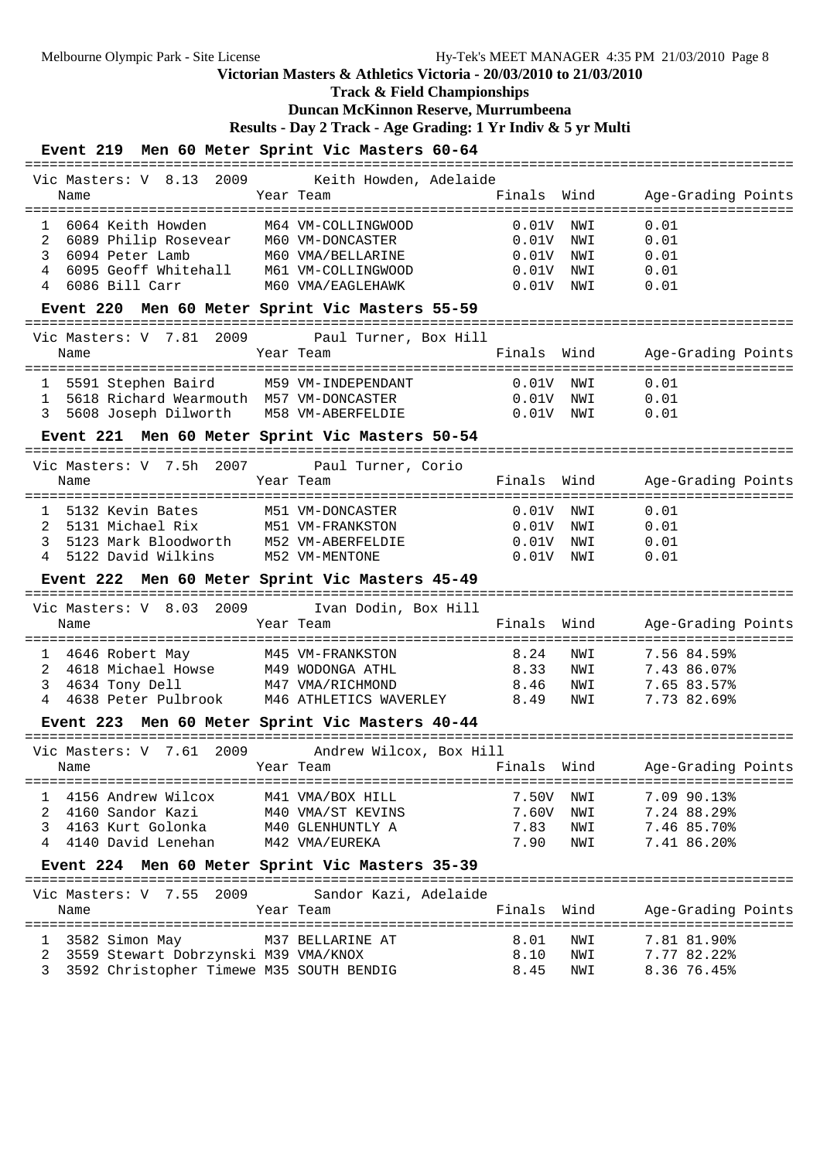## **Track & Field Championships**

### **Duncan McKinnon Reserve, Murrumbeena**

**Results - Day 2 Track - Age Grading: 1 Yr Indiv & 5 yr Multi**

### **Event 219 Men 60 Meter Sprint Vic Masters 60-64**

| Vic Masters: V 8.13 2009 Keith Howden, Adelaide<br>Name                                         | Year Team |                       | Finals Wind                             | Age-Grading Points                    |
|-------------------------------------------------------------------------------------------------|-----------|-----------------------|-----------------------------------------|---------------------------------------|
|                                                                                                 |           |                       |                                         |                                       |
| ===================================<br>6064 Keith Howden<br>$\mathbf{1}$<br>2                   |           | M64 VM-COLLINGWOOD    | 0.01V<br>NWI<br>$0.01\mathrm{V}$<br>NWI | 0.01<br>0.01                          |
| 3                                                                                               |           |                       | NWI<br>$0.01\mathrm{V}$                 | 0.01                                  |
| 4                                                                                               |           |                       | $0.01\mathrm{V}$<br>NWI                 | 0.01                                  |
|                                                                                                 |           | M60 VMA/EAGLEHAWK     |                                         |                                       |
| 6086 Bill Carr<br>4                                                                             |           |                       | $0.01V$ NWI                             | 0.01                                  |
| Event 220 Men 60 Meter Sprint Vic Masters 55-59                                                 |           |                       |                                         |                                       |
| Vic Masters: V 7.81 2009                                                                        |           | Paul Turner, Box Hill |                                         |                                       |
| Name                                                                                            |           | Year Team             | Finals Wind                             | Age-Grading Points<br>=============== |
| 5591 Stephen Baird                                                                              |           | M59 VM-INDEPENDANT    | 0.01V<br>NWI                            | 0.01                                  |
| 5618 Richard Wearmouth M57 VM-DONCASTER<br>1                                                    |           |                       | $0.01\mathrm{V}$<br>NWI                 | 0.01                                  |
| 5608 Joseph Dilworth<br>3                                                                       |           | M58 VM-ABERFELDIE     | $0.01V$ NWI                             | 0.01                                  |
|                                                                                                 |           |                       |                                         |                                       |
| Event 221 Men 60 Meter Sprint Vic Masters 50-54                                                 |           |                       | ===============================         |                                       |
| Vic Masters: V 7.5h 2007                                                                        |           | Paul Turner, Corio    |                                         |                                       |
| Name                                                                                            |           | Year Team             | Finals<br>Wind                          | Age-Grading Points                    |
|                                                                                                 |           |                       |                                         | ======================                |
| 1 5132 Kevin Bates                                                                              |           | M51 VM-DONCASTER      | $0.01V$ NWI                             | 0.01                                  |
| 2<br>5131 Michael Rix                                                                           |           | M51 VM-FRANKSTON      | $0.01V$ NWI                             | 0.01                                  |
|                                                                                                 |           |                       |                                         |                                       |
| 3<br>5123 Mark Bloodworth M52 VM-ABERFELDIE                                                     |           |                       | $0.01\mathrm{V}$<br>NWI                 | 0.01                                  |
| 5122 David Wilkins M52 VM-MENTONE<br>$\overline{4}$                                             |           |                       | $0.01\mathrm{V}$<br>NWI                 | 0.01                                  |
|                                                                                                 |           |                       |                                         |                                       |
| Event 222 Men 60 Meter Sprint Vic Masters 45-49                                                 |           |                       |                                         |                                       |
|                                                                                                 |           |                       |                                         |                                       |
| Vic Masters: V 8.03 2009                                                                        |           | Ivan Dodin, Box Hill  |                                         |                                       |
| Name                                                                                            | Year Team |                       | Wind<br>Finals                          | Age-Grading Points                    |
|                                                                                                 |           |                       |                                         |                                       |
| 1 4646 Robert May                                                                               |           | M45 VM-FRANKSTON      | 8.24<br>NWI                             | 7.56 84.59%                           |
| $\overline{2}$                                                                                  |           |                       | 8.33<br>NWI                             | 7.43 86.07%                           |
| 4618 Michael Howse         M49 WODONGA ATHL<br>4634 Tony Dell             M47 VMA/RICHMOND<br>3 |           |                       | 8.46<br>NWI                             | 7.65 83.57%                           |
| 4638 Peter Pulbrook M46 ATHLETICS WAVERLEY 8.49<br>4                                            |           |                       | NWI                                     | 7.73 82.69%                           |
| Event 223 Men 60 Meter Sprint Vic Masters 40-44                                                 |           |                       |                                         |                                       |
|                                                                                                 |           |                       |                                         |                                       |
| Vic Masters: V 7.61 2009 Andrew Wilcox, Box Hill                                                |           |                       |                                         |                                       |
| Name                                                                                            |           | Year Team             | Finals Wind                             | Age-Grading Points                    |
|                                                                                                 |           |                       |                                         |                                       |
| 4156 Andrew Wilcox<br>1                                                                         |           | M41 VMA/BOX HILL      | 7.50V NWI                               | 7.09 90.13%                           |
| $\overline{a}$<br>4160 Sandor Kazi                                                              |           | M40 VMA/ST KEVINS     | 7.60V<br>NWI                            | 7.24 88.29%                           |
| 3<br>4163 Kurt Golonka                                                                          |           | M40 GLENHUNTLY A      | NWI                                     | 7.46 85.70%                           |
| 4140 David Lenehan<br>4                                                                         |           |                       | 7.83                                    |                                       |
|                                                                                                 |           | M42 VMA/EUREKA        | 7.90<br>NWI                             | 7.41 86.20%                           |
| Event 224 Men 60 Meter Sprint Vic Masters 35-39                                                 |           |                       |                                         |                                       |
| Vic Masters: V 7.55 2009                                                                        |           | Sandor Kazi, Adelaide |                                         |                                       |
| Name                                                                                            |           | Year Team             | Wind<br>Finals                          | Age-Grading Points                    |
|                                                                                                 |           |                       |                                         |                                       |
|                                                                                                 |           |                       |                                         |                                       |
| 3582 Simon May<br>1                                                                             |           | M37 BELLARINE AT      | 8.01<br>NWI                             | 7.81 81.90%                           |
| 3559 Stewart Dobrzynski M39 VMA/KNOX<br>2<br>3592 Christopher Timewe M35 SOUTH BENDIG<br>3      |           |                       | 8.10<br>NWI<br>NWI<br>8.45              | 7.77 82.22%<br>8.36 76.45%            |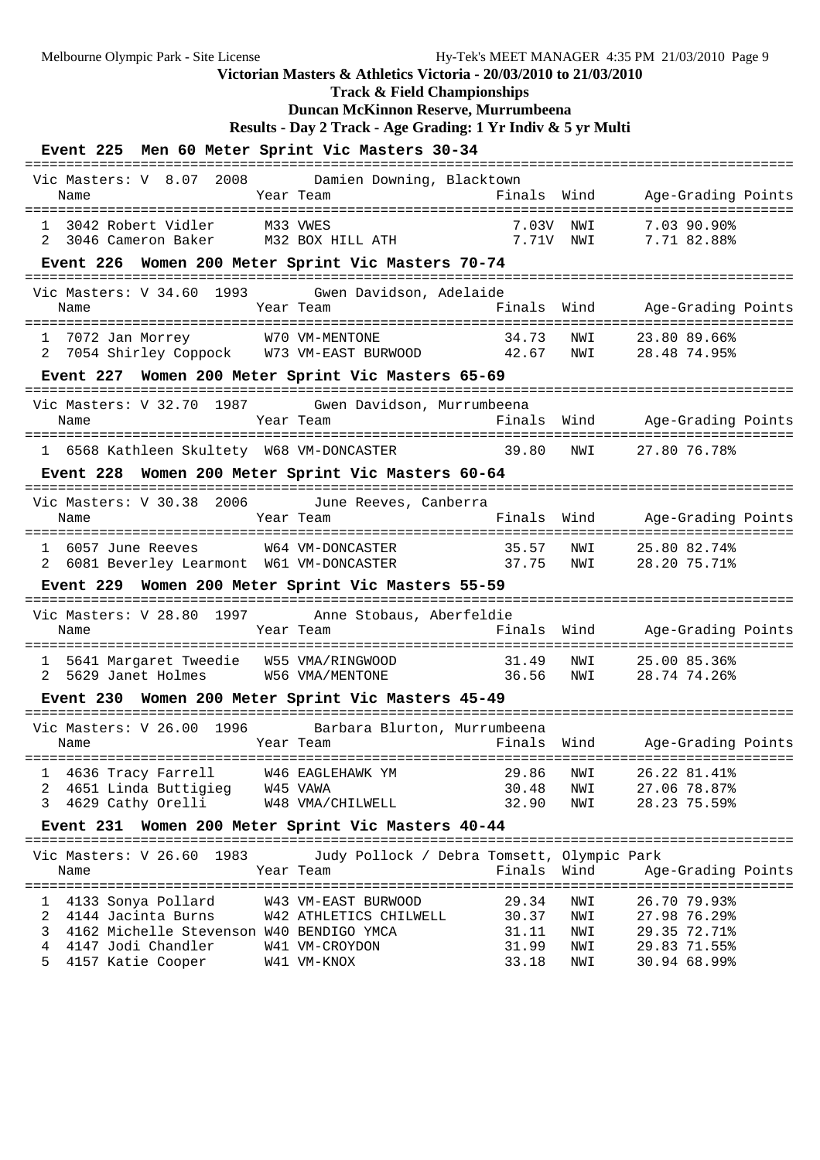**Track & Field Championships**

## **Duncan McKinnon Reserve, Murrumbeena**

```
Results - Day 2 Track - Age Grading: 1 Yr Indiv & 5 yr Multi
```

| $\frac{1}{2}$                                                                                      |                                                   |            |                                                               |            |
|----------------------------------------------------------------------------------------------------|---------------------------------------------------|------------|---------------------------------------------------------------|------------|
| Event 225 Men 60 Meter Sprint Vic Masters 30-34                                                    |                                                   |            |                                                               |            |
| Vic Masters: V 8.07 2008 Damien Downing, Blacktown<br>Year Team<br>Name                            | Finals Wind<br>-------                            |            | Age-Grading Points<br>. _ _ _ _ _ _ _ .                       | ========== |
| 3042 Robert Vidler<br>M33 VWES<br>M32 BOX HILL ATH 7.71V NWI<br>3046 Cameron Baker<br>2            | 7.03V                                             | NWI        | 7.03 90.90%<br>7.71 82.88%                                    |            |
| Event 226 Women 200 Meter Sprint Vic Masters 70-74                                                 |                                                   |            |                                                               |            |
| Vic Masters: V 34.60 1993<br>Gwen Davidson, Adelaide<br>Year Team<br>Name                          | ----------------------------------<br>Finals Wind |            | Age-Grading Points                                            |            |
| 1 7072 Jan Morrey W70 VM-MENTONE 34.73 NWI<br>2 7054 Shirley Coppock W73 VM-EAST BURWOOD 42.67 NWI |                                                   |            | 23.80 89.66%<br>28.48 74.95%                                  |            |
| Event 227 Women 200 Meter Sprint Vic Masters 65-69                                                 |                                                   |            |                                                               |            |
| Vic Masters: V 32.70 1987<br>Gwen Davidson, Murrumbeena                                            |                                                   |            |                                                               |            |
| Name<br>Year Team                                                                                  |                                                   |            | Finals Wind Age-Grading Points<br>=========================== |            |
| 1 6568 Kathleen Skultety W68 VM-DONCASTER                                                          | 39.80                                             | NWI        | 27.80 76.78%                                                  |            |
| Event 228 Women 200 Meter Sprint Vic Masters 60-64                                                 |                                                   |            |                                                               |            |
| Vic Masters: V 30.38 2006<br>June Reeves, Canberra<br>Name<br>Year Team                            |                                                   |            | Finals Wind Age-Grading Points                                |            |
| 1 6057 June Reeves<br>W64 VM-DONCASTER<br>2 6081 Beverley Learmont W61 VM-DONCASTER 37.75          | 35.57                                             | NWI<br>NWI | 25.80 82.74%<br>28.20 75.71%                                  |            |
| Event 229 Women 200 Meter Sprint Vic Masters 55-59                                                 |                                                   |            |                                                               |            |
| Vic Masters: V 28.80 1997 Anne Stobaus, Aberfeldie                                                 |                                                   | Wind       |                                                               |            |
| Year Team<br>Name                                                                                  | Finals                                            |            | Age-Grading Points                                            |            |
| 1 5641 Margaret Tweedie W55 VMA/RINGWOOD 31.49<br>2 5629 Janet Holmes W56 VMA/MENTONE 36.56        |                                                   | NWI        | 25.00 85.36%                                                  |            |
|                                                                                                    |                                                   | NWI        | 28.74 74.26%                                                  |            |
| Event 230 Women 200 Meter Sprint Vic Masters 45-49                                                 |                                                   |            |                                                               |            |
| Vic Masters: V 26.00 1996 Barbara Blurton, Murrumbeena<br>Year Team<br>Name                        | Finals                                            | Wind       | Age-Grading Points                                            |            |
| 4636 Tracy Farrell<br>W46 EAGLEHAWK YM<br>$\mathbf{1}$                                             | 29.86                                             | NWI        | 26.22 81.41%                                                  |            |
| $\overline{a}$<br>4651 Linda Buttigieg W45 VAWA<br>3                                               | 30.48                                             | NWI        | 27.06 78.87%<br>28.23 75.59%                                  |            |
| 4629 Cathy Orelli<br>W48 VMA/CHILWELL                                                              | 32.90                                             | NWI        |                                                               |            |
| Event 231 Women 200 Meter Sprint Vic Masters 40-44                                                 |                                                   |            |                                                               |            |
| Vic Masters: V 26.60 1983<br>Judy Pollock / Debra Tomsett, Olympic Park<br>Year Team<br>Name       | Finals Wind                                       |            | Age-Grading Points                                            |            |
| 4133 Sonya Pollard<br>W43 VM-EAST BURWOOD<br>$\mathbf{I}$                                          | 29.34                                             | NWI        | 26.70 79.93%                                                  |            |
| 2<br>4144 Jacinta Burns<br>W42 ATHLETICS CHILWELL                                                  | 30.37                                             | NWI        | 27.98 76.29%                                                  |            |
| 3<br>4162 Michelle Stevenson W40 BENDIGO YMCA                                                      | 31.11                                             | NWI        | 29.35 72.71%                                                  |            |
| $\overline{4}$<br>4147 Jodi Chandler<br>W41 VM-CROYDON<br>5<br>4157 Katie Cooper<br>W41 VM-KNOX    | 31.99<br>33.18                                    | NWI<br>NWI | 29.83 71.55%<br>30.94 68.99%                                  |            |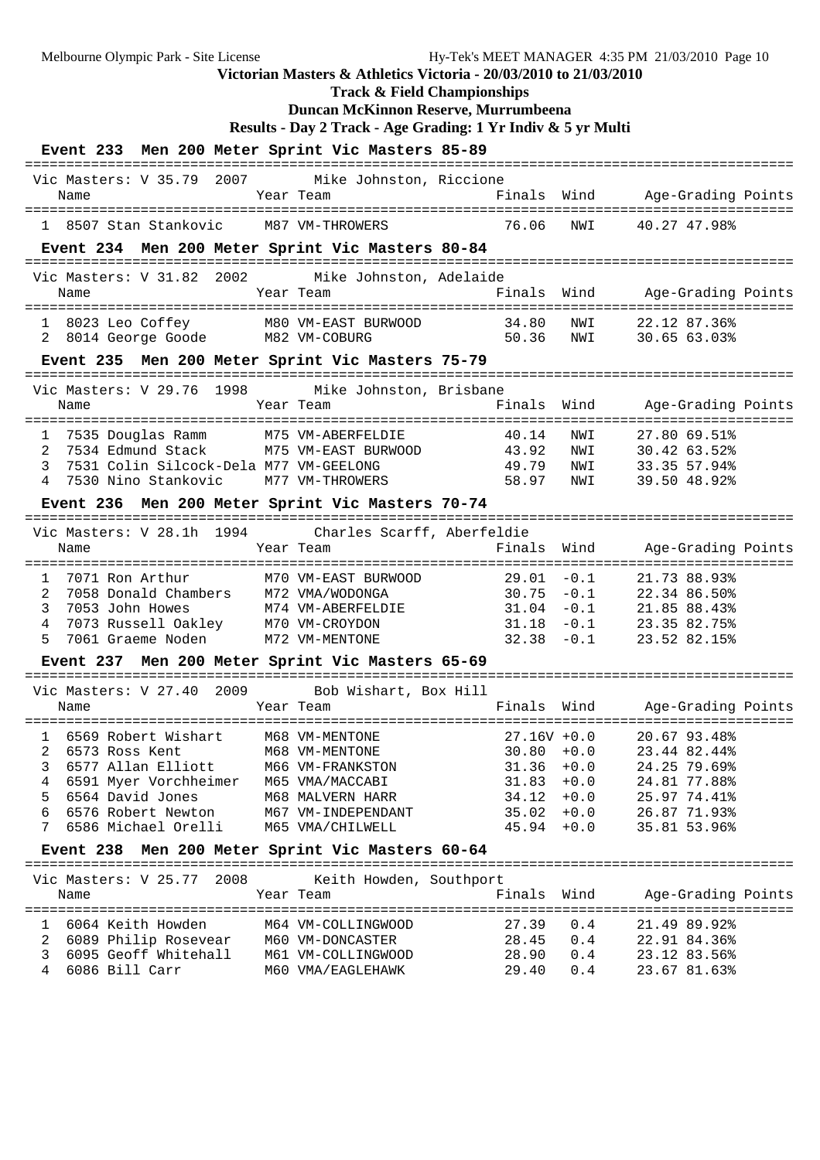**Track & Field Championships**

## **Duncan McKinnon Reserve, Murrumbeena**

**Results - Day 2 Track - Age Grading: 1 Yr Indiv & 5 yr Multi**

| Event 233 Men 200 Meter Sprint Vic Masters 85-89                                       |                     |                         |                                |        |                              |
|----------------------------------------------------------------------------------------|---------------------|-------------------------|--------------------------------|--------|------------------------------|
| Vic Masters: V 35.79 2007                                                              |                     | Mike Johnston, Riccione |                                |        |                              |
| Name                                                                                   | Year Team           |                         | Finals                         | Wind   | Age-Grading Points           |
| 1 8507 Stan Stankovic                                                                  | M87 VM-THROWERS     |                         | 76.06                          | NWI    | 40.27 47.98%                 |
| Event 234 Men 200 Meter Sprint Vic Masters 80-84                                       |                     |                         |                                |        |                              |
| ======================================<br>2002<br>Vic Masters: V 31.82                 |                     | Mike Johnston, Adelaide |                                |        |                              |
| Name                                                                                   | Year Team           |                         | Finals Wind                    |        | Age-Grading Points           |
| 1 8023 Leo Coffey M80 VM-EAST BURWOOD<br>2 8014 George Goode M82 VM-COBURG             |                     |                         | 34.80                          | NWI    | 22.12 87.36%                 |
| Event 235 Men 200 Meter Sprint Vic Masters 75-79                                       |                     |                         | 50.36 NWI                      |        | 30.65 63.03%                 |
|                                                                                        |                     |                         |                                |        |                              |
| Vic Masters: V 29.76 1998                                                              |                     | Mike Johnston, Brisbane |                                |        |                              |
| Name                                                                                   | Year Team           |                         | Finals                         | Wind   | Age-Grading Points           |
| 7535 Douglas Ramm<br>$\mathbf{1}$                                                      | M75 VM-ABERFELDIE   |                         | 40.14                          | NWI    | 27.80 69.51%                 |
| 2<br>7534 Edmund Stack                                                                 | M75 VM-EAST BURWOOD |                         | 43.92                          | NWI    | 30.42 63.52%                 |
| 7531 Colin Silcock-Dela M77 VM-GEELONG<br>3                                            |                     |                         | 49.79                          | NWI    | 33.35 57.94%                 |
| 7530 Nino Stankovic M77 VM-THROWERS<br>4                                               |                     |                         | 58.97                          | NWI    | 39.50 48.92%                 |
| Event 236 Men 200 Meter Sprint Vic Masters 70-74                                       |                     |                         |                                |        |                              |
| ==============================<br>Vic Masters: V 28.1h 1994 Charles Scarff, Aberfeldie |                     |                         | -----------                    |        |                              |
| Name                                                                                   | Year Team           |                         | Finals                         | Wind   | Age-Grading Points           |
|                                                                                        |                     |                         |                                |        |                              |
| 7071 Ron Arthur<br>$\mathbf{1}$                                                        | M70 VM-EAST BURWOOD |                         | $29.01 - 0.1$                  |        | 21.73 88.93%                 |
| 7058 Donald Chambers M72 VMA/WODONGA<br>2                                              |                     |                         | 30.75                          | $-0.1$ | 22.34 86.50%                 |
| 3<br>7053 John Howes                                                                   | M74 VM-ABERFELDIE   |                         | 31.04                          | $-0.1$ | 21.85 88.43%                 |
| 4<br>7073 Russell Oakley M70 VM-CROYDON                                                |                     |                         | 31.18                          | $-0.1$ | 23.35 82.75%                 |
| 5<br>7061 Graeme Noden                                                                 | M72 VM-MENTONE      |                         | $32.38 - 0.1$                  |        | 23.52 82.15%                 |
| Event 237 Men 200 Meter Sprint Vic Masters 65-69                                       | --------            |                         | ----------                     |        |                              |
| Vic Masters: V 27.40 2009                                                              |                     | Bob Wishart, Box Hill   |                                |        |                              |
| Name                                                                                   | Year Team           |                         | Finals                         | Wind   | Age-Grading Points           |
|                                                                                        |                     |                         |                                |        | ---------------------------  |
| 1 6569 Robert Wishart                                                                  | M68 VM-MENTONE      |                         | $27.16V + 0.0$                 |        | 20.67 93.48%                 |
| 2 6573 Ross Kent M68 VM-MENTONE<br>6577 Allan Elliott                                  | M66 VM-FRANKSTON    |                         |                                |        | $30.80 + 0.0$ 23.44 82.44%   |
| 3<br>6591 Myer Vorchheimer M65 VMA/MACCABI<br>4                                        |                     |                         | $31.36 + 0.0$<br>$31.83 + 0.0$ |        | 24.25 79.69%<br>24.81 77.88% |
| 6564 David Jones<br>5                                                                  | M68 MALVERN HARR    |                         | 34.12                          | $+0.0$ | 25.97 74.41%                 |
| 6576 Robert Newton<br>6                                                                | M67 VM-INDEPENDANT  |                         | $35.02 + 0.0$                  |        | 26.87 71.93%                 |
| 6586 Michael Orelli<br>7                                                               | M65 VMA/CHILWELL    |                         | $45.94 + 0.0$                  |        | 35.81 53.96%                 |
| Event 238 Men 200 Meter Sprint Vic Masters 60-64                                       |                     |                         |                                |        |                              |
|                                                                                        |                     |                         |                                |        |                              |
| Vic Masters: V 25.77 2008<br>Name                                                      | Year Team           | Keith Howden, Southport | Finals                         | Wind   | Age-Grading Points           |
|                                                                                        |                     |                         |                                |        |                              |
| 1 6064 Keith Howden                                                                    | M64 VM-COLLINGWOOD  |                         | 27.39                          | 0.4    | 21.49 89.92%                 |
| 2 6089 Philip Rosevear M60 VM-DONCASTER                                                |                     |                         | 28.45 0.4                      |        | 22.91 84.36%                 |
| 6095 Geoff Whitehall M61 VM-COLLINGWOOD<br>3                                           |                     |                         | 28.90 0.4                      |        | 23.12 83.56%                 |
| 6086 Bill Carr<br>4                                                                    | M60 VMA/EAGLEHAWK   |                         | 29.40                          | 0.4    | 23.67 81.63%                 |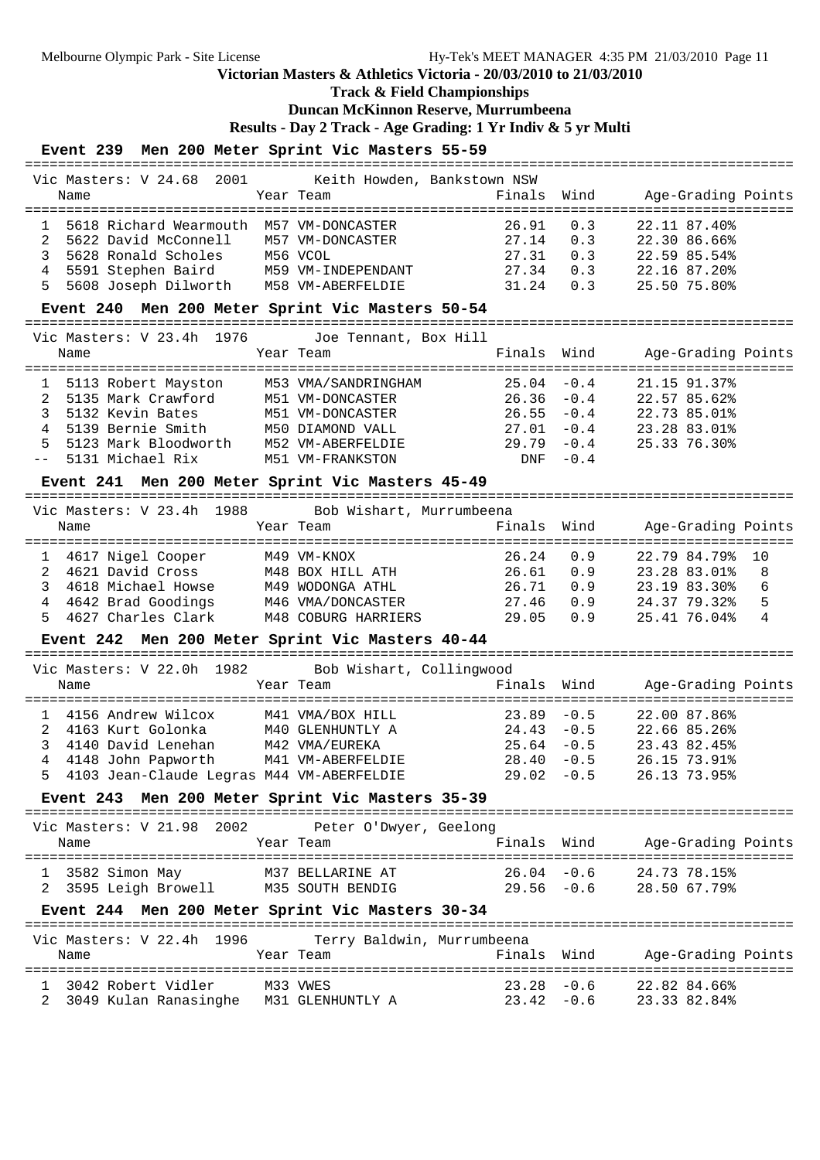**Track & Field Championships**

## **Duncan McKinnon Reserve, Murrumbeena**

**Results - Day 2 Track - Age Grading: 1 Yr Indiv & 5 yr Multi**

## **Event 239 Men 200 Meter Sprint Vic Masters 55-59**

| Vic Masters: V 24.68                                    | 2001 Keith Howden, Bankstown NSW    |                    |               |                                                 |
|---------------------------------------------------------|-------------------------------------|--------------------|---------------|-------------------------------------------------|
| Name                                                    | Year Team                           | Finals             | Wind          | Age-Grading Points                              |
|                                                         |                                     |                    |               | ============================                    |
| 5618 Richard Wearmouth M57 VM-DONCASTER<br>$\mathbf{1}$ |                                     | 26.91              | 0.3           | 22.11 87.40%                                    |
| 2<br>5622 David McConnell                               | M57 VM-DONCASTER                    | 27.14              | 0.3           | 22.30 86.66%                                    |
| 3<br>5628 Ronald Scholes                                | M56 VCOL                            | 27.31              | 0.3           | 22.59 85.54%                                    |
| 5591 Stephen Baird M59 VM-INDEPENDANT                   |                                     |                    |               |                                                 |
| 4                                                       |                                     | 27.34              | 0.3           | 22.16 87.20%                                    |
| 5<br>5608 Joseph Dilworth M58 VM-ABERFELDIE             |                                     | 31.24              | 0.3           | 25.50 75.80%                                    |
| Event 240 Men 200 Meter Sprint Vic Masters 50-54        |                                     | ----------------   |               |                                                 |
| Vic Masters: V 23.4h 1976                               | Joe Tennant, Box Hill               |                    |               |                                                 |
| Name                                                    | Year Team                           | Finals             | Wind          | Age-Grading Points                              |
|                                                         |                                     |                    |               |                                                 |
| 5113 Robert Mayston<br>1                                | M53 VMA/SANDRINGHAM                 | 25.04              | $-0.4$        | 21.15 91.37%                                    |
| 2<br>5135 Mark Crawford                                 | M51 VM-DONCASTER                    | 26.36              | $-0.4$        | 22.57 85.62%                                    |
| 3<br>5132 Kevin Bates                                   | M51 VM-DONCASTER                    | 26.55              | $-0.4$        | 22.73 85.01%                                    |
| 4<br>5139 Bernie Smith                                  | M50 DIAMOND VALL                    | 27.01              | $-0.4$        | 23.28 83.01%                                    |
| 5<br>5123 Mark Bloodworth                               | M52 VM-ABERFELDIE                   | 29.79              | $-0.4$        | 25.33 76.30%                                    |
| 5131 Michael Rix<br>$- -$                               | M51 VM-FRANKSTON                    | DNF                | $-0.4$        |                                                 |
| Event 241 Men 200 Meter Sprint Vic Masters 45-49        |                                     |                    |               |                                                 |
| Vic Masters: V 23.4h 1988                               |                                     |                    |               |                                                 |
|                                                         | Bob Wishart, Murrumbeena            | Finals             | Wind          |                                                 |
| Name                                                    | Year Team                           | ================== |               | Age-Grading Points<br>=========<br>============ |
| 4617 Nigel Cooper<br>$\mathbf{1}$                       | M49 VM-KNOX                         | 26.24              | 0.9           | 22.79 84.79%<br>10                              |
| 2<br>4621 David Cross                                   | M48 BOX HILL ATH                    | 26.61              | 0.9           | 8<br>23.28 83.01%                               |
| 3<br>4618 Michael Howse                                 | M49 WODONGA ATHL                    | 26.71              | 0.9           | 6<br>23.19 83.30%                               |
|                                                         |                                     |                    |               |                                                 |
| 4<br>4642 Brad Goodings                                 | M46 VMA/DONCASTER                   | 27.46              | 0.9           | 5<br>24.37 79.32%                               |
| 4627 Charles Clark<br>5                                 | M48 COBURG HARRIERS                 | 29.05              | 0.9           | 4<br>25.41 76.04%                               |
| Event 242 Men 200 Meter Sprint Vic Masters 40-44        |                                     |                    |               |                                                 |
| Vic Masters: V 22.0h 1982                               | Bob Wishart, Collingwood            |                    |               |                                                 |
| Name                                                    | Year Team                           | Finals             | Wind          | Age-Grading Points                              |
|                                                         |                                     |                    |               | -------<br>----------                           |
| 4156 Andrew Wilcox<br>1                                 | M41 VMA/BOX HILL                    | 23.89              | $-0.5$        | 22.00 87.86%                                    |
| 2<br>4163 Kurt Golonka                                  | M40 GLENHUNTLY A                    | 24.43              | $-0.5$        | 22.66 85.26%                                    |
| 3<br>4140 David Lenehan                                 |                                     | 25.64              | $-0.5$        | 23.43 82.45%                                    |
| 4<br>4148 John Papworth                                 | M42 VMA/EUREKA<br>M41 VM-ABERFELDIE | 28.40              | $-0.5$        | 26.15 73.91%                                    |
| 5 4103 Jean-Claude Legras M44 VM-ABERFELDIE             |                                     | $29.02 - 0.5$      |               | 26.13 73.95%                                    |
|                                                         |                                     |                    |               |                                                 |
| Event 243 Men 200 Meter Sprint Vic Masters 35-39        |                                     |                    |               |                                                 |
| Vic Masters: V 21.98 2002                               | Peter O'Dwyer, Geelong              |                    |               |                                                 |
| Name                                                    | Year Team                           | Finals Wind        |               | Age-Grading Points                              |
|                                                         |                                     |                    |               |                                                 |
| 3582 Simon May                                          | M37 BELLARINE AT                    | $26.04 - 0.6$      |               | 24.73 78.15%                                    |
| 3595 Leigh Browell M35 SOUTH BENDIG                     |                                     | $29.56 - 0.6$      |               | 28.50 67.79%                                    |
| Event 244 Men 200 Meter Sprint Vic Masters 30-34        |                                     |                    |               |                                                 |
|                                                         |                                     |                    |               |                                                 |
| Vic Masters: V 22.4h 1996                               | Terry Baldwin, Murrumbeena          |                    |               |                                                 |
| Name                                                    | Year Team                           | Finals Wind        |               | Age-Grading Points                              |
|                                                         |                                     |                    |               |                                                 |
| 3042 Robert Vidler                                      | M33 VWES                            |                    | $23.28 - 0.6$ | 22.82 84.66%                                    |
| 3049 Kulan Ranasinghe M31 GLENHUNTLY A                  |                                     |                    | $23.42 - 0.6$ | 23.33 82.84%                                    |
|                                                         |                                     |                    |               |                                                 |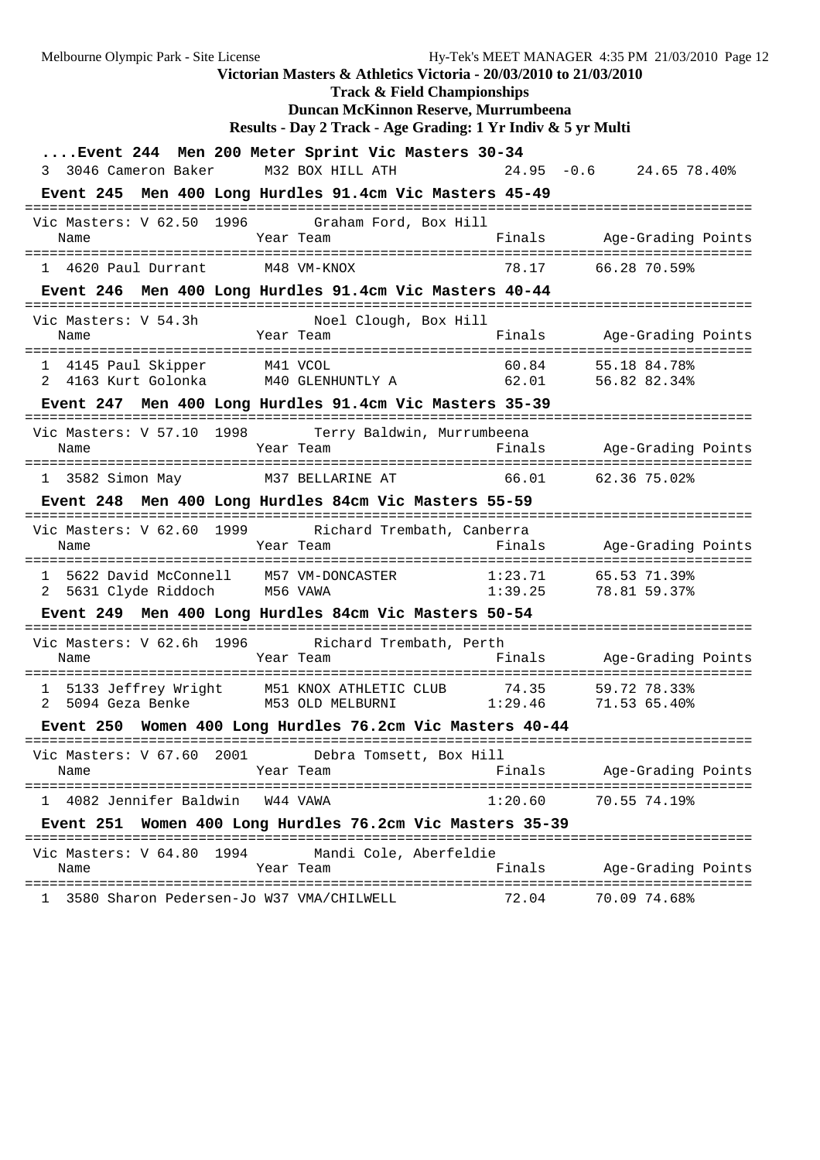Melbourne Olympic Park - Site License Hy-Tek's MEET MANAGER 4:35 PM 21/03/2010 Page 12 **Victorian Masters & Athletics Victoria - 20/03/2010 to 21/03/2010 Track & Field Championships Duncan McKinnon Reserve, Murrumbeena Results - Day 2 Track - Age Grading: 1 Yr Indiv & 5 yr Multi ....Event 244 Men 200 Meter Sprint Vic Masters 30-34** 3 3046 Cameron Baker M32 BOX HILL ATH 24.95 -0.6 24.65 78.40% **Event 245 Men 400 Long Hurdles 91.4cm Vic Masters 45-49** ======================================================================================== Vic Masters: V 62.50 1996 Graham Ford, Box Hill Name Year Team Finals Age-Grading Points ======================================================================================== 1 4620 Paul Durrant M48 VM-KNOX **Event 246 Men 400 Long Hurdles 91.4cm Vic Masters 40-44** ======================================================================================== Vic Masters: V 54.3h Noel Clough, Box Hill Name Year Team Finals Age-Grading Points ======================================================================================== 1 4145 Paul Skipper M41 VCOL 60.84 55.18 84.78% 2 4163 Kurt Golonka M40 GLENHUNTLY A 62.01 56.82 82.34% **Event 247 Men 400 Long Hurdles 91.4cm Vic Masters 35-39** ======================================================================================== Vic Masters: V 57.10 1998 Terry Baldwin, Murrumbeena Name Year Team Finals Age-Grading Points ======================================================================================== 1 3582 Simon May M37 BELLARINE AT 66.01 **Event 248 Men 400 Long Hurdles 84cm Vic Masters 55-59** ======================================================================================== Vic Masters: V 62.60 1999 Richard Trembath, Canberra Name Year Team Finals Age-Grading Points ======================================================================================== 1 5622 David McConnell M57 VM-DONCASTER 1:23.71 65.53 71.39% 2 5631 Clyde Riddoch M56 VAWA 1:39.25 78.81 59.37% **Event 249 Men 400 Long Hurdles 84cm Vic Masters 50-54** ======================================================================================== Vic Masters: V 62.6h 1996 name Team Mame Year Team Research Rinals Age-Grading Points ======================================================================================== 1 5133 Jeffrey Wright M51 KNOX ATHLETIC CLUB 74.35 59.72 78.33% 2 5094 Geza Benke M53 OLD MELBURNI 1:29.46 71.53 65.40% **Event 250 Women 400 Long Hurdles 76.2cm Vic Masters 40-44** ======================================================================================== Vic Masters: V 67.60 2001 Debra Tomsett, Box Hill<br>Name Year Team F: Name Year Team Finals Age-Grading Points ======================================================================================== 1 4082 Jennifer Baldwin W44 VAWA 1:20.60 **Event 251 Women 400 Long Hurdles 76.2cm Vic Masters 35-39** ======================================================================================== Vic Masters: V 64.80 1994 Mandi Cole, Aberfeldie Name Year Team Finals Age-Grading Points ======================================================================================== 1 3580 Sharon Pedersen-Jo W37 VMA/CHILWELL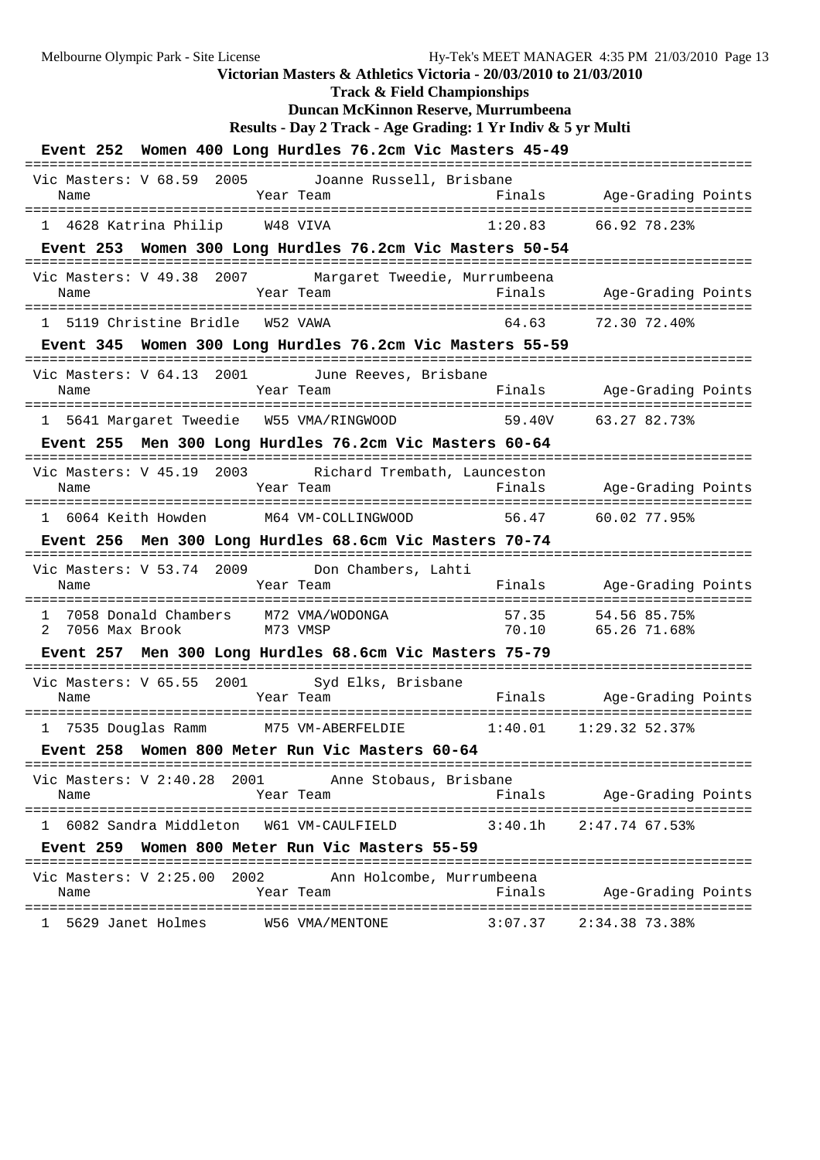**Victorian Masters & Athletics Victoria - 20/03/2010 to 21/03/2010 Track & Field Championships Duncan McKinnon Reserve, Murrumbeena Results - Day 2 Track - Age Grading: 1 Yr Indiv & 5 yr Multi Event 252 Women 400 Long Hurdles 76.2cm Vic Masters 45-49** ======================================================================================== Vic Masters: V 68.59 2005 Joanne Russell, Brisbane Name Team Team Finals Age-Grading Points ======================================================================================== 1 4628 Katrina Philip **Event 253 Women 300 Long Hurdles 76.2cm Vic Masters 50-54** ======================================================================================== Vic Masters: V 49.38 2007 Margaret Tweedie, Murrumbeena Name Tear Team Finals Age-Grading Points ======================================================================================== 1 5119 Christine Bridle W52 VAWA 64.63 72.30 72.40% **Event 345 Women 300 Long Hurdles 76.2cm Vic Masters 55-59** ======================================================================================== Vic Masters: V 64.13 2001 June Reeves, Brisbane<br>Name Year Team Name Tear Team Team Finals Age-Grading Points ======================================================================================== 1 5641 Margaret Tweedie W55 VMA/RINGWOOD 59.40V 63.27 82.73% **Event 255 Men 300 Long Hurdles 76.2cm Vic Masters 60-64** ======================================================================================== Vic Masters: V 45.19 2003 Richard Trembath, Launceston Name Team Team Finals Age-Grading Points ======================================================================================== 1 6064 Keith Howden M64 VM-COLLINGWOOD 56.47 60.02 77.95% **Event 256 Men 300 Long Hurdles 68.6cm Vic Masters 70-74** ======================================================================================== Vic Masters: V 53.74 2009 Don<br>Name Year Team Name Year Team Finals Age-Grading Points ======================================================================================== 1 7058 Donald Chambers M72 VMA/WODONGA 57.35 54.56 85.75% 2 7056 Max Brook M73 VMSP 70.10 65.26 71.68% **Event 257 Men 300 Long Hurdles 68.6cm Vic Masters 75-79** ======================================================================================== Vic Masters: V 65.55 2001 Syd Elks, Brisbane Name Year Team Finals Age-Grading Points ======================================================================================== 1 7535 Douglas Ramm M75 VM-ABERFELDIE 1:40.01 1:29.32 52.37% **Event 258 Women 800 Meter Run Vic Masters 60-64** ======================================================================================== Vic Masters: V 2:40.28 2001 Anne Stobaus, Brisbane Name Year Team Finals Age-Grading Points ======================================================================================== 1 6082 Sandra Middleton W61 VM-CAULFIELD **Event 259 Women 800 Meter Run Vic Masters 55-59** ======================================================================================== Vic Masters: V 2:25.00 2002 Ann Holcombe, Murrumbeena Name Tear Team Finals Age-Grading Points ========================================================================================

1 5629 Janet Holmes W56 VMA/MENTONE 3:07.37 2:34.38 73.38%

Melbourne Olympic Park - Site License Hy-Tek's MEET MANAGER 4:35 PM 21/03/2010 Page 13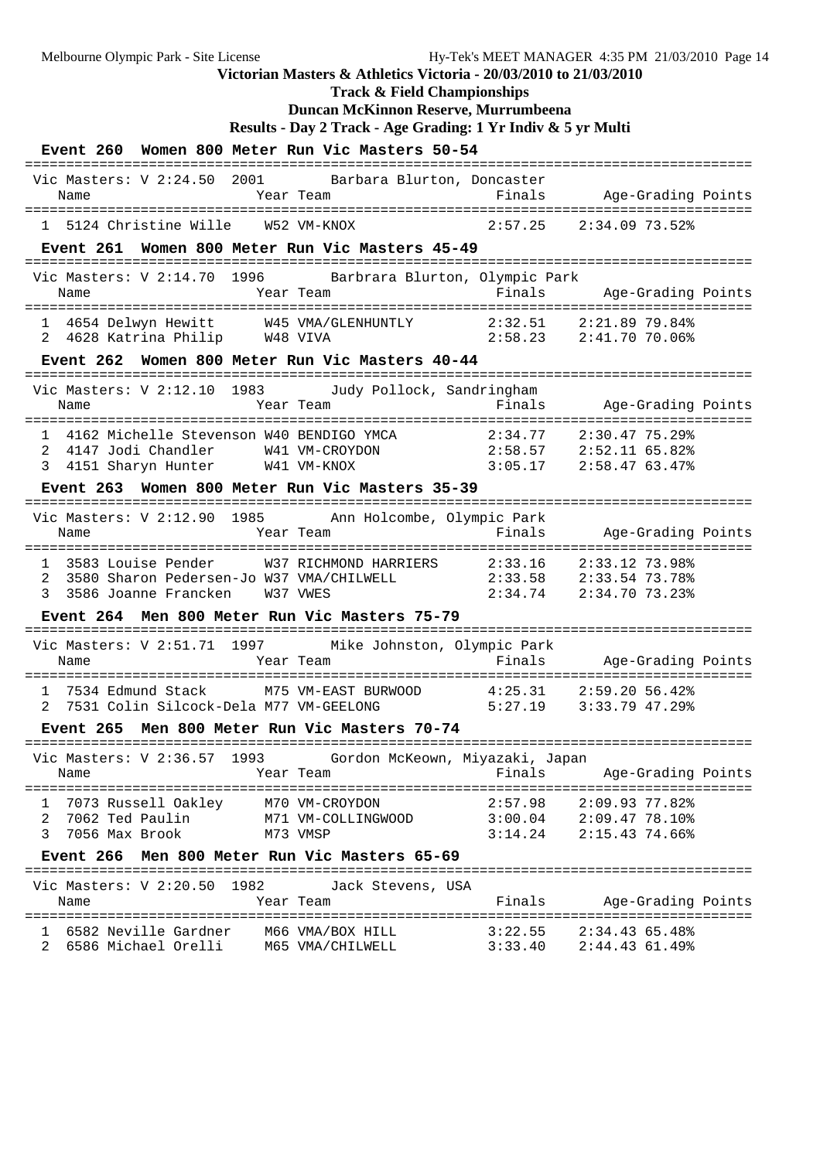**Track & Field Championships**

# **Duncan McKinnon Reserve, Murrumbeena**

```
Results - Day 2 Track - Age Grading: 1 Yr Indiv & 5 yr Multi
```

| Event 260 Women 800 Meter Run Vic Masters 50-54                                                                           |                                         |                       |                                                                                      |  |
|---------------------------------------------------------------------------------------------------------------------------|-----------------------------------------|-----------------------|--------------------------------------------------------------------------------------|--|
| Vic Masters: V 2:24.50 2001<br>Name                                                                                       | Barbara Blurton, Doncaster<br>Year Team |                       | Finals Age-Grading Points                                                            |  |
| 1 5124 Christine Wille W52 VM-KNOX                                                                                        |                                         |                       | $2:57.25$ $2:34.09$ 73.52%                                                           |  |
| Event 261 Women 800 Meter Run Vic Masters 45-49                                                                           |                                         |                       |                                                                                      |  |
| Vic Masters: V 2:14.70 1996 Barbrara Blurton, Olympic Park<br>Name                                                        | Year Team                               | Finals                | Age-Grading Points                                                                   |  |
| 4654 Delwyn Hewitt M45 VMA/GLENHUNTLY 2:32.51 2:21.89 79.84%<br>1<br>4628 Katrina Philip W48 VIVA<br>2                    |                                         |                       | 2:58.23 2:41.70 70.06%                                                               |  |
| Event 262 Women 800 Meter Run Vic Masters 40-44                                                                           |                                         |                       |                                                                                      |  |
| Vic Masters: V 2:12.10 1983 Judy Pollock, Sandringham<br>Name                                                             | Year Team                               | Finals                | Age-Grading Points                                                                   |  |
| $\mathbf{1}$<br>2<br>3<br>Event 263 Women 800 Meter Run Vic Masters 35-39                                                 |                                         |                       |                                                                                      |  |
| ============================<br>Vic Masters: V 2:12.90 1985 Ann Holcombe, Olympic Park                                    |                                         |                       |                                                                                      |  |
| Name                                                                                                                      | Year Team                               | Finals                | Age-Grading Points                                                                   |  |
| 3583 Louise Pender<br>$\mathbf{1}$<br>2<br>3580 Sharon Pedersen-Jo W37 VMA/CHILWELL<br>3<br>3586 Joanne Francken W37 VWES | W37 RICHMOND HARRIERS 2:33.16           |                       | 2:33.12 73.98%<br>2:33.58 2:33.54 73.78%<br>$2:34.74$ $2:34.70$ $73.23$ <sup>*</sup> |  |
| Event 264 Men 800 Meter Run Vic Masters 75-79                                                                             |                                         | ===================== |                                                                                      |  |
| Vic Masters: V 2:51.71 1997 Mike Johnston, Olympic Park<br>Name                                                           | Year Team                               | Finals                | Age-Grading Points                                                                   |  |
| 7534 Edmund Stack<br>$\mathbf{1}$<br>7531 Colin Silcock-Dela M77 VM-GEELONG<br>2                                          | M75 VM-EAST BURWOOD                     | 4:25.31               | 2:59.20 56.42%<br>$5:27.19$ $3:33.79$ 47.29%                                         |  |
| Event 265                                                                                                                 | Men 800 Meter Run Vic Masters 70-74     |                       |                                                                                      |  |
| Vic Masters: V 2:36.57 1993 Gordon McKeown, Miyazaki, Japan<br>Name                                                       | Year Team                               | Finals                | Age-Grading Points                                                                   |  |
| 7073 Russell Oakley M70 VM-CROYDON<br>ı.<br>7062 Ted Paulin<br>2<br>3<br>7056 Max Brook                                   | M71 VM-COLLINGWOOD<br>M73 VMSP          | 2:57.98               | 2:09.9377.82<br>$3:00.04$ $2:09.47$ 78.10%<br>$3:14.24$ $2:15.43$ 74.66%             |  |
| Event 266 Men 800 Meter Run Vic Masters 65-69                                                                             |                                         |                       |                                                                                      |  |
| Vic Masters: V 2:20.50 1982<br>Name                                                                                       | Jack Stevens, USA<br>Year Team          | Finals                | Age-Grading Points                                                                   |  |
| 6582 Neville Gardner<br>6586 Michael Orelli M65 VMA/CHILWELL                                                              | M66 VMA/BOX HILL                        | 3:22.55<br>3:33.40    | 2:34.4365.48<br>$2:44.43$ 61.49%                                                     |  |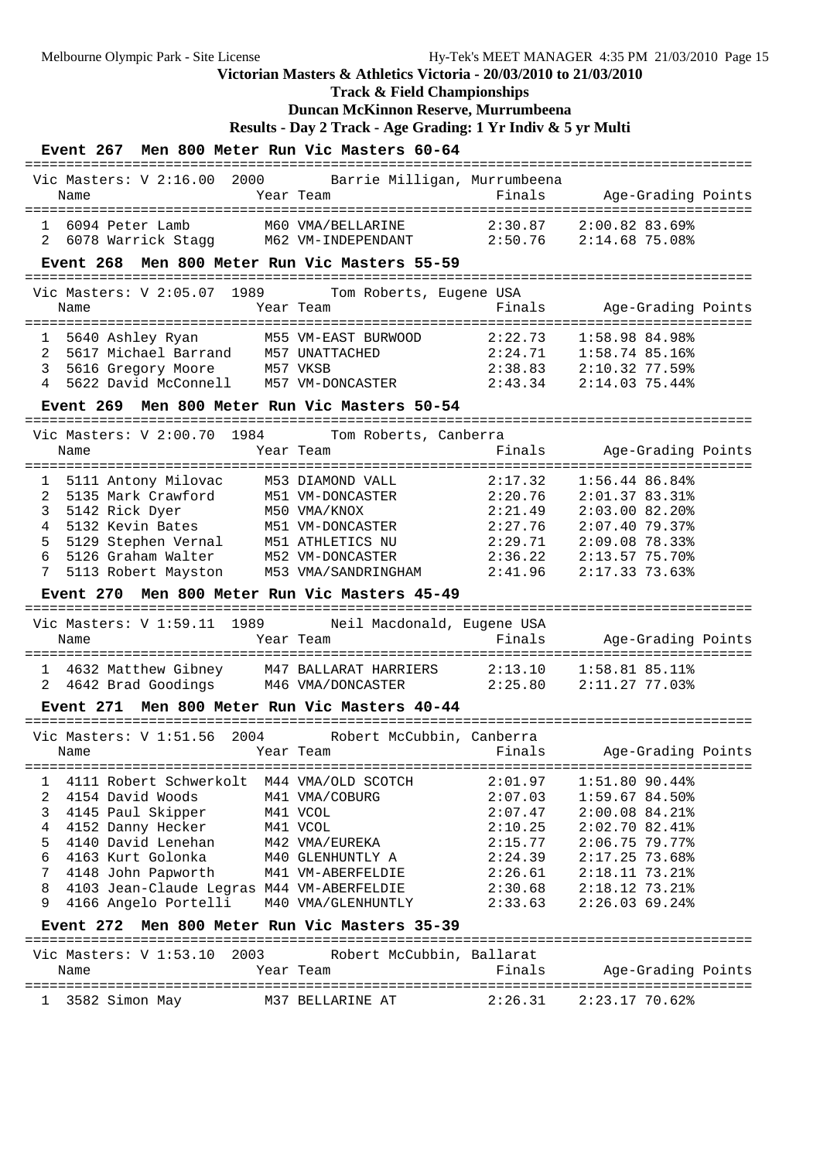**Track & Field Championships**

### **Duncan McKinnon Reserve, Murrumbeena**

**Results - Day 2 Track - Age Grading: 1 Yr Indiv & 5 yr Multi**

| Event 267 Men 800 Meter Run Vic Masters 60-64                                                                                                                                                                                                                                                                                                                       |                                                                                                                         |                                                                                                 |                                                                                                                                                                     |  |
|---------------------------------------------------------------------------------------------------------------------------------------------------------------------------------------------------------------------------------------------------------------------------------------------------------------------------------------------------------------------|-------------------------------------------------------------------------------------------------------------------------|-------------------------------------------------------------------------------------------------|---------------------------------------------------------------------------------------------------------------------------------------------------------------------|--|
| Vic Masters: V 2:16.00 2000 Barrie Milligan, Murrumbeena<br>Name                                                                                                                                                                                                                                                                                                    | Year Team                                                                                                               | Finals                                                                                          | Age-Grading Points                                                                                                                                                  |  |
| 6094 Peter Lamb<br>$\mathbf{1}$<br>2                                                                                                                                                                                                                                                                                                                                | ===========<br>M60 VMA/BELLARINE<br>6078 Warrick Stagg M62 VM-INDEPENDANT 2:50.76                                       | 2:30.87                                                                                         | 2:00.82 83.69%<br>2:14.6875.08%                                                                                                                                     |  |
| Event 268 Men 800 Meter Run Vic Masters 55-59                                                                                                                                                                                                                                                                                                                       |                                                                                                                         |                                                                                                 |                                                                                                                                                                     |  |
| Vic Masters: V 2:05.07 1989 Tom Roberts, Eugene USA<br>Name                                                                                                                                                                                                                                                                                                         | Year Team                                                                                                               | Finals                                                                                          | Age-Grading Points                                                                                                                                                  |  |
| 5640 Ashley Ryan               M55 VM-EAST BURWOOD<br>5617 Michael Barrand       M57 UNATTACHED<br>5640 Ashley Ryan<br>1<br>2<br>5616 Gregory Moore M57 VKSB<br>3<br>5622 David McConnell M57 VM-DONCASTER<br>4<br>Event 269 Men 800 Meter Run Vic Masters 50-54                                                                                                    |                                                                                                                         | 2:22.73<br>2:24.71                                                                              | 1:58.98 84.98%<br>1:58.74 85.16%<br>$2:38.83$ $2:10.32$ 77.59%<br>2:43.34 2:14.03 75.44%                                                                            |  |
| Vic Masters: V 2:00.70 1984                                                                                                                                                                                                                                                                                                                                         | Tom Roberts, Canberra                                                                                                   | ====================                                                                            |                                                                                                                                                                     |  |
| Name                                                                                                                                                                                                                                                                                                                                                                | Year Team                                                                                                               | Finals                                                                                          | Age-Grading Points                                                                                                                                                  |  |
| 5111 Antony Milovac<br>1<br>2<br>3<br>4<br>5129 Stephen Vernal M51 ATHLETICS NU<br>5<br>6<br>5126 Graham Walter<br>7                                                                                                                                                                                                                                                | M53 DIAMOND VALL<br>M52 VM-DONCASTER<br>5113 Robert Mayston M53 VMA/SANDRINGHAM                                         | 2:17.32<br>2:20.76<br>2:21.49<br>2:27.76<br>2:29.71<br>2:36.22<br>2:41.96                       | 1:56.44 86.84%<br>2:01.3783.31<br>$2:03.00$ 82.20%<br>$2:07.40$ 79.37%<br>2:09.0878.33<br>2:13.57 75.70%<br>2:17.3373.63                                            |  |
| Event 270 Men 800 Meter Run Vic Masters 45-49                                                                                                                                                                                                                                                                                                                       |                                                                                                                         |                                                                                                 |                                                                                                                                                                     |  |
| ====================================<br>Vic Masters: V 1:59.11 1989<br>Name                                                                                                                                                                                                                                                                                         | Neil Macdonald, Eugene USA<br>Year Team<br>============                                                                 | -------------------<br>Finals                                                                   | Age-Grading Points                                                                                                                                                  |  |
| 1 4632 Matthew Gibney 147 BALLARAT HARRIERS<br>2 4642 Brad Goodings 146 VMA/DONCASTER                                                                                                                                                                                                                                                                               |                                                                                                                         | 2:13.10                                                                                         | $1:58.81$ 85.11%<br>2:25.80 2:11.27 77.03%                                                                                                                          |  |
| Event 271 Men 800 Meter Run Vic Masters 40-44                                                                                                                                                                                                                                                                                                                       |                                                                                                                         |                                                                                                 |                                                                                                                                                                     |  |
| Vic Masters: V 1:51.56<br>Name                                                                                                                                                                                                                                                                                                                                      | 2004      Robert McCubbin, Canberra<br>Year Team                                                                        | Finals                                                                                          | Age-Grading Points                                                                                                                                                  |  |
| 4111 Robert Schwerkolt M44 VMA/OLD SCOTCH<br>$\mathbf{1}$<br>$\overline{a}$<br>4154 David Woods<br>3<br>4145 Paul Skipper<br>4<br>4152 Danny Hecker<br>5<br>4140 David Lenehan<br>6<br>4163 Kurt Golonka<br>7<br>4148 John Papworth<br>8<br>4103 Jean-Claude Legras M44 VM-ABERFELDIE<br>9<br>4166 Angelo Portelli<br>Event 272 Men 800 Meter Run Vic Masters 35-39 | M41 VMA/COBURG<br>M41 VCOL<br>M41 VCOL<br>M42 VMA/EUREKA<br>M40 GLENHUNTLY A<br>M41 VM-ABERFELDIE<br>M40 VMA/GLENHUNTLY | 2:01.97<br>2:07.03<br>2:07.47<br>2:10.25<br>2:15.77<br>2:24.39<br>2:26.61<br>2:30.68<br>2:33.63 | $1:51.80$ 90.44%<br>1:59.67 84.50%<br>$2:00.08$ 84.21%<br>2:02.70 82.41%<br>$2:06.75$ 79.77%<br>2:17.25 73.68%<br>2:18.11 73.21%<br>2:18.12 73.21%<br>2:26.0369.24% |  |
|                                                                                                                                                                                                                                                                                                                                                                     |                                                                                                                         |                                                                                                 |                                                                                                                                                                     |  |
| Vic Masters: V 1:53.10 2003<br>Name                                                                                                                                                                                                                                                                                                                                 | Robert McCubbin, Ballarat<br>Year Team                                                                                  | Finals                                                                                          | Age-Grading Points                                                                                                                                                  |  |
| 1 3582 Simon May                                                                                                                                                                                                                                                                                                                                                    | M37 BELLARINE AT                                                                                                        | 2:26.31                                                                                         | 2:23.17 70.62%                                                                                                                                                      |  |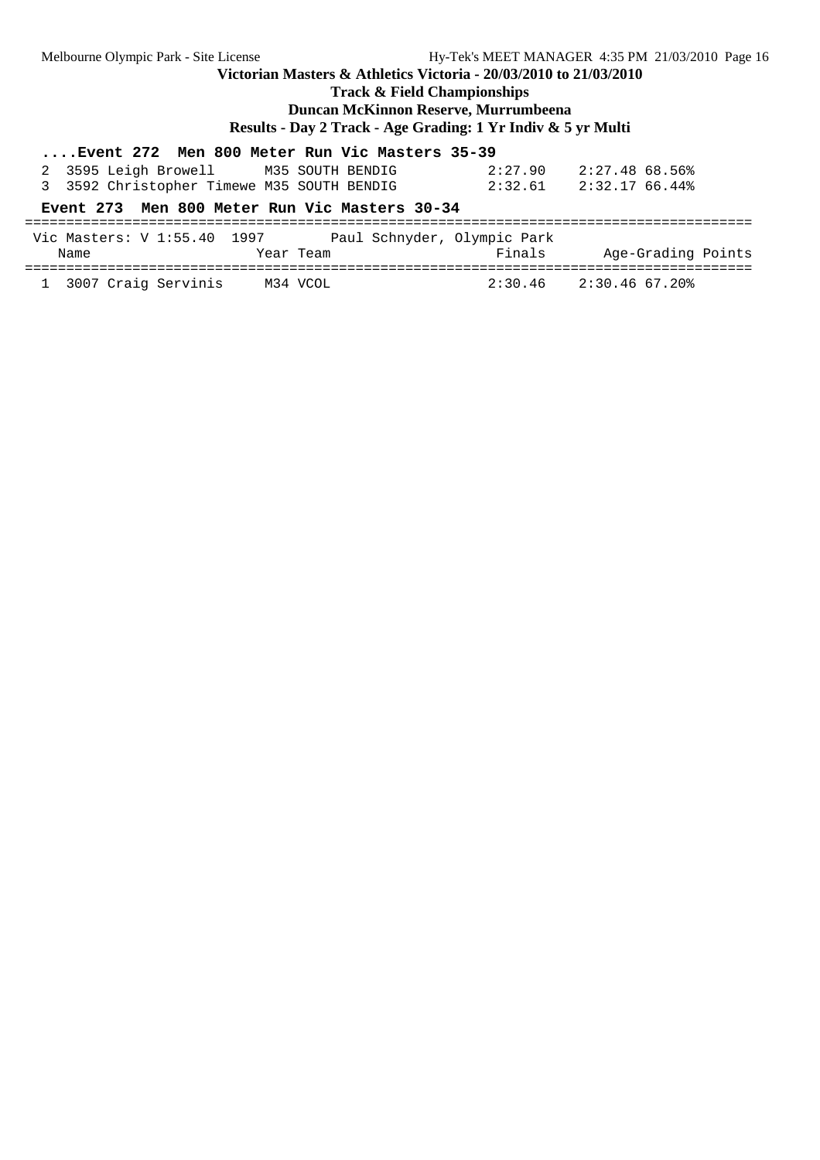**Track & Field Championships**

**Duncan McKinnon Reserve, Murrumbeena**

**Results - Day 2 Track - Age Grading: 1 Yr Indiv & 5 yr Multi**

## **....Event 272 Men 800 Meter Run Vic Masters 35-39**

| 2 3595 Leigh Browell | M35 SOUTH BENDIG                           | 2:27.90 | 2:27.48 68.56% |
|----------------------|--------------------------------------------|---------|----------------|
|                      | 3 3592 Christopher Timewe M35 SOUTH BENDIG | 2:32.61 | 2:32.17 66.44% |

### **Event 273 Men 800 Meter Run Vic Masters 30-34**

| Vic Masters: V 1:55.40 1997<br>Name | Paul Schnyder, Olympic Park<br>Year Team | Finals  | Age-Grading Points |
|-------------------------------------|------------------------------------------|---------|--------------------|
| 1 3007 Craig Servinis               | M34 VCOL                                 | 2:30.46 | 2:30.46 67.20%     |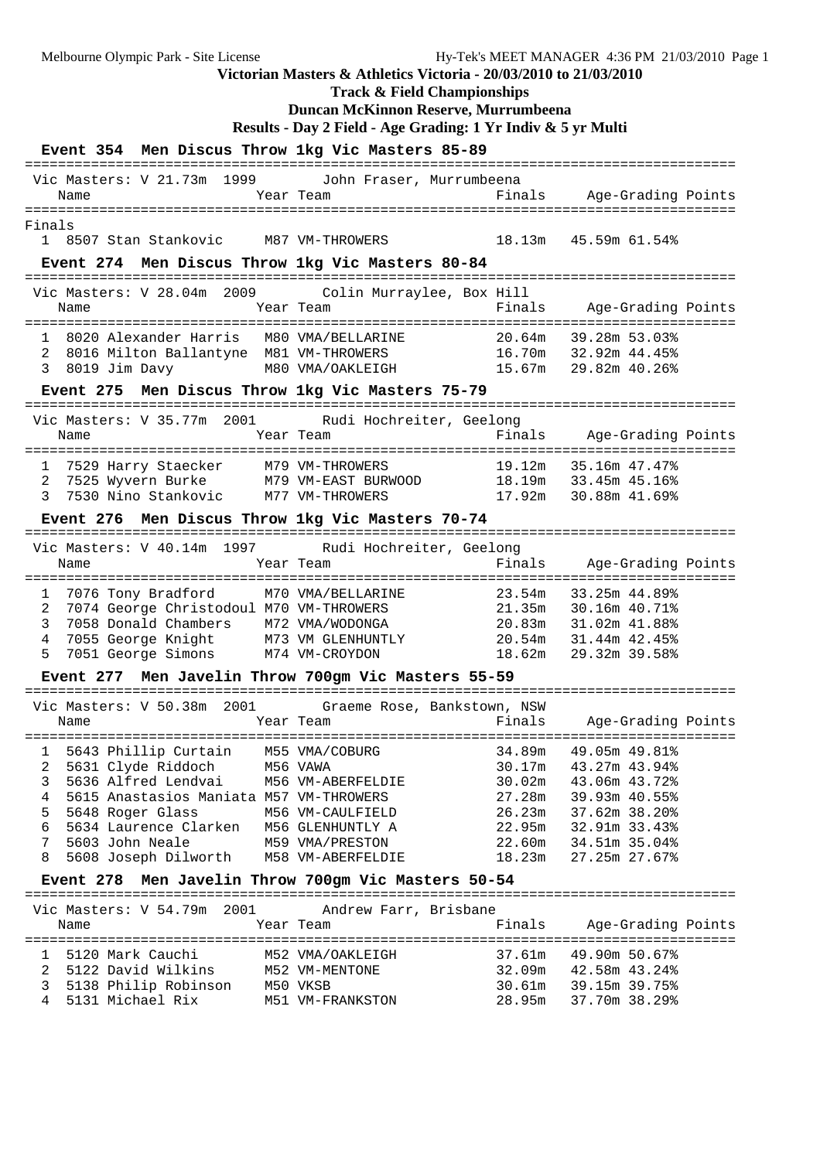**Track & Field Championships**

# **Duncan McKinnon Reserve, Murrumbeena**

```
Results - Day 2 Field - Age Grading: 1 Yr Indiv & 5 yr Multi
```

|                                    |               |                                                                                    |                      |           |                                                                                                                                                                                                                         | Event 354 Men Discus Throw 1kg Vic Masters 85-89                  |                                                                              |                                                                                                                                                                                                       |  |
|------------------------------------|---------------|------------------------------------------------------------------------------------|----------------------|-----------|-------------------------------------------------------------------------------------------------------------------------------------------------------------------------------------------------------------------------|-------------------------------------------------------------------|------------------------------------------------------------------------------|-------------------------------------------------------------------------------------------------------------------------------------------------------------------------------------------------------|--|
| Name                               |               |                                                                                    |                      |           | Year Team                                                                                                                                                                                                               | Vic Masters: V 21.73m 1999 John Fraser, Murrumbeena               |                                                                              | Finals Age-Grading Points                                                                                                                                                                             |  |
| Finals                             |               |                                                                                    |                      |           |                                                                                                                                                                                                                         |                                                                   |                                                                              | 1 8507 Stan Stankovic M87 VM-THROWERS 18.13m 45.59m 61.54%                                                                                                                                            |  |
|                                    |               |                                                                                    |                      |           |                                                                                                                                                                                                                         | Event 274 Men Discus Throw 1kg Vic Masters 80-84                  |                                                                              |                                                                                                                                                                                                       |  |
| Name                               |               |                                                                                    |                      |           |                                                                                                                                                                                                                         | Vic Masters: V 28.04m 2009 Colin Murraylee, Box Hill<br>Year Team | :===================<br>Finals                                               | Age-Grading Points                                                                                                                                                                                    |  |
| 2<br>3                             | 8019 Jim Davy |                                                                                    |                      |           |                                                                                                                                                                                                                         | 8020 Alexander Harris M80 VMA/BELLARINE                           | 20.64m                                                                       | 39.28m 53.03%<br>8016 Milton Ballantyne M81 VM-THROWERS 16.70m 32.92m 44.45%<br>M80 VMA/OAKLEIGH 15.67m 29.82m 40.26%                                                                                 |  |
|                                    |               |                                                                                    |                      |           |                                                                                                                                                                                                                         | Event 275 Men Discus Throw 1kg Vic Masters 75-79                  |                                                                              |                                                                                                                                                                                                       |  |
| Vic Masters: V 35.77m 2001<br>Name |               |                                                                                    |                      | Year Team |                                                                                                                                                                                                                         | Rudi Hochreiter, Geelong                                          |                                                                              | Finals Age-Grading Points                                                                                                                                                                             |  |
| 3                                  |               |                                                                                    |                      |           | 7530 Nino Stankovic M77 VM-THROWERS                                                                                                                                                                                     | Event 276 Men Discus Throw 1kg Vic Masters 70-74                  |                                                                              | 1 7529 Harry Staecker M79 VM-THROWERS 19.12m 35.16m 47.47%<br>2 7525 Wyvern Burke M79 VM-EAST BURWOOD 18.19m 33.45m 45.16%<br>17.92m 30.88m 41.69%                                                    |  |
|                                    |               |                                                                                    |                      |           |                                                                                                                                                                                                                         | Vic Masters: V 40.14m 1997 Rudi Hochreiter, Geelong               |                                                                              |                                                                                                                                                                                                       |  |
| Name                               |               |                                                                                    |                      | Year Team |                                                                                                                                                                                                                         |                                                                   |                                                                              | Finals Age-Grading Points                                                                                                                                                                             |  |
| 1<br>2<br>3<br>4<br>5              |               |                                                                                    |                      |           | 7076 Tony Bradford M70 VMA/BELLARINE<br>7074 George Christodoul M70 VM-THROWERS                                                                                                                                         |                                                                   |                                                                              | 23.54m 33.25m 44.89%<br>21.35m 30.16m 40.71%<br>9058 Donald Chambers M72 VMA/WODONGA 20.83m 31.02m 41.88% 7055 George Knight M73 VM GLENHUNTLY 20.54m 31.44m 42.45% 7051 George Simons M74 VM-CROYDON |  |
|                                    |               |                                                                                    |                      |           |                                                                                                                                                                                                                         | Event 277 Men Javelin Throw 700gm Vic Masters 55-59               | ===============                                                              |                                                                                                                                                                                                       |  |
| Name                               |               |                                                                                    | Year Team            |           |                                                                                                                                                                                                                         | Vic Masters: V 50.38m 2001 Graeme Rose, Bankstown, NSW            |                                                                              | Finals Age-Grading Points                                                                                                                                                                             |  |
| 2<br>3<br>4<br>5<br>6<br>7<br>8    |               | 5631 Clyde Riddoch<br>5636 Alfred Lendvai<br>5648 Roger Glass<br>5603 John Neale   | 5608 Joseph Dilworth |           | 1 5643 Phillip Curtain M55 VMA/COBURG<br>M56 VAWA<br>M56 VM-ABERFELDIE<br>5615 Anastasios Maniata M57 VM-THROWERS<br>M56 VM-CAULFIELD<br>5634 Laurence Clarken M56 GLENHUNTLY A<br>M59 VMA/PRESTON<br>M58 VM-ABERFELDIE |                                                                   | 34.89m<br>30.17m<br>30.02m<br>27.28m<br>26.23m<br>22.95m<br>22.60m<br>18.23m | 49.05m 49.81%<br>43.27m 43.94%<br>43.06m 43.72%<br>39.93m 40.55%<br>37.62m 38.20%<br>32.91m 33.43%<br>34.51m 35.04%<br>27.25m 27.67%                                                                  |  |
|                                    |               |                                                                                    |                      |           |                                                                                                                                                                                                                         | Event 278 Men Javelin Throw 700gm Vic Masters 50-54               |                                                                              |                                                                                                                                                                                                       |  |
| Vic Masters: V 54.79m 2001         |               |                                                                                    |                      |           |                                                                                                                                                                                                                         | Andrew Farr, Brisbane                                             |                                                                              |                                                                                                                                                                                                       |  |
| Name                               |               |                                                                                    |                      |           | Year Team                                                                                                                                                                                                               |                                                                   | Finals                                                                       | Age-Grading Points                                                                                                                                                                                    |  |
| ı.<br>2<br>3<br>4                  |               | 5120 Mark Cauchi<br>5122 David Wilkins<br>5138 Philip Robinson<br>5131 Michael Rix |                      | M50 VKSB  | M52 VMA/OAKLEIGH<br>M52 VM-MENTONE<br>M51 VM-FRANKSTON                                                                                                                                                                  |                                                                   | 37.61m<br>32.09m<br>30.61m<br>28.95m                                         | 49.90m 50.67%<br>42.58m 43.24%<br>39.15m 39.75%<br>37.70m 38.29%                                                                                                                                      |  |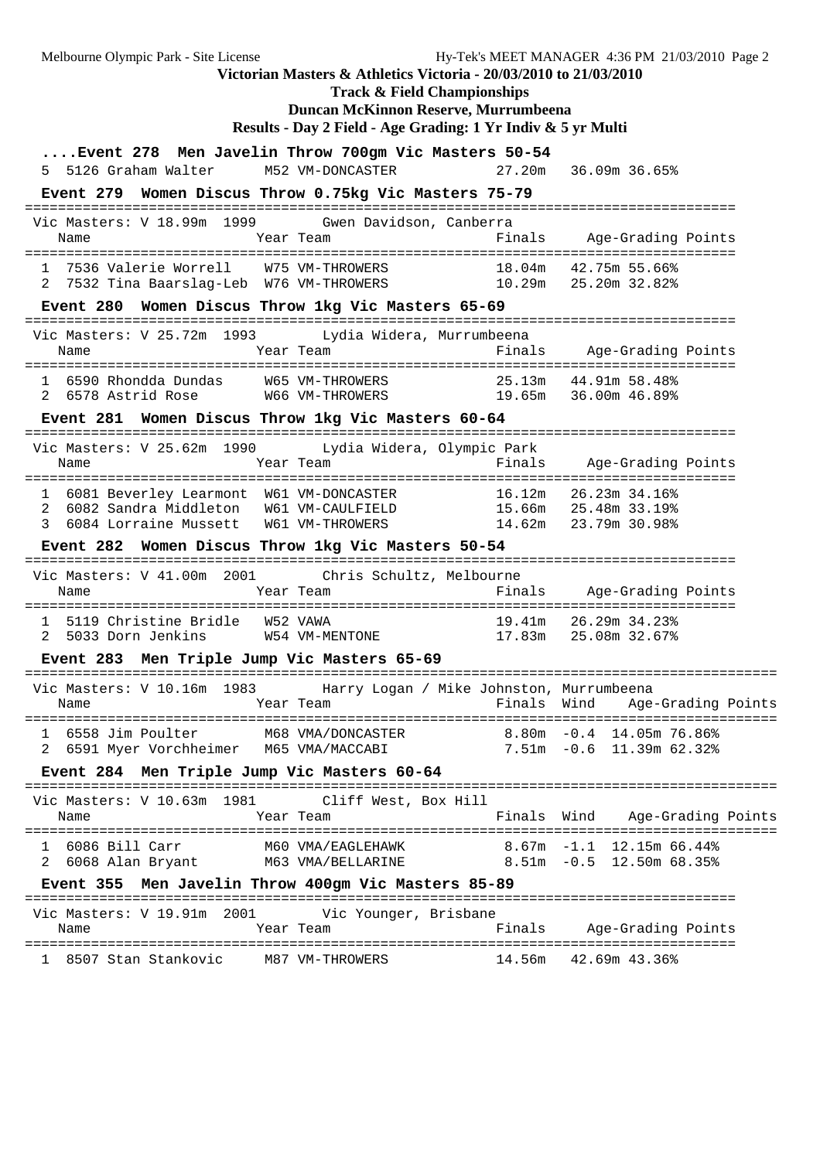Melbourne Olympic Park - Site License Hy-Tek's MEET MANAGER 4:36 PM 21/03/2010 Page 2 **Victorian Masters & Athletics Victoria - 20/03/2010 to 21/03/2010 Track & Field Championships Duncan McKinnon Reserve, Murrumbeena Results - Day 2 Field - Age Grading: 1 Yr Indiv & 5 yr Multi ....Event 278 Men Javelin Throw 700gm Vic Masters 50-54** 5 5126 Graham Walter M52 VM-DONCASTER 27.20m 36.09m 36.65% **Event 279 Women Discus Throw 0.75kg Vic Masters 75-79** ====================================================================================== Vic Masters: V 18.99m 1999 Gwen Davidson, Canberra Name Year Team Finals Age-Grading Points ====================================================================================== 42.75m 55.66% WM-THROWERS 18.04m 42.75m 55.66%<br>10.29m 25.20m 32.82% 2 7532 Tina Baarslag-Leb W76 VM-THROWERS **Event 280 Women Discus Throw 1kg Vic Masters 65-69** ====================================================================================== Vic Masters: V 25.72m 1993 Lydia Widera, Murrumbeena Name Year Team Finals Age-Grading Points ====================================================================================== 1 6590 Rhondda Dundas W65 VM-THROWERS 25.13m 44.91m 58.48% 2 6578 Astrid Rose W66 VM-THROWERS 19.65m 36.00m 46.89% **Event 281 Women Discus Throw 1kg Vic Masters 60-64** ====================================================================================== Vic Masters: V 25.62m 1990 Lydia Widera, Olympic Park Name Year Team Finals Age-Grading Points ====================================================================================== 1 6081 Beverley Learmont W61 VM-DONCASTER 16.12m 26.23m 34.16%<br>2 6082 Sandra Middleton W61 VM-CAULFIELD 15.66m 25.48m 33.19% 2 6082 Sandra Middleton W61 VM-CAULFIELD 15.66m 25.48m 33.19% 3 6084 Lorraine Mussett W61 VM-THROWERS 14.62m 23.79m 30.98% **Event 282 Women Discus Throw 1kg Vic Masters 50-54** ====================================================================================== Vic Masters: V 41.00m 2001 Chris Schultz, Melbourne Name Tear Team Finals Age-Grading Points ====================================================================================== 1 5119 Christine Bridle W52 VAWA 19.41m 26.29m 34.23% 2 5033 Dorn Jenkins W54 VM-MENTONE 17.83m 25.08m 32.67% **Event 283 Men Triple Jump Vic Masters 65-69** =========================================================================================== Vic Masters: V 10.16m 1983 Harry Logan / Mike Johnston, Murrumbeena Name Year Team Finals Wind Age-Grading Points =========================================================================================== 1 6558 Jim Poulter M68 VMA/DONCASTER 8.80m -0.4 14.05m 76.86%<br>2 6591 Myer Vorchheimer M65 VMA/MACCABI 7.51m -0.6 11.39m 62.32% 2 6591 Myer Vorchheimer M65 VMA/MACCABI **Event 284 Men Triple Jump Vic Masters 60-64** =========================================================================================== Vic Masters: V 10.63m 1981 Cliff West, Box Hill Name Year Team Finals Wind Age-Grading Points =========================================================================================== 1 6086 Bill Carr M60 VMA/EAGLEHAWK 8.67m -1.1 12.15m 66.44% 2 6068 Alan Bryant M63 VMA/BELLARINE 8.51m -0.5 12.50m 68.35% **Event 355 Men Javelin Throw 400gm Vic Masters 85-89** ====================================================================================== Vic Masters: V 19.91m 2001 Vic Younger, Brisbane Name Tear Team Finals Age-Grading Points ====================================================================================== 1 8507 Stan Stankovic M87 VM-THROWERS 14.56m 42.69m 43.36%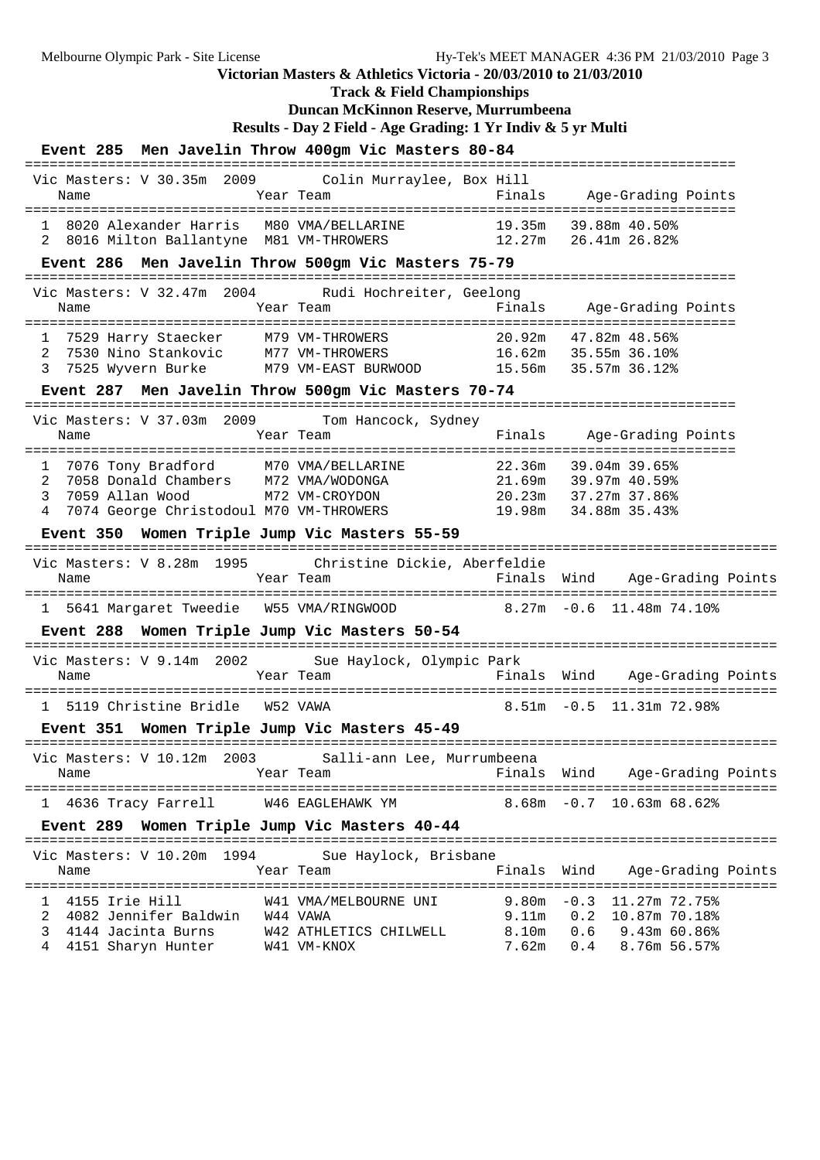**Track & Field Championships**

## **Duncan McKinnon Reserve, Murrumbeena**

**Results - Day 2 Field - Age Grading: 1 Yr Indiv & 5 yr Multi**

|                                                                                                                                                                | Event 285 Men Javelin Throw 400gm Vic Masters 80-84                                                                        | ================================                                                              |
|----------------------------------------------------------------------------------------------------------------------------------------------------------------|----------------------------------------------------------------------------------------------------------------------------|-----------------------------------------------------------------------------------------------|
| Vic Masters: V 30.35m 2009<br>Name                                                                                                                             | Colin Murravlee, Box Hill<br>Year Team                                                                                     | Finals Age-Grading Points                                                                     |
| 8016 Milton Ballantyne M81 VM-THROWERS<br>2                                                                                                                    | 1 8020 Alexander Harris M80 VMA/BELLARINE 19.35m 39.88m 40.50%<br>12.27m                                                   | 26.41m 26.82%                                                                                 |
|                                                                                                                                                                | Event 286 Men Javelin Throw 500gm Vic Masters 75-79                                                                        |                                                                                               |
| Name                                                                                                                                                           | Vic Masters: V 32.47m 2004 Rudi Hochreiter, Geelong<br>Finals<br>Year Team                                                 | Age-Grading Points                                                                            |
| 7529 Harry Staecker M79 VM-THROWERS<br>1<br>2<br>7530 Nino Stankovic<br>3                                                                                      | 20.92m<br>M77 VM-THROWERS<br>7525 Wyvern Burke M79 VM-EAST BURWOOD 15.56m 35.57m 36.12%                                    | 47.82m 48.56%<br>16.62m 35.55m 36.10%                                                         |
|                                                                                                                                                                | Event 287 Men Javelin Throw 500gm Vic Masters 70-74                                                                        |                                                                                               |
| ------------------------<br>Vic Masters: V 37.03m 2009<br>Name                                                                                                 | Tom Hancock, Sydney<br>Year Team<br>Finals                                                                                 | Age-Grading Points                                                                            |
| 7076 Tony Bradford M70 VMA/BELLARINE<br>1<br>7058 Donald Chambers M72 VMA/WODONGA<br>2<br>3<br>7059 Allan Wood<br>7074 George Christodoul M70 VM-THROWERS<br>4 | 22.36m<br>21.69m<br>M72 VM-CROYDON<br>19.98m                                                                               | 39.04m 39.65%<br>39.97m 40.59%<br>20.23m 37.27m 37.86%<br>34.88m 35.43%                       |
| Event 350 Women Triple Jump Vic Masters 55-59                                                                                                                  |                                                                                                                            |                                                                                               |
| Vic Masters: V 8.28m 1995<br>Name                                                                                                                              | Christine Dickie, Aberfeldie<br>Year Team                                                                                  | ==============================<br>Finals Wind<br>Age-Grading Points                           |
| 1 5641 Margaret Tweedie W55 VMA/RINGWOOD                                                                                                                       |                                                                                                                            | $8.27m - 0.6$ 11.48m 74.10%                                                                   |
| Event 288 Women Triple Jump Vic Masters 50-54                                                                                                                  |                                                                                                                            |                                                                                               |
| Vic Masters: V 9.14m 2002<br>Name                                                                                                                              | Sue Haylock, Olympic Park<br>Year Team                                                                                     | Finals Wind Age-Grading Points                                                                |
| 1 5119 Christine Bridle W52 VAWA                                                                                                                               |                                                                                                                            | $8.51m - 0.5$ 11.31m 72.98%                                                                   |
| Event 351 Women Triple Jump Vic Masters 45-49                                                                                                                  |                                                                                                                            |                                                                                               |
|                                                                                                                                                                | Vic Masters: V 10.12m 2003 Salli-ann Lee, Murrumbeena                                                                      |                                                                                               |
| Name                                                                                                                                                           | Finals Wind<br>Year Team                                                                                                   | Age-Grading Points                                                                            |
| 1 4636 Tracy Farrell                                                                                                                                           | W46 EAGLEHAWK YM                                                                                                           | $8.68m - 0.7$ 10.63m 68.62%                                                                   |
| Event 289 Women Triple Jump Vic Masters 40-44                                                                                                                  | =============================                                                                                              |                                                                                               |
| Vic Masters: V 10.20m 1994<br>Name                                                                                                                             | Sue Haylock, Brisbane<br>Finals<br>Year Team                                                                               | Wind<br>Age-Grading Points                                                                    |
| 4155 Irie Hill<br>ı<br>2<br>4082 Jennifer Baldwin W44 VAWA<br>3<br>4144 Jacinta Burns<br>4151 Sharyn Hunter<br>4                                               | ============<br>====<br>9.80m<br>W41 VMA/MELBOURNE UNI<br>9.11m<br>8.10m<br>W42 ATHLETICS CHILWELL<br>7.62m<br>W41 VM-KNOX | $-0.3$<br>11.27m 72.75%<br>0.2<br>10.87m 70.18%<br>0.6<br>9.43m 60.86%<br>8.76m 56.57%<br>0.4 |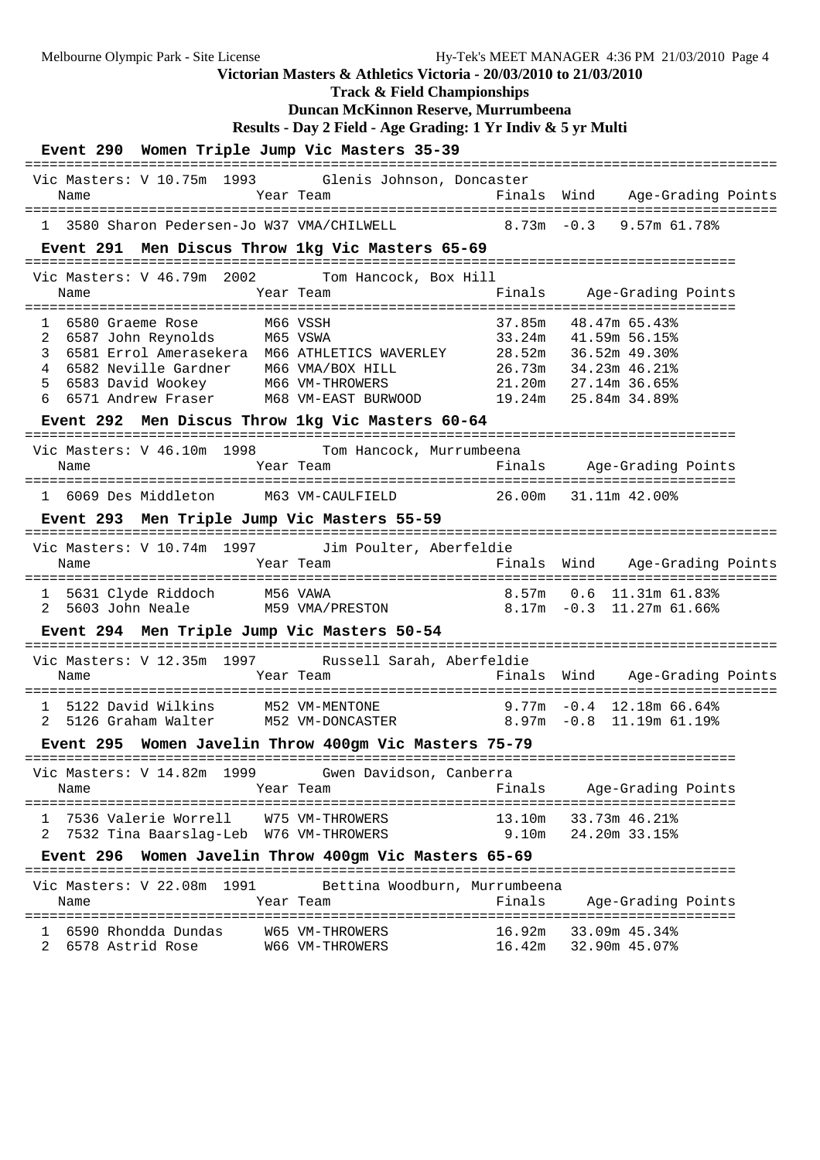**Duncan McKinnon Reserve, Murrumbeena Results - Day 2 Field - Age Grading: 1 Yr Indiv & 5 yr Multi Event 290 Women Triple Jump Vic Masters 35-39** =========================================================================================== Vic Masters: V 10.75m 1993 Glenis Johnson, Doncaster Name Tear Team Finals Wind Age-Grading Points =========================================================================================== 1 3580 Sharon Pedersen-Jo W37 VMA/CHILWELL **Event 291 Men Discus Throw 1kg Vic Masters 65-69** ====================================================================================== Vic Masters: V 46.79m 2002 Tom Hancock, Box Hill Name Tear Team Team Finals Age-Grading Points ====================================================================================== 1 6580 Graeme Rose 1 1 6580 M66 VSSH 1 37.85m 48.47m 65.43%<br>2 6587 John Reynolds 1 M65 VSWA 1 33.24m 41.59m 56.15% 2 6587 John Reynolds M65 VSWA 33.24m 41.59m 56.15%<br>3 6581 Errol Amerasekera M66 ATHLETICS WAVERLEY 28.52m 36.52m 49.30% 3 6581 Errol Amerasekera M66 ATHLETICS WAVERLEY 28.52m 36.52m 49.30% 4 6582 Neville Gardner M66 VMA/BOX HILL 26.73m 34.23m 46.21% 5 6583 David Wookey M66 VM-THROWERS 21.20m 27.14m 36.65% 6 6571 Andrew Fraser M68 VM-EAST BURWOOD 19.24m 25.84m 34.89% **Event 292 Men Discus Throw 1kg Vic Masters 60-64** ====================================================================================== Vic Masters: V 46.10m 1998 Tom Hancock, Murrumbeena Name Tear Team Finals Age-Grading Points ====================================================================================== 1 6069 Des Middleton M63 VM-CAULFIELD 26.00m 31.11m 42.00% **Event 293 Men Triple Jump Vic Masters 55-59** =========================================================================================== Vic Masters: V 10.74m 1997 Jim Poulter, Aberfeldie Name Team Team Finals Wind Age-Grading Points =========================================================================================== 1 5631 Clyde Riddoch M56 VAWA<br>2 5603 John Neale M59 VMA/PRESTON  $8.17m - 0.3$  11.27m 61.66% **Event 294 Men Triple Jump Vic Masters 50-54** =========================================================================================== Vic Masters: V 12.35m 1997 Russell Sarah, Aberfeldie Name Year Team Finals Wind Age-Grading Points =========================================================================================== 1 5122 David Wilkins M52 VM-MENTONE 9.77m -0.4 12.18m 66.64%

Melbourne Olympic Park - Site License Hy-Tek's MEET MANAGER 4:36 PM 21/03/2010 Page 4

**Victorian Masters & Athletics Victoria - 20/03/2010 to 21/03/2010 Track & Field Championships**

**Event 295 Women Javelin Throw 400gm Vic Masters 75-79**

======================================================================================

2 5126 Graham Walter M52 VM-DONCASTER 8.97m -0.8 11.19m 61.19%

 Vic Masters: V 14.82m 1999 Gwen Davidson, Canberra Name Year Team Finals Age-Grading Points ====================================================================================== 1 7536 Valerie Worrell W75 VM-THROWERS 13.10m 33.73m 46.21% 2 7532 Tina Baarslag-Leb W76 VM-THROWERS 9.10m 24.20m 33.15%

#### **Event 296 Women Javelin Throw 400gm Vic Masters 65-69**

====================================================================================== Vic Masters: V 22.08m 1991 Bettina Woodburn, Murrumbeena<br>Name Mame Team Team Finals Name Team Team Finals Age-Grading Points ====================================================================================== 1 6590 Rhondda Dundas W65 VM-THROWERS 16.92m 33.09m 45.34% 2 6578 Astrid Rose W66 VM-THROWERS 16.42m 32.90m 45.07%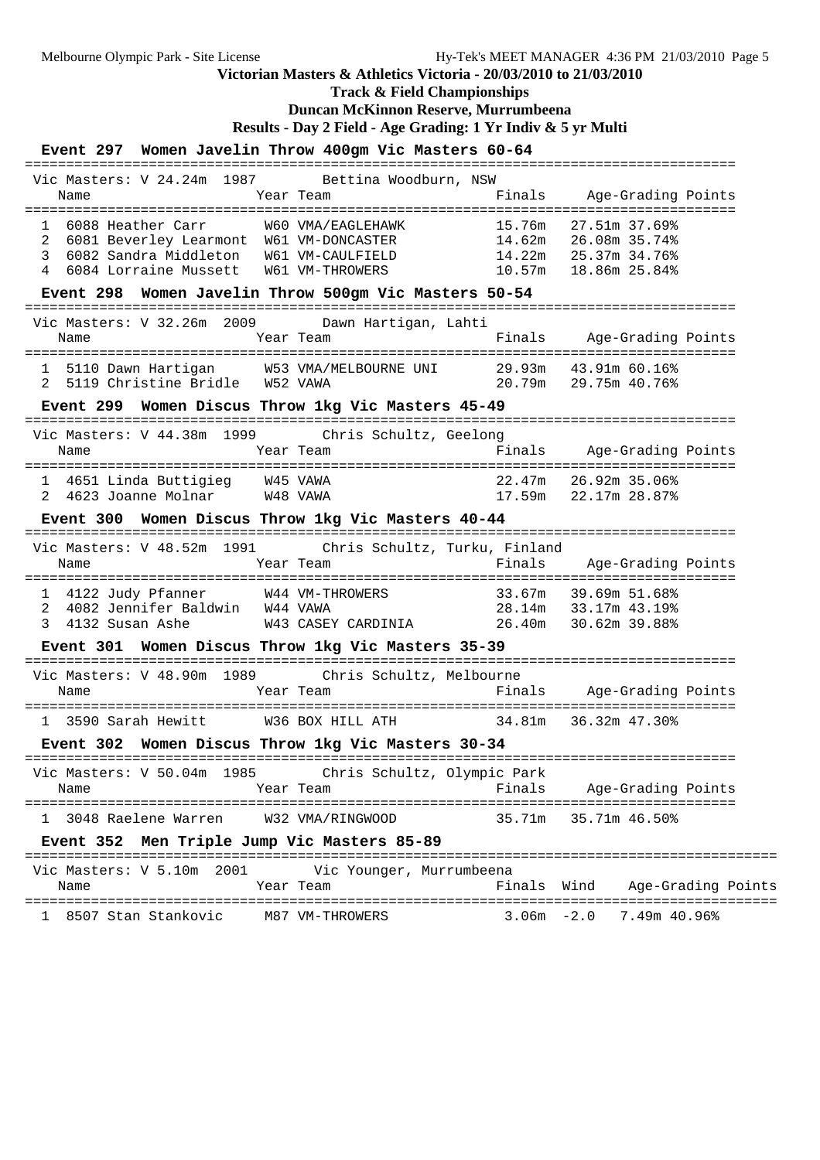**Track & Field Championships**

### **Duncan McKinnon Reserve, Murrumbeena**

**Results - Day 2 Field - Age Grading: 1 Yr Indiv & 5 yr Multi**

## **Event 297 Women Javelin Throw 400gm Vic Masters 60-64**

| Vic Masters: V 24.24m 1987 Bettina Woodburn, NSW<br>Finals Age-Grading Points<br>Year Team<br>Name<br>15.76m 27.51m 37.69%<br>W60 VMA/EAGLEHAWK<br>1 6088 Heather Carr<br>6081 Beverley Learmont W61 VM-DONCASTER 14.62m 26.08m 35.74%<br>2<br>3<br>6082 Sandra Middleton W61 VM-CAULFIELD 14.22m 25.37m 34.76%<br>4 6084 Lorraine Mussett W61 VM-THROWERS 10.57m 18.86m 25.84%<br>Event 298 Women Javelin Throw 500gm Vic Masters 50-54<br>Vic Masters: V 32.26m 2009 Dawn Hartigan, Lahti<br>Year Team<br>Finals<br>Age-Grading Points<br>Name |  |
|--------------------------------------------------------------------------------------------------------------------------------------------------------------------------------------------------------------------------------------------------------------------------------------------------------------------------------------------------------------------------------------------------------------------------------------------------------------------------------------------------------------------------------------------------|--|
|                                                                                                                                                                                                                                                                                                                                                                                                                                                                                                                                                  |  |
|                                                                                                                                                                                                                                                                                                                                                                                                                                                                                                                                                  |  |
|                                                                                                                                                                                                                                                                                                                                                                                                                                                                                                                                                  |  |
|                                                                                                                                                                                                                                                                                                                                                                                                                                                                                                                                                  |  |
|                                                                                                                                                                                                                                                                                                                                                                                                                                                                                                                                                  |  |
|                                                                                                                                                                                                                                                                                                                                                                                                                                                                                                                                                  |  |
|                                                                                                                                                                                                                                                                                                                                                                                                                                                                                                                                                  |  |
|                                                                                                                                                                                                                                                                                                                                                                                                                                                                                                                                                  |  |
|                                                                                                                                                                                                                                                                                                                                                                                                                                                                                                                                                  |  |
| 5110 Dawn Hartigan M53 VMA/MELBOURNE UNI 29.93m 43.91m 60.16%<br>1                                                                                                                                                                                                                                                                                                                                                                                                                                                                               |  |
| 20.79m 29.75m 40.76%<br>2 5119 Christine Bridle W52 VAWA                                                                                                                                                                                                                                                                                                                                                                                                                                                                                         |  |
| Event 299 Women Discus Throw 1kg Vic Masters 45-49                                                                                                                                                                                                                                                                                                                                                                                                                                                                                               |  |
| Vic Masters: V 44.38m 1999 Chris Schultz, Geelong                                                                                                                                                                                                                                                                                                                                                                                                                                                                                                |  |
|                                                                                                                                                                                                                                                                                                                                                                                                                                                                                                                                                  |  |
| 4651 Linda Buttigieg W45 VAWA<br>22.47m 26.92m 35.06%                                                                                                                                                                                                                                                                                                                                                                                                                                                                                            |  |
| 22.47m 26.92m 35.06%<br>17.59m 22.17m 28.87%<br>4623 Joanne Molnar W48 VAWA<br>2                                                                                                                                                                                                                                                                                                                                                                                                                                                                 |  |
| Event 300 Women Discus Throw 1kg Vic Masters 40-44                                                                                                                                                                                                                                                                                                                                                                                                                                                                                               |  |
| Vic Masters: V 48.52m 1991 Chris Schultz, Turku, Finland                                                                                                                                                                                                                                                                                                                                                                                                                                                                                         |  |
| Age-Grading Points<br>Year Team<br>Finals<br>Name                                                                                                                                                                                                                                                                                                                                                                                                                                                                                                |  |
|                                                                                                                                                                                                                                                                                                                                                                                                                                                                                                                                                  |  |
| 1 4122 Judy Pfanner 1 44 VM-THROWERS 33.67m 39.69m 51.68%<br>2 4082 Jennifer Baldwin 144 VAWA 28.14m 33.17m 43.19%                                                                                                                                                                                                                                                                                                                                                                                                                               |  |
| W43 CASEY CARDINIA 26.40m 30.62m 39.88%<br>4132 Susan Ashe<br>3                                                                                                                                                                                                                                                                                                                                                                                                                                                                                  |  |
| Event 301 Women Discus Throw 1kg Vic Masters 35-39                                                                                                                                                                                                                                                                                                                                                                                                                                                                                               |  |
| Vic Masters: V 48.90m 1989 Chris Schultz, Melbourne                                                                                                                                                                                                                                                                                                                                                                                                                                                                                              |  |
| Finals Age-Grading Points<br>Name<br>Year Team                                                                                                                                                                                                                                                                                                                                                                                                                                                                                                   |  |
| 1 3590 Sarah Hewitt W36 BOX HILL ATH 34.81m 36.32m 47.30%                                                                                                                                                                                                                                                                                                                                                                                                                                                                                        |  |
| Event 302 Women Discus Throw 1kg Vic Masters 30-34                                                                                                                                                                                                                                                                                                                                                                                                                                                                                               |  |
| Vic Masters: V 50.04m 1985 Chris Schultz, Olympic Park                                                                                                                                                                                                                                                                                                                                                                                                                                                                                           |  |
| Finals<br>Age-Grading Points<br>Year Team<br>Name                                                                                                                                                                                                                                                                                                                                                                                                                                                                                                |  |
| 3048 Raelene Warren<br>35.71m<br>35.71m 46.50%<br>W32 VMA/RINGWOOD<br>1                                                                                                                                                                                                                                                                                                                                                                                                                                                                          |  |
| Event 352<br>Men Triple Jump Vic Masters 85-89                                                                                                                                                                                                                                                                                                                                                                                                                                                                                                   |  |
|                                                                                                                                                                                                                                                                                                                                                                                                                                                                                                                                                  |  |
| Vic Masters: V 5.10m 2001<br>Vic Younger, Murrumbeena<br>Year Team<br>Finals Wind<br>Age-Grading Points<br>Name                                                                                                                                                                                                                                                                                                                                                                                                                                  |  |
| 1 8507 Stan Stankovic<br>$3.06m - 2.0$<br>7.49m 40.96%<br>M87 VM-THROWERS                                                                                                                                                                                                                                                                                                                                                                                                                                                                        |  |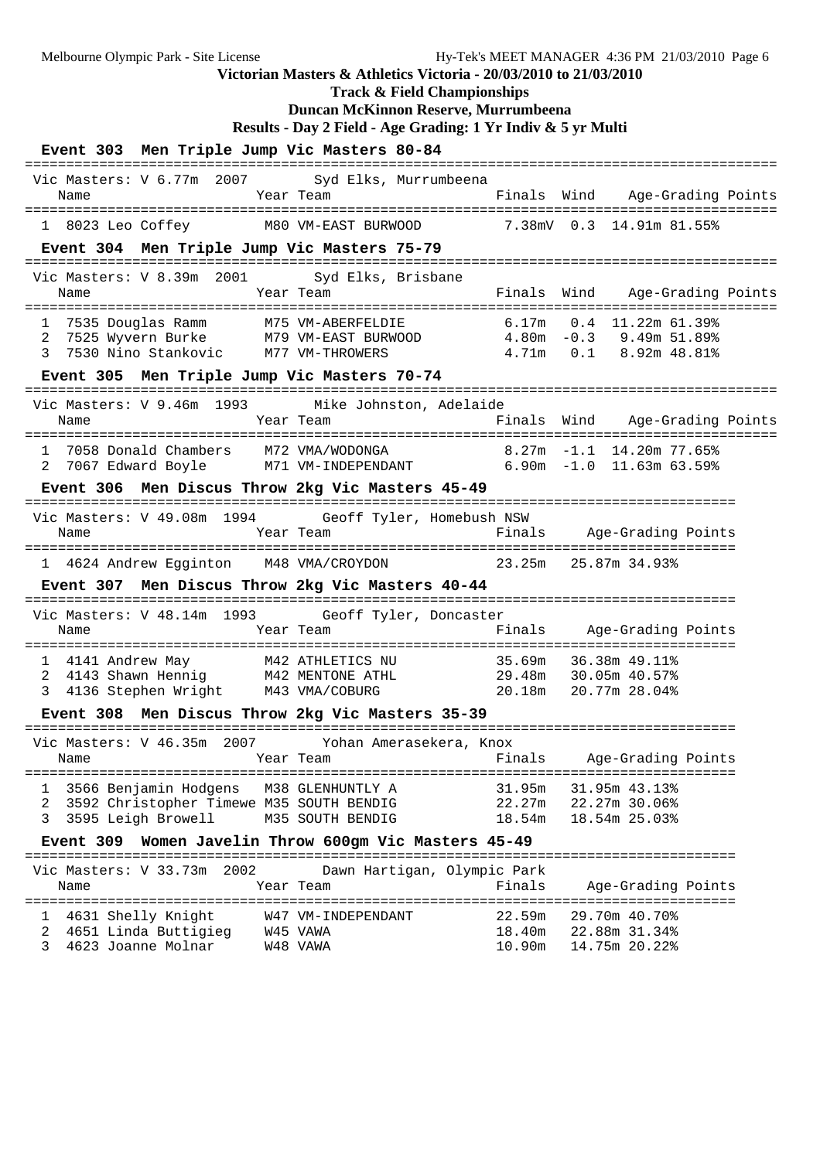**Duncan McKinnon Reserve, Murrumbeena Results - Day 2 Field - Age Grading: 1 Yr Indiv & 5 yr Multi Event 303 Men Triple Jump Vic Masters 80-84** =========================================================================================== Vic Masters: V 6.77m 2007 Syd Elks, Murrumbeena Name Tear Team Finals Wind Age-Grading Points =========================================================================================== M80 VM-EAST BURWOOD 7.38mV 0.3 14.91m 81.55% **Event 304 Men Triple Jump Vic Masters 75-79** =========================================================================================== Vic Masters: V 8.39m 2001 Syd Elks, Brisbane Name Tear Team Finals Wind Age-Grading Points =========================================================================================== 1 7535 Douglas Ramm M75 VM-ABERFELDIE 6.17m 0.4 11.22m 61.39% 2 7525 Wyvern Burke M79 VM-EAST BURWOOD 4.80m -0.3 9.49m 51.89% 3 7530 Nino Stankovic M77 VM-THROWERS 4.71m 0.1 8.92m 48.81% **Event 305 Men Triple Jump Vic Masters 70-74** =========================================================================================== Vic Masters: V 9.46m 1993 Mike Johnston, Adelaide Name Year Team Finals Wind Age-Grading Points =========================================================================================== 1 7058 Donald Chambers M72 VMA/WODONGA 8.27m -1.1 14.20m 77.65% 2 7067 Edward Boyle M71 VM-INDEPENDANT 6.90m -1.0 11.63m 63.59% **Event 306 Men Discus Throw 2kg Vic Masters 45-49** ====================================================================================== Vic Masters: V 49.08m 1994 Geoff Tyler, Homebush NSW Name Team Team Finals Age-Grading Points ====================================================================================== 1 4624 Andrew Egginton M48 VMA/CROYDON 23.25m 25.87m 34.93% **Event 307 Men Discus Throw 2kg Vic Masters 40-44** ====================================================================================== Vic Masters: V 48.14m 1993 Geoff Tyler, Doncaster Name Year Team Finals Age-Grading Points ====================================================================================== 1 4141 Andrew May M42 ATHLETICS NU 35.69m 36.38m 49.11% 2 4143 Shawn Hennig M42 MENTONE ATHL 29.48m 30.05m 40.57% 3 4136 Stephen Wright M43 VMA/COBURG 20.18m 20.77m 28.04% **Event 308 Men Discus Throw 2kg Vic Masters 35-39** ====================================================================================== Vic Masters: V 46.35m 2007 Yohan Amerasekera, Knox Name Team Year Team Finals Age-Grading Points ====================================================================================== 1 3566 Benjamin Hodgens M38 GLENHUNTLY A 31.95m 31.95m 43.13% 2 3592 Christopher Timewe M35 SOUTH BENDIG 22.27m 22.27m 30.06% 3 3595 Leigh Browell M35 SOUTH BENDIG 18.54m 18.54m 25.03% **Event 309 Women Javelin Throw 600gm Vic Masters 45-49** ====================================================================================== Vic Masters: V 33.73m 2002 Dawn Hartigan, Olympic Park Name Year Team Finals Age-Grading Points ====================================================================================== 1 4631 Shelly Knight W47 VM-INDEPENDANT 22.59m 29.70m 40.70% 2 4651 Linda Buttigieg W45 VAWA 18.40m 22.88m 31.34% 3 4623 Joanne Molnar W48 VAWA 10.90m 14.75m 20.22%

Melbourne Olympic Park - Site License Hy-Tek's MEET MANAGER 4:36 PM 21/03/2010 Page 6

**Victorian Masters & Athletics Victoria - 20/03/2010 to 21/03/2010 Track & Field Championships**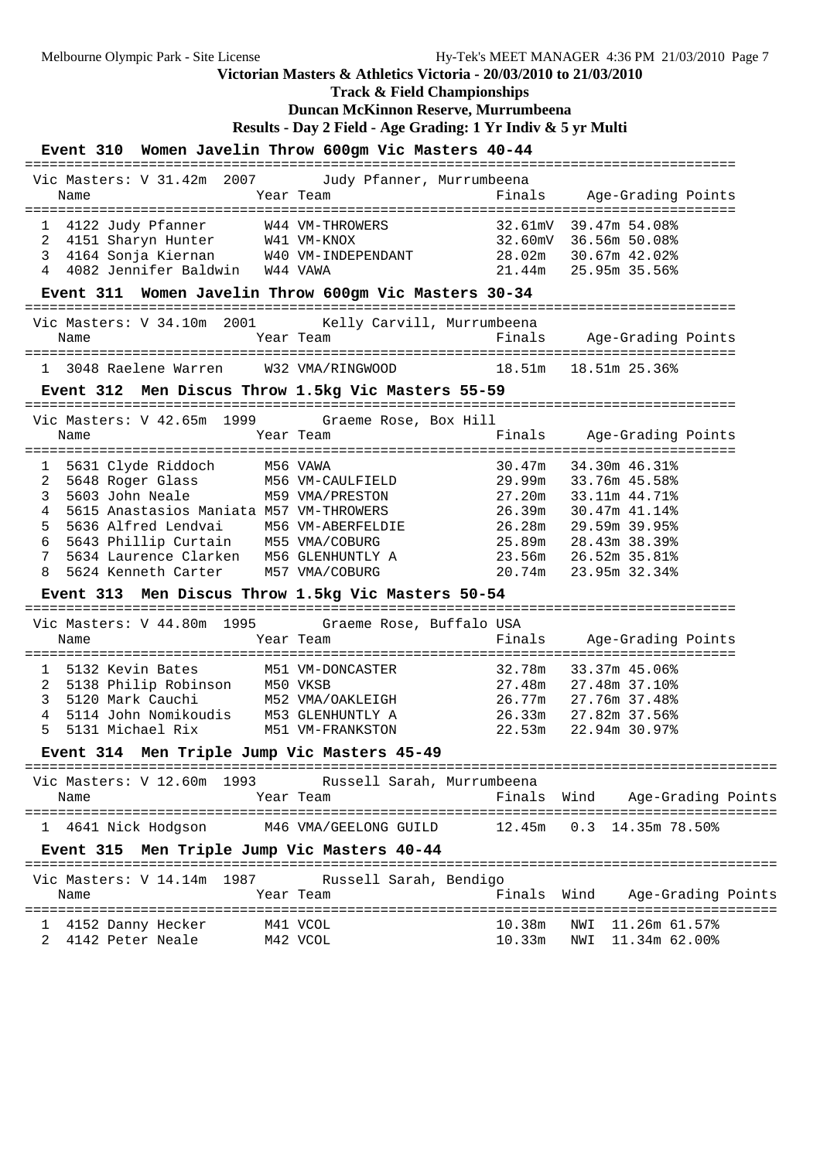**Track & Field Championships**

### **Duncan McKinnon Reserve, Murrumbeena**

**Results - Day 2 Field - Age Grading: 1 Yr Indiv & 5 yr Multi**

**Event 310 Women Javelin Throw 600gm Vic Masters 40-44**

| Event 310 Women Javelin Throw 600gm Vic Masters 40-44                       |                                       |             |                                                |                    |
|-----------------------------------------------------------------------------|---------------------------------------|-------------|------------------------------------------------|--------------------|
| Vic Masters: V 31.42m 2007                                                  | Judy Pfanner, Murrumbeena             |             |                                                |                    |
| Name                                                                        | Year Team                             | Finals      | Age-Grading Points                             |                    |
| 1 4122 Judy Pfanner                                                         | W44 VM-THROWERS                       |             | 32.61mV 39.47m 54.08%                          |                    |
|                                                                             |                                       |             | 32.60mV 36.56m 50.08%                          |                    |
| 2 4151 Sharyn Hunter M41 VM-KNOX<br>3 4164 Sonja Kiernan M40 VM-INDEPENDANT |                                       |             | 28.02m 30.67m 42.02%                           |                    |
| 4 4082 Jennifer Baldwin W44 VAWA                                            |                                       |             | 21.44m 25.95m 35.56%                           |                    |
| Event 311 Women Javelin Throw 600gm Vic Masters 30-34                       |                                       |             |                                                |                    |
| Vic Masters: V 34.10m 2001 Kelly Carvill, Murrumbeena                       |                                       |             |                                                |                    |
| Name                                                                        | Year Team                             |             | Finals Age-Grading Points                      |                    |
| 1 3048 Raelene Warren W32 VMA/RINGWOOD 18.51m 18.51m 25.36%                 |                                       |             |                                                |                    |
| Event 312 Men Discus Throw 1.5kg Vic Masters 55-59                          |                                       |             |                                                |                    |
| Vic Masters: V 42.65m 1999 Graeme Rose, Box Hill                            |                                       |             |                                                |                    |
| Name                                                                        | Year Team                             | Finals      | Age-Grading Points                             |                    |
| 1 5631 Clyde Riddoch M56 VAWA                                               |                                       |             | 30.47m 34.30m 46.31%                           |                    |
| 2 5648 Roger Glass M56 VM-CAULFIELD                                         |                                       |             | 29.99m  33.76m 45.58%<br>27.20m  33.11m 44.71% |                    |
| 3<br>5603 John Neale                                                        | M59 VMA/PRESTON                       |             |                                                |                    |
| 5615 Anastasios Maniata M57 VM-THROWERS<br>4                                |                                       |             | 26.39m 30.47m 41.14%                           |                    |
| 5636 Alfred Lendvai M56 VM-ABERFELDIE<br>5                                  |                                       |             | 26.28m 29.59m 39.95%                           |                    |
| 6 5643 Phillip Curtain M55 VMA/COBURG                                       |                                       |             | 25.89m 28.43m 38.39%                           |                    |
| 5634 Laurence Clarken<br>7                                                  | M56 GLENHUNTLY A                      |             | 23.56m 26.52m 35.81%                           |                    |
| 5624 Kenneth Carter<br>8                                                    | M57 VMA/COBURG                        |             | 20.74m 23.95m 32.34%                           |                    |
| Event 313 Men Discus Throw 1.5kg Vic Masters 50-54                          |                                       |             |                                                |                    |
| Vic Masters: V 44.80m 1995                                                  | Graeme Rose, Buffalo USA              |             |                                                |                    |
| Name                                                                        | Year Team                             | Finals      | Age-Grading Points                             |                    |
| 1 5132 Kevin Bates                                                          | M51 VM-DONCASTER                      |             | 32.78m 33.37m 45.06%                           |                    |
| 2 5138 Philip Robinson M50 VKSB                                             |                                       |             | 27.48m 27.48m 37.10%                           |                    |
| 3 5120 Mark Cauchi                                                          | M52 VMA/OAKLEIGH 26.77m 27.76m 37.48% |             |                                                |                    |
| 4 5114 John Nomikoudis M53 GLENHUNTLY A 26.33m 27.82m 37.56%                |                                       |             |                                                |                    |
| 5 5131 Michael Rix                                                          | M51 VM-FRANKSTON 22.53m 22.94m 30.97% |             |                                                |                    |
| Event 314 Men Triple Jump Vic Masters 45-49                                 |                                       |             |                                                |                    |
| Vic Masters: V 12.60m 1993                                                  | Russell Sarah, Murrumbeena            |             |                                                |                    |
| Name                                                                        | Year Team                             |             | Finals Wind                                    | Age-Grading Points |
| 1 4641 Nick Hodgson                                                         | M46 VMA/GEELONG GUILD                 |             | 12.45m 0.3 14.35m 78.50%                       |                    |
| Event 315 Men Triple Jump Vic Masters 40-44                                 |                                       |             |                                                |                    |
| Vic Masters: V 14.14m<br>1987                                               | Russell Sarah, Bendigo                |             |                                                |                    |
| Name                                                                        | Year Team                             | Finals Wind |                                                | Age-Grading Points |
| 1 4152 Danny Hecker                                                         | M41 VCOL                              | 10.38m      | NWI 11.26m 61.57%                              |                    |
| 4142 Peter Neale<br>2                                                       | M42 VCOL                              | 10.33m      | NWI 11.34m 62.00%                              |                    |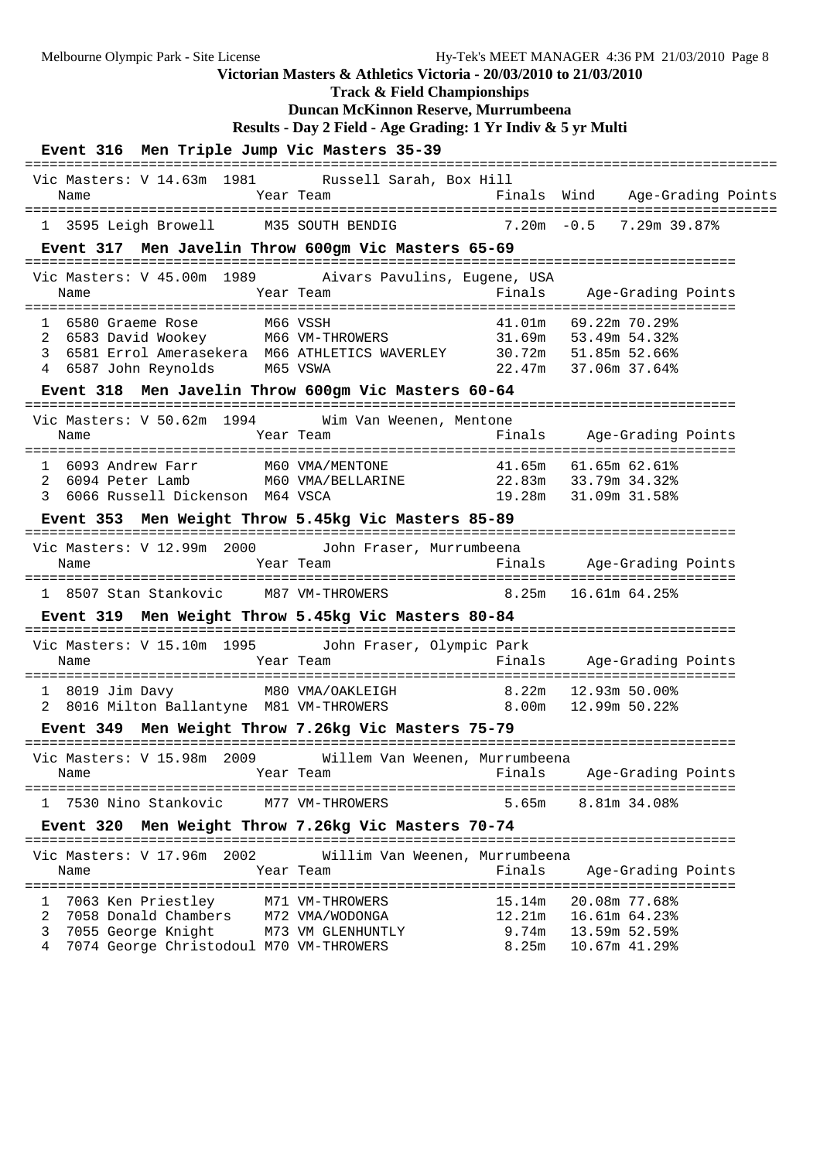Melbourne Olympic Park - Site License Hy-Tek's MEET MANAGER 4:36 PM 21/03/2010 Page 8 **Victorian Masters & Athletics Victoria - 20/03/2010 to 21/03/2010**

**Track & Field Championships**

# **Duncan McKinnon Reserve, Murrumbeena**

```
Results - Day 2 Field - Age Grading: 1 Yr Indiv & 5 yr Multi
```

| Event 316 Men Triple Jump Vic Masters 35-39                                                                                                                                                                                                                      |                                             |                          |                                                                             |  |
|------------------------------------------------------------------------------------------------------------------------------------------------------------------------------------------------------------------------------------------------------------------|---------------------------------------------|--------------------------|-----------------------------------------------------------------------------|--|
| Vic Masters: V 14.63m 1981 Russell Sarah, Box Hill<br>Name                                                                                                                                                                                                       | Year Team                                   |                          | Finals Wind Age-Grading Points                                              |  |
| 1 3595 Leigh Browell M35 SOUTH BENDIG 7.20m -0.5 7.29m 39.87%                                                                                                                                                                                                    |                                             |                          |                                                                             |  |
| Event 317 Men Javelin Throw 600gm Vic Masters 65-69                                                                                                                                                                                                              |                                             |                          |                                                                             |  |
| Vic Masters: V 45.00m 1989 Aivars Pavulins, Eugene, USA<br>Name                                                                                                                                                                                                  | Year Team                                   |                          | Finals Age-Grading Points                                                   |  |
| 1 6580 Graeme Rose M66 VSSH<br>6583 David Wookey M66 VM-THROWERS 31.69m 53.49m 54.32%<br>2<br>6581 Errol Amerasekera M66 ATHLETICS WAVERLEY 30.72m 51.85m 52.66%<br>3<br>4 6587 John Reynolds<br>M65 VSWA<br>Event 318 Men Javelin Throw 600gm Vic Masters 60-64 |                                             |                          | 41.01m 69.22m 70.29%<br>22.47m 37.06m 37.64%                                |  |
| Vic Masters: V 50.62m 1994 Wim Van Weenen, Mentone                                                                                                                                                                                                               |                                             |                          |                                                                             |  |
| Name                                                                                                                                                                                                                                                             | Year Team                                   |                          | Finals Age-Grading Points                                                   |  |
| 1 6093 Andrew Farr M60 VMA/MENTONE 41.65m 61.65m 62.61%<br>2 6094 Peter Lamb M60 VMA/BELLARINE 22.83m 33.79m 34.32%<br>3 6066 Russell Dickenson M64 VSCA                                                                                                         |                                             |                          | 19.28m 31.09m 31.58%                                                        |  |
| Event 353 Men Weight Throw 5.45kg Vic Masters 85-89                                                                                                                                                                                                              |                                             |                          |                                                                             |  |
| Vic Masters: V 12.99m 2000<br>Name                                                                                                                                                                                                                               | John Fraser, Murrumbeena<br>Year Team       |                          | Finals Age-Grading Points                                                   |  |
| 1 8507 Stan Stankovic M87 VM-THROWERS 8.25m 16.61m 64.25%                                                                                                                                                                                                        |                                             |                          |                                                                             |  |
| Event 319 Men Weight Throw 5.45kg Vic Masters 80-84                                                                                                                                                                                                              |                                             |                          |                                                                             |  |
| Vic Masters: V 15.10m 1995 John Fraser, Olympic Park<br>Name                                                                                                                                                                                                     | Year Team                                   |                          | Finals Age-Grading Points                                                   |  |
| $1\quad 8019$ Jim Davy<br>2 8016 Milton Ballantyne M81 VM-THROWERS 8.00m                                                                                                                                                                                         | M80 VMA/OAKLEIGH 8.22m 12.93m 50.00%        |                          | 12.99m 50.22%                                                               |  |
| Event 349 Men Weight Throw 7.26kg Vic Masters 75-79                                                                                                                                                                                                              |                                             |                          | ===================================                                         |  |
| Vic Masters: V 15.98m 2009 Willem Van Weenen, Murrumbeena<br>Name                                                                                                                                                                                                | Year Team                                   | Finals                   | Age-Grading Points                                                          |  |
| =====================<br>$=$ $=$ $=$ $=$ $=$<br>1 7530 Nino Stankovic                                                                                                                                                                                            | ======================<br>M77 VM-THROWERS   | 5.65m                    | 8.81m 34.08%                                                                |  |
| Event 320 Men Weight Throw 7.26kg Vic Masters 70-74                                                                                                                                                                                                              |                                             |                          |                                                                             |  |
| Vic Masters: V 17.96m 2002<br>Name                                                                                                                                                                                                                               | Willim Van Weenen, Murrumbeena<br>Year Team | Finals                   | Age-Grading Points                                                          |  |
| 7063 Ken Priestley<br>1<br>7058 Donald Chambers M72 VMA/WODONGA<br>2<br>3<br>7055 George Knight<br>7074 George Christodoul M70 VM-THROWERS<br>4                                                                                                                  | M71 VM-THROWERS<br>M73 VM GLENHUNTLY        | 15.14m<br>9.74m<br>8.25m | 20.08m 77.68%<br>12.21m   16.61m   64.23%<br>13.59m 52.59%<br>10.67m 41.29% |  |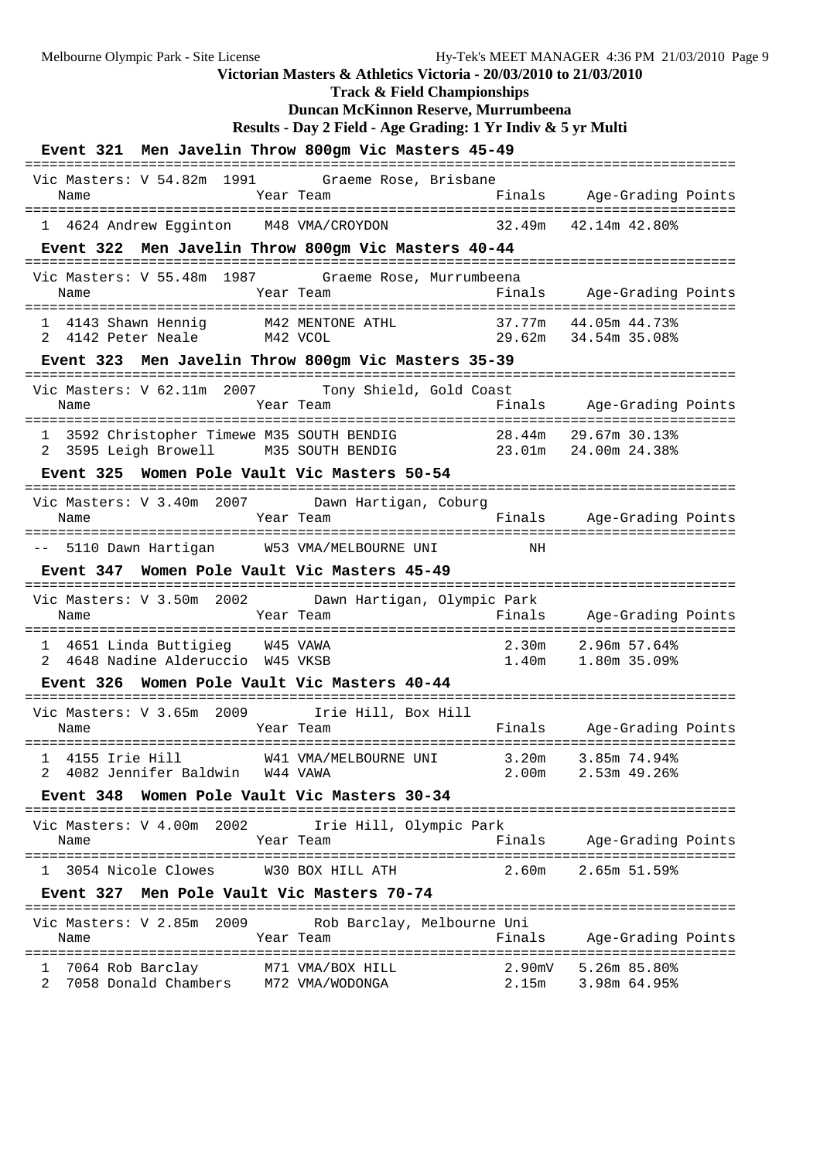**Track & Field Championships Duncan McKinnon Reserve, Murrumbeena Results - Day 2 Field - Age Grading: 1 Yr Indiv & 5 yr Multi Event 321 Men Javelin Throw 800gm Vic Masters 45-49** ====================================================================================== Vic Masters: V 54.82m 1991 Graeme Rose, Brisbane Name Tear Team Finals Age-Grading Points ====================================================================================== 1 4624 Andrew Egginton M48 VMA/CROYDON **Event 322 Men Javelin Throw 800gm Vic Masters 40-44** ====================================================================================== Vic Masters: V 55.48m 1987 Graeme Rose, Murrumbeena Name Tear Team Finals Age-Grading Points ====================================================================================== 1 4143 Shawn Hennig M42 MENTONE ATHL 37.77m 44.05m 44.73% 2 4142 Peter Neale M42 VCOL 29.62m 34.54m 35.08% **Event 323 Men Javelin Throw 800gm Vic Masters 35-39** ====================================================================================== Vic Masters: V 62.11m 2007 Tony Shield, Gold Coast Name Year Team Finals Age-Grading Points ====================================================================================== 1 3592 Christopher Timewe M35 SOUTH BENDIG 28.44m 29.67m 30.13% 2 3595 Leigh Browell M35 SOUTH BENDIG 23.01m 24.00m 24.38% **Event 325 Women Pole Vault Vic Masters 50-54** ====================================================================================== Vic Masters: V 3.40m 2007 Dawn Hartigan, Coburg Name Team Team Finals Age-Grading Points ====================================================================================== -- 5110 Dawn Hartigan W53 VMA/MELBOURNE UNI NH **Event 347 Women Pole Vault Vic Masters 45-49** ====================================================================================== Vic Masters: V 3.50m 2002 Dawn Hartigan, Olympic Park Name Year Team Finals Age-Grading Points ====================================================================================== 1 4651 Linda Buttigieg W45 VAWA 2.30m 2.96m 57.64% 2 4648 Nadine Alderuccio W45 VKSB 1.40m 1.80m 35.09% **Event 326 Women Pole Vault Vic Masters 40-44** ====================================================================================== Vic Masters: V 3.65m 2009 Irie Hill, Box Hill Name Team Team Finals Age-Grading Points ====================================================================================== W41 VMA/MELBOURNE UNI 3.20m 3.85m 74.94% 2 4082 Jennifer Baldwin W44 VAWA 2.00m 2.53m 49.26% **Event 348 Women Pole Vault Vic Masters 30-34** ====================================================================================== Vic Masters: V 4.00m 2002 Irie Hill, Olympic Park Name Year Team Finals Age-Grading Points ====================================================================================== 1 3054 Nicole Clowes W30 BOX HILL ATH 2.60m 2.65m 51.59% **Event 327 Men Pole Vault Vic Masters 70-74** ====================================================================================== Vic Masters: V 2.85m 2009 Rob Barclay, Melbourne Uni Name Team Team Finals Age-Grading Points ======================================================================================

 1 7064 Rob Barclay M71 VMA/BOX HILL 2.90mV 5.26m 85.80% 2 7058 Donald Chambers M72 VMA/WODONGA 2.15m 3.98m 64.95%

**Victorian Masters & Athletics Victoria - 20/03/2010 to 21/03/2010**

Melbourne Olympic Park - Site License Hy-Tek's MEET MANAGER 4:36 PM 21/03/2010 Page 9